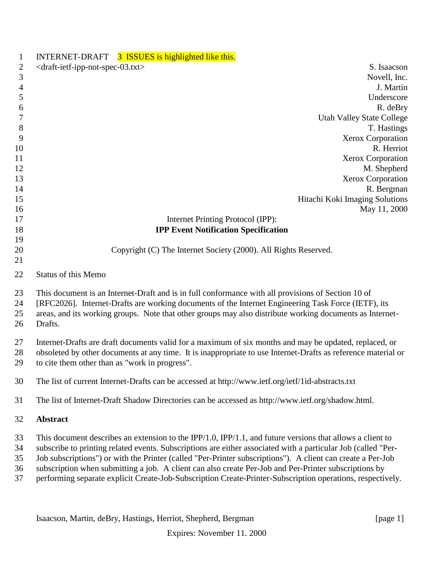|                            | INTERNET-DRAFT 3 ISSUES is highlighted like this.                                                                                                                                                                                                                                                                                                                                                                                                                                                                                                                |
|----------------------------|------------------------------------------------------------------------------------------------------------------------------------------------------------------------------------------------------------------------------------------------------------------------------------------------------------------------------------------------------------------------------------------------------------------------------------------------------------------------------------------------------------------------------------------------------------------|
| $\overline{2}$             | <draft-ietf-ipp-not-spec-03.txt><br/>S. Isaacson</draft-ietf-ipp-not-spec-03.txt>                                                                                                                                                                                                                                                                                                                                                                                                                                                                                |
| 3                          | Novell, Inc.                                                                                                                                                                                                                                                                                                                                                                                                                                                                                                                                                     |
| $\overline{4}$             | J. Martin                                                                                                                                                                                                                                                                                                                                                                                                                                                                                                                                                        |
| 5                          | Underscore                                                                                                                                                                                                                                                                                                                                                                                                                                                                                                                                                       |
| 6                          | R. deBry                                                                                                                                                                                                                                                                                                                                                                                                                                                                                                                                                         |
| 7                          | <b>Utah Valley State College</b>                                                                                                                                                                                                                                                                                                                                                                                                                                                                                                                                 |
| $8\,$                      | T. Hastings                                                                                                                                                                                                                                                                                                                                                                                                                                                                                                                                                      |
| 9                          | <b>Xerox Corporation</b>                                                                                                                                                                                                                                                                                                                                                                                                                                                                                                                                         |
| 10                         | R. Herriot                                                                                                                                                                                                                                                                                                                                                                                                                                                                                                                                                       |
| 11                         | Xerox Corporation                                                                                                                                                                                                                                                                                                                                                                                                                                                                                                                                                |
| 12                         | M. Shepherd                                                                                                                                                                                                                                                                                                                                                                                                                                                                                                                                                      |
| 13                         | Xerox Corporation                                                                                                                                                                                                                                                                                                                                                                                                                                                                                                                                                |
| 14                         | R. Bergman                                                                                                                                                                                                                                                                                                                                                                                                                                                                                                                                                       |
| 15                         | Hitachi Koki Imaging Solutions                                                                                                                                                                                                                                                                                                                                                                                                                                                                                                                                   |
| 16                         | May 11, 2000                                                                                                                                                                                                                                                                                                                                                                                                                                                                                                                                                     |
| 17                         | Internet Printing Protocol (IPP):                                                                                                                                                                                                                                                                                                                                                                                                                                                                                                                                |
| 18                         | <b>IPP Event Notification Specification</b>                                                                                                                                                                                                                                                                                                                                                                                                                                                                                                                      |
| 19                         |                                                                                                                                                                                                                                                                                                                                                                                                                                                                                                                                                                  |
| 20                         | Copyright (C) The Internet Society (2000). All Rights Reserved.                                                                                                                                                                                                                                                                                                                                                                                                                                                                                                  |
| 21                         |                                                                                                                                                                                                                                                                                                                                                                                                                                                                                                                                                                  |
| 22                         | <b>Status of this Memo</b>                                                                                                                                                                                                                                                                                                                                                                                                                                                                                                                                       |
| 23<br>24<br>25<br>26       | This document is an Internet-Draft and is in full conformance with all provisions of Section 10 of<br>[RFC2026]. Internet-Drafts are working documents of the Internet Engineering Task Force (IETF), its<br>areas, and its working groups. Note that other groups may also distribute working documents as Internet-<br>Drafts.                                                                                                                                                                                                                                 |
| 27<br>28<br>29             | Internet-Drafts are draft documents valid for a maximum of six months and may be updated, replaced, or<br>obsoleted by other documents at any time. It is inappropriate to use Internet-Drafts as reference material or<br>to cite them other than as "work in progress".                                                                                                                                                                                                                                                                                        |
| 30                         | The list of current Internet-Drafts can be accessed at http://www.ietf.org/ietf/1id-abstracts.txt                                                                                                                                                                                                                                                                                                                                                                                                                                                                |
| 31                         | The list of Internet-Draft Shadow Directories can be accessed as http://www.ietf.org/shadow.html.                                                                                                                                                                                                                                                                                                                                                                                                                                                                |
| 32                         | Abstract                                                                                                                                                                                                                                                                                                                                                                                                                                                                                                                                                         |
| 33<br>34<br>35<br>36<br>37 | This document describes an extension to the IPP/1.0, IPP/1.1, and future versions that allows a client to<br>subscribe to printing related events. Subscriptions are either associated with a particular Job (called "Per-<br>Job subscriptions") or with the Printer (called "Per-Printer subscriptions"). A client can create a Per-Job<br>subscription when submitting a job. A client can also create Per-Job and Per-Printer subscriptions by<br>performing separate explicit Create-Job-Subscription Create-Printer-Subscription operations, respectively. |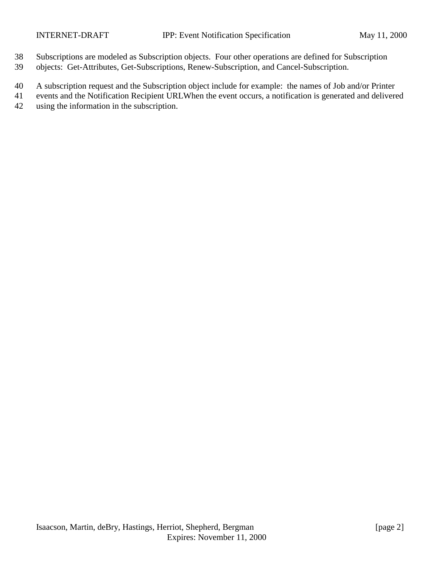- Subscriptions are modeled as Subscription objects. Four other operations are defined for Subscription
- objects: Get-Attributes, Get-Subscriptions, Renew-Subscription, and Cancel-Subscription.
- A subscription request and the Subscription object include for example: the names of Job and/or Printer
- events and the Notification Recipient URLWhen the event occurs, a notification is generated and delivered using the information in the subscription.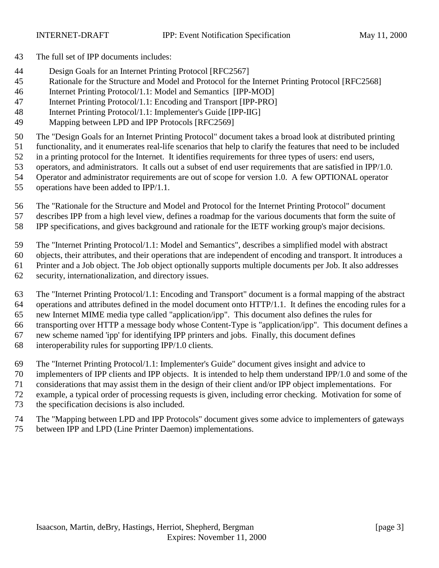- The full set of IPP documents includes:
- Design Goals for an Internet Printing Protocol [RFC2567]
- Rationale for the Structure and Model and Protocol for the Internet Printing Protocol [RFC2568]
- Internet Printing Protocol/1.1: Model and Semantics [IPP-MOD]
- Internet Printing Protocol/1.1: Encoding and Transport [IPP-PRO]
- Internet Printing Protocol/1.1: Implementer's Guide [IPP-IIG]
- Mapping between LPD and IPP Protocols [RFC2569]

The "Design Goals for an Internet Printing Protocol" document takes a broad look at distributed printing

- functionality, and it enumerates real-life scenarios that help to clarify the features that need to be included
- in a printing protocol for the Internet. It identifies requirements for three types of users: end users,
- operators, and administrators. It calls out a subset of end user requirements that are satisfied in IPP/1.0.
- Operator and administrator requirements are out of scope for version 1.0. A few OPTIONAL operator
- operations have been added to IPP/1.1.
- The "Rationale for the Structure and Model and Protocol for the Internet Printing Protocol" document
- describes IPP from a high level view, defines a roadmap for the various documents that form the suite of
- IPP specifications, and gives background and rationale for the IETF working group's major decisions.
- The "Internet Printing Protocol/1.1: Model and Semantics", describes a simplified model with abstract
- objects, their attributes, and their operations that are independent of encoding and transport. It introduces a
- Printer and a Job object. The Job object optionally supports multiple documents per Job. It also addresses
- security, internationalization, and directory issues.
- The "Internet Printing Protocol/1.1: Encoding and Transport" document is a formal mapping of the abstract operations and attributes defined in the model document onto HTTP/1.1. It defines the encoding rules for a new Internet MIME media type called "application/ipp". This document also defines the rules for
- transporting over HTTP a message body whose Content-Type is "application/ipp". This document defines a
- new scheme named 'ipp' for identifying IPP printers and jobs. Finally, this document defines
- interoperability rules for supporting IPP/1.0 clients.
- The "Internet Printing Protocol/1.1: Implementer's Guide" document gives insight and advice to
- implementers of IPP clients and IPP objects. It is intended to help them understand IPP/1.0 and some of the
- considerations that may assist them in the design of their client and/or IPP object implementations. For
- example, a typical order of processing requests is given, including error checking. Motivation for some of
- the specification decisions is also included.
- The "Mapping between LPD and IPP Protocols" document gives some advice to implementers of gateways
- between IPP and LPD (Line Printer Daemon) implementations.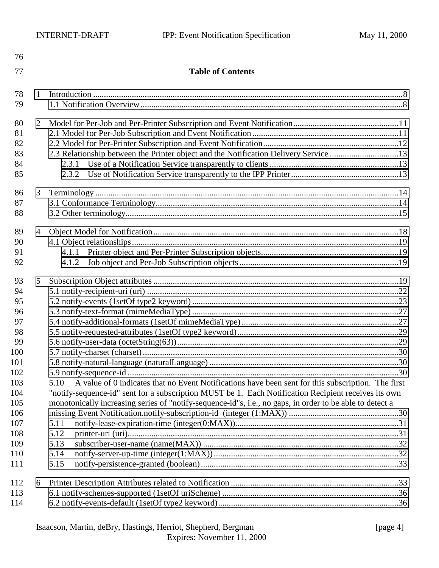| 76  |                |                                                                                                            |  |
|-----|----------------|------------------------------------------------------------------------------------------------------------|--|
| 77  |                | <b>Table of Contents</b>                                                                                   |  |
| 78  | 1              |                                                                                                            |  |
| 79  |                |                                                                                                            |  |
| 80  | 2              |                                                                                                            |  |
| 81  |                |                                                                                                            |  |
| 82  |                |                                                                                                            |  |
| 83  |                | 2.3 Relationship between the Printer object and the Notification Delivery Service 13                       |  |
| 84  |                | 2.3.1                                                                                                      |  |
| 85  |                | 2.3.2                                                                                                      |  |
|     |                |                                                                                                            |  |
| 86  | 3              |                                                                                                            |  |
| 87  |                |                                                                                                            |  |
| 88  |                |                                                                                                            |  |
| 89  | $\overline{4}$ |                                                                                                            |  |
| 90  |                |                                                                                                            |  |
| 91  |                | 4.1.1                                                                                                      |  |
| 92  |                | 4.1.2                                                                                                      |  |
| 93  | 5              |                                                                                                            |  |
| 94  |                |                                                                                                            |  |
| 95  |                |                                                                                                            |  |
| 96  |                |                                                                                                            |  |
| 97  |                |                                                                                                            |  |
| 98  |                |                                                                                                            |  |
| 99  |                |                                                                                                            |  |
| 100 |                |                                                                                                            |  |
| 101 |                |                                                                                                            |  |
| 102 |                |                                                                                                            |  |
| 103 |                | A value of 0 indicates that no Event Notifications have been sent for this subscription. The first<br>5.10 |  |
| 104 |                | "notify-sequence-id" sent for a subscription MUST be 1. Each Notification Recipient receives its own       |  |
| 105 |                | monotonically increasing series of "notify-sequence-id"s, i.e., no gaps, in order to be able to detect a   |  |
| 106 |                |                                                                                                            |  |
| 107 |                | 5.11                                                                                                       |  |
| 108 |                | 5.12                                                                                                       |  |
| 109 |                | 5.13                                                                                                       |  |
| 110 |                | 5.14                                                                                                       |  |
| 111 |                | 5.15                                                                                                       |  |
| 112 | 6              |                                                                                                            |  |
| 113 |                |                                                                                                            |  |
| 114 |                |                                                                                                            |  |
|     |                |                                                                                                            |  |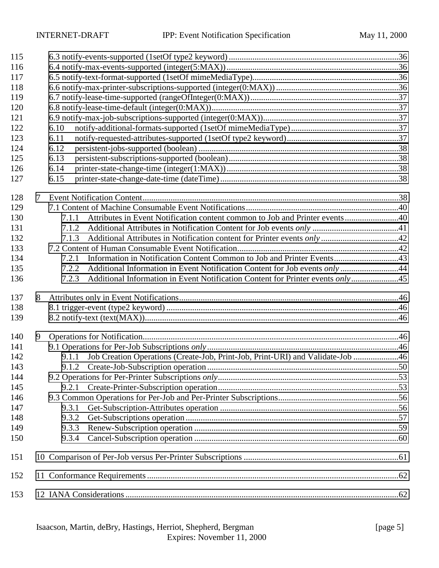| 115        |   |                                                                                         |  |  |  |  |  |
|------------|---|-----------------------------------------------------------------------------------------|--|--|--|--|--|
| 116        |   |                                                                                         |  |  |  |  |  |
| 117        |   |                                                                                         |  |  |  |  |  |
| 118        |   |                                                                                         |  |  |  |  |  |
| 119        |   |                                                                                         |  |  |  |  |  |
| 120        |   |                                                                                         |  |  |  |  |  |
| 121        |   |                                                                                         |  |  |  |  |  |
| 122        |   | 6.10                                                                                    |  |  |  |  |  |
| 123        |   | 6.11                                                                                    |  |  |  |  |  |
| 124        |   | 6.12                                                                                    |  |  |  |  |  |
| 125        |   | 6.13                                                                                    |  |  |  |  |  |
| 126        |   | 6.14                                                                                    |  |  |  |  |  |
| 127        |   | 6.15                                                                                    |  |  |  |  |  |
|            |   |                                                                                         |  |  |  |  |  |
| 128<br>129 | 7 |                                                                                         |  |  |  |  |  |
| 130        |   | 7.1.1                                                                                   |  |  |  |  |  |
| 131        |   | 7.1.2                                                                                   |  |  |  |  |  |
| 132        |   | 7.1.3                                                                                   |  |  |  |  |  |
| 133        |   |                                                                                         |  |  |  |  |  |
| 134        |   | 7.2.1                                                                                   |  |  |  |  |  |
| 135        |   | Additional Information in Event Notification Content for Job events only 44<br>7.2.2    |  |  |  |  |  |
| 136        |   | Additional Information in Event Notification Content for Printer events only45<br>7.2.3 |  |  |  |  |  |
|            |   |                                                                                         |  |  |  |  |  |
| 137        | 8 |                                                                                         |  |  |  |  |  |
| 138        |   |                                                                                         |  |  |  |  |  |
| 139        |   |                                                                                         |  |  |  |  |  |
| 140        | 9 |                                                                                         |  |  |  |  |  |
| 141        |   |                                                                                         |  |  |  |  |  |
| 142        |   | Job Creation Operations (Create-Job, Print-Job, Print-URI) and Validate-Job 46<br>9.1.1 |  |  |  |  |  |
| 143        |   | 9.1.2                                                                                   |  |  |  |  |  |
| 144        |   |                                                                                         |  |  |  |  |  |
| 145        |   | 9.2.1                                                                                   |  |  |  |  |  |
| 146        |   |                                                                                         |  |  |  |  |  |
| 147        |   | 9.3.1                                                                                   |  |  |  |  |  |
| 148        |   | 9.3.2                                                                                   |  |  |  |  |  |
| 149        |   | 9.3.3                                                                                   |  |  |  |  |  |
| 150        |   | 9.3.4                                                                                   |  |  |  |  |  |
| 151        |   |                                                                                         |  |  |  |  |  |
| 152        |   |                                                                                         |  |  |  |  |  |
| 153        |   |                                                                                         |  |  |  |  |  |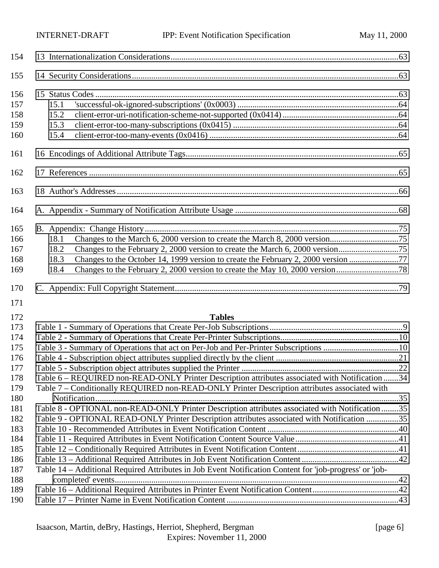| 154                                                                                            |                                                                                                                                                                                                                                                                                                                                                                                                                     |  |
|------------------------------------------------------------------------------------------------|---------------------------------------------------------------------------------------------------------------------------------------------------------------------------------------------------------------------------------------------------------------------------------------------------------------------------------------------------------------------------------------------------------------------|--|
| 155                                                                                            |                                                                                                                                                                                                                                                                                                                                                                                                                     |  |
| 156<br>157<br>158<br>159<br>160                                                                | 15.1<br>15.2<br>15.3<br>15.4                                                                                                                                                                                                                                                                                                                                                                                        |  |
| 161                                                                                            |                                                                                                                                                                                                                                                                                                                                                                                                                     |  |
| 162                                                                                            |                                                                                                                                                                                                                                                                                                                                                                                                                     |  |
| 163                                                                                            |                                                                                                                                                                                                                                                                                                                                                                                                                     |  |
| 164                                                                                            |                                                                                                                                                                                                                                                                                                                                                                                                                     |  |
| 165<br>166<br>167<br>168<br>169                                                                | 18.1<br>18.2<br>Changes to the October 14, 1999 version to create the February 2, 2000 version 77<br>18.3<br>18.4                                                                                                                                                                                                                                                                                                   |  |
| 170<br>171                                                                                     |                                                                                                                                                                                                                                                                                                                                                                                                                     |  |
| 172<br>173<br>174<br>175<br>176<br>177<br>178<br>179<br>180<br>181<br>182<br>183<br>184<br>185 | <b>Tables</b><br>Table 6 – REQUIRED non-READ-ONLY Printer Description attributes associated with Notification 34<br>Table 7 - Conditionally REQUIRED non-READ-ONLY Printer Description attributes associated with<br>Table 8 - OPTIONAL non-READ-ONLY Printer Description attributes associated with Notification 35<br>Table 9 - OPTIONAL READ-ONLY Printer Description attributes associated with Notification 35 |  |
| 186<br>187<br>188                                                                              | Table 14 – Additional Required Attributes in Job Event Notification Content for 'job-progress' or 'job-                                                                                                                                                                                                                                                                                                             |  |
|                                                                                                |                                                                                                                                                                                                                                                                                                                                                                                                                     |  |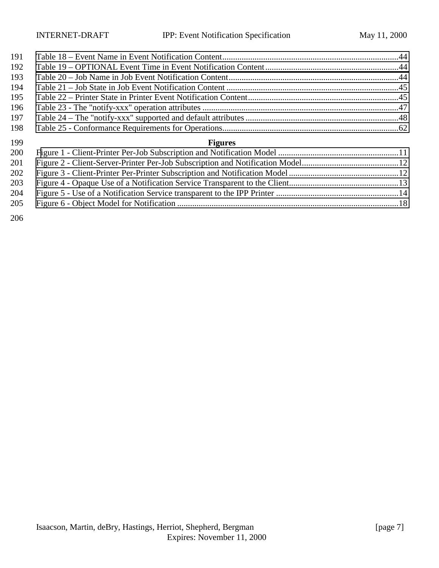| 191 |                |  |
|-----|----------------|--|
| 192 |                |  |
| 193 |                |  |
| 194 |                |  |
| 195 |                |  |
| 196 |                |  |
| 197 |                |  |
| 198 |                |  |
| 199 | <b>Figures</b> |  |
| 200 |                |  |
| 201 |                |  |
| 202 |                |  |
| 203 |                |  |
| 204 |                |  |
| 205 |                |  |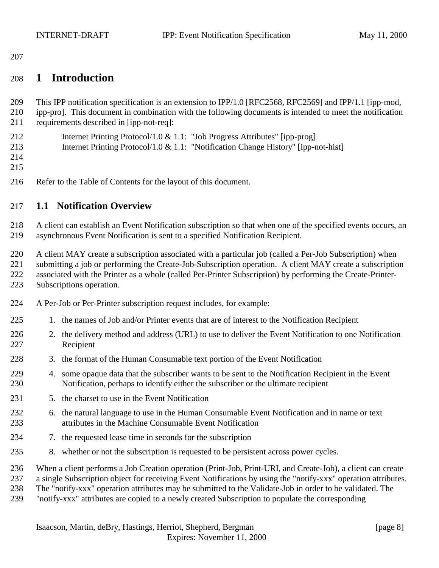<span id="page-7-0"></span>

## **1 Introduction**

This IPP notification specification is an extension to IPP/1.0 [RFC2568, RFC2569] and IPP/1.1 [ipp-mod,

- ipp-pro]. This document in combination with the following documents is intended to meet the notification requirements described in [ipp-not-req]:
- Internet Printing Protocol/1.0 & 1.1: "Job Progress Attributes" [ipp-prog] Internet Printing Protocol/1.0 & 1.1: "Notification Change History" [ipp-not-hist]
- 
- 
- Refer to the Table of Contents for the layout of this document.

## **1.1 Notification Overview**

 A client can establish an Event Notification subscription so that when one of the specified events occurs, an asynchronous Event Notification is sent to a specified Notification Recipient.

 A client MAY create a subscription associated with a particular job (called a Per-Job Subscription) when submitting a job or performing the Create-Job-Subscription operation. A client MAY create a subscription associated with the Printer as a whole (called Per-Printer Subscription) by performing the Create-Printer-Subscriptions operation.

- A Per-Job or Per-Printer subscription request includes, for example:
- 1. the names of Job and/or Printer events that are of interest to the Notification Recipient
- 226 2. the delivery method and address (URL) to use to deliver the Event Notification to one Notification Recipient
- 3. the format of the Human Consumable text portion of the Event Notification
- 4. some opaque data that the subscriber wants to be sent to the Notification Recipient in the Event Notification, perhaps to identify either the subscriber or the ultimate recipient
- 5. the charset to use in the Event Notification
- 6. the natural language to use in the Human Consumable Event Notification and in name or text attributes in the Machine Consumable Event Notification
- 7. the requested lease time in seconds for the subscription
- 8. whether or not the subscription is requested to be persistent across power cycles.
- When a client performs a Job Creation operation (Print-Job, Print-URI, and Create-Job), a client can create
- a single Subscription object for receiving Event Notifications by using the "notify-xxx" operation attributes.
- The "notify-xxx" operation attributes may be submitted to the Validate-Job in order to be validated. The
- "notify-xxx" attributes are copied to a newly created Subscription to populate the corresponding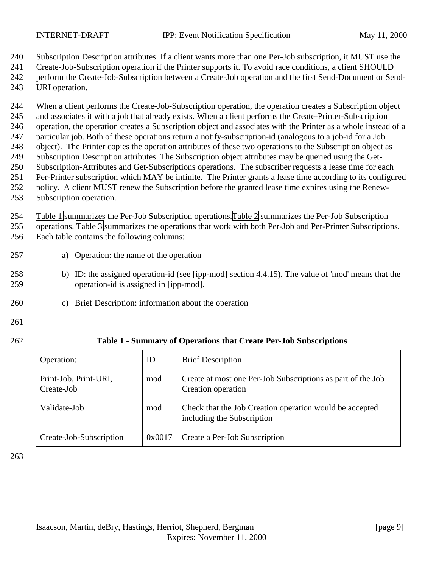<span id="page-8-0"></span>

Subscription Description attributes. If a client wants more than one Per-Job subscription, it MUST use the

Create-Job-Subscription operation if the Printer supports it. To avoid race conditions, a client SHOULD

 perform the Create-Job-Subscription between a Create-Job operation and the first Send-Document or Send-URI operation.

 When a client performs the Create-Job-Subscription operation, the operation creates a Subscription object and associates it with a job that already exists. When a client performs the Create-Printer-Subscription operation, the operation creates a Subscription object and associates with the Printer as a whole instead of a particular job. Both of these operations return a notify-subscription-id (analogous to a job-id for a Job object). The Printer copies the operation attributes of these two operations to the Subscription object as Subscription Description attributes. The Subscription object attributes may be queried using the Get- Subscription-Attributes and Get-Subscriptions operations. The subscriber requests a lease time for each Per-Printer subscription which MAY be infinite. The Printer grants a lease time according to its configured policy. A client MUST renew the Subscription before the granted lease time expires using the Renew-Subscription operation.

 Table 1 summarizes the Per-Job Subscription operations[.Table 2](#page-9-0) summarizes the Per-Job Subscription operations. [Table 3](#page-9-0) summarizes the operations that work with both Per-Job and Per-Printer Subscriptions.

- Each table contains the following columns:
- a) Operation: the name of the operation
- b) ID: the assigned operation-id (see [ipp-mod] section 4.4.15). The value of 'mod' means that the operation-id is assigned in [ipp-mod].
- c) Brief Description: information about the operation
- 
- 

#### **Table 1 - Summary of Operations that Create Per-Job Subscriptions**

| Operation:                          | ID     | <b>Brief Description</b>                                                              |
|-------------------------------------|--------|---------------------------------------------------------------------------------------|
| Print-Job, Print-URI,<br>Create-Job | mod    | Create at most one Per-Job Subscriptions as part of the Job<br>Creation operation     |
| Validate-Job                        | mod    | Check that the Job Creation operation would be accepted<br>including the Subscription |
| Create-Job-Subscription             | 0x0017 | Create a Per-Job Subscription                                                         |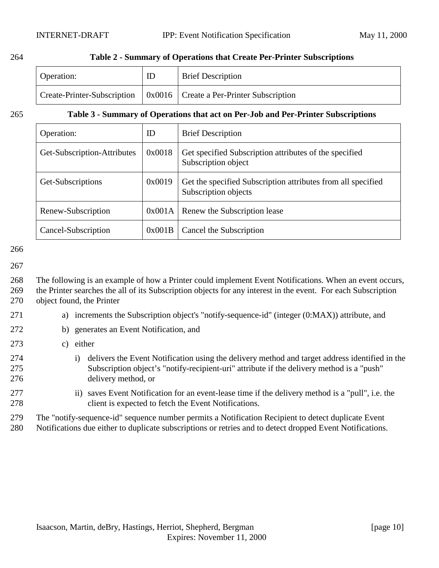#### <span id="page-9-0"></span>264 **Table 2 - Summary of Operations that Create Per-Printer Subscriptions**

| <b>Operation:</b> | <b>Brief Description</b>                                                                     |
|-------------------|----------------------------------------------------------------------------------------------|
|                   | $\vert$ Create-Printer-Subscription $\vert$ 0x0016 $\vert$ Create a Per-Printer Subscription |

#### 265 **Table 3 - Summary of Operations that act on Per-Job and Per-Printer Subscriptions**

| Operation:                  | ID     | <b>Brief Description</b>                                                             |
|-----------------------------|--------|--------------------------------------------------------------------------------------|
| Get-Subscription-Attributes | 0x0018 | Get specified Subscription attributes of the specified<br>Subscription object        |
| Get-Subscriptions           | 0x0019 | Get the specified Subscription attributes from all specified<br>Subscription objects |
| Renew-Subscription          | 0x001A | Renew the Subscription lease                                                         |
| Cancel-Subscription         | 0x001B | Cancel the Subscription                                                              |

#### 266

#### 267

268 The following is an example of how a Printer could implement Event Notifications. When an event occurs, 269 the Printer searches the all of its Subscription objects for any interest in the event. For each Subscription 270 object found, the Printer

- 271 a) increments the Subscription object's "notify-sequence-id" (integer (0:MAX)) attribute, and
- 272 b) generates an Event Notification, and
- 273 c) either
- 274 i) delivers the Event Notification using the delivery method and target address identified in the 275 Subscription object's "notify-recipient-uri" attribute if the delivery method is a "push" 276 delivery method, or
- 277 ii) saves Event Notification for an event-lease time if the delivery method is a "pull", i.e. the 278 client is expected to fetch the Event Notifications.
- 279 The "notify-sequence-id" sequence number permits a Notification Recipient to detect duplicate Event
- 280 Notifications due either to duplicate subscriptions or retries and to detect dropped Event Notifications.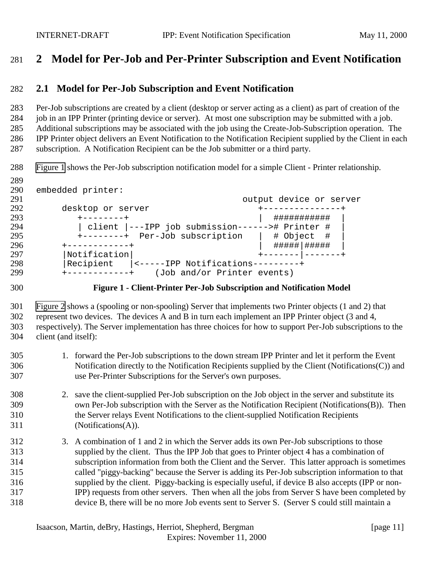## <span id="page-10-0"></span>**2 Model for Per-Job and Per-Printer Subscription and Event Notification**

#### **2.1 Model for Per-Job Subscription and Event Notification**

 Per-Job subscriptions are created by a client (desktop or server acting as a client) as part of creation of the job in an IPP Printer (printing device or server). At most one subscription may be submitted with a job. Additional subscriptions may be associated with the job using the Create-Job-Subscription operation. The IPP Printer object delivers an Event Notification to the Notification Recipient supplied by the Client in each subscription. A Notification Recipient can be the Job submitter or a third party.

Figure 1 shows the Per-Job subscription notification model for a simple Client - Printer relationship.

289<br>290 embedded printer: output device or server desktop or server +---------------+ +--------+ | ########### | | client |---IPP job submission------># Printer # | 295 +--------+ Per-Job subscription | # Object #<br>296 +-----------+ 296 +-----------+ | #####|##### |Notification| +-------|-------+ |Recipient |<-----IPP Notifications---------+ +------------+ (Job and/or Printer events)

#### **Figure 1 - Client-Printer Per-Job Subscription and Notification Model**

 [Figure 2](#page-11-0) shows a (spooling or non-spooling) Server that implements two Printer objects (1 and 2) that represent two devices. The devices A and B in turn each implement an IPP Printer object (3 and 4, respectively). The Server implementation has three choices for how to support Per-Job subscriptions to the client (and itself):

- 1. forward the Per-Job subscriptions to the down stream IPP Printer and let it perform the Event Notification directly to the Notification Recipients supplied by the Client (Notifications(C)) and use Per-Printer Subscriptions for the Server's own purposes.
- 2. save the client-supplied Per-Job subscription on the Job object in the server and substitute its own Per-Job subscription with the Server as the Notification Recipient (Notifications(B)). Then the Server relays Event Notifications to the client-supplied Notification Recipients (Notifications(A)).
- 3. A combination of 1 and 2 in which the Server adds its own Per-Job subscriptions to those supplied by the client. Thus the IPP Job that goes to Printer object 4 has a combination of subscription information from both the Client and the Server. This latter approach is sometimes called "piggy-backing" because the Server is adding its Per-Job subscription information to that supplied by the client. Piggy-backing is especially useful, if device B also accepts (IPP or non- IPP) requests from other servers. Then when all the jobs from Server S have been completed by device B, there will be no more Job events sent to Server S. (Server S could still maintain a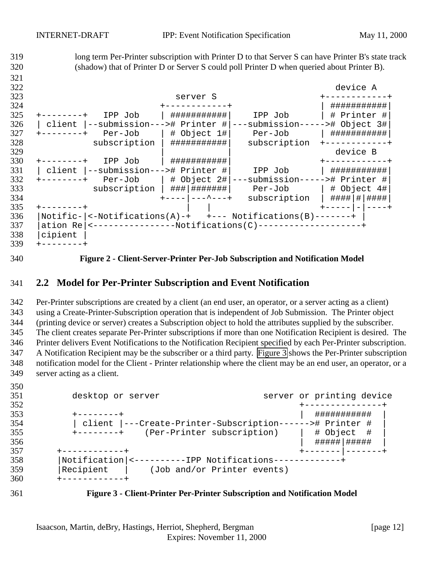<span id="page-11-0"></span> long term Per-Printer subscription with Printer D to that Server S can have Printer B's state track (shadow) that of Printer D or Server S could poll Printer D when queried about Printer B). device A server S +------------+ +------------+ | ###########| +--------+ IPP Job | ###########| IPP Job | # Printer #| | client |--submission---># Printer #|---submission-----># Object 3#| +--------+ Per-Job | # Object 1#| Per-Job | ###########| subscription | ############ subscription +------------+ | | device B +--------+ IPP Job | ###########| +------------+ | client |--submission---># Printer #| IPP Job | ###########| +--------+ Per-Job | # Object 2#|---submission-----># Printer #| subscription | ###|#######| Per-Job | # Object 4#| +----|---^---+ subscription | ####|#|####| +--------+ | | +-----|-|----+ |Notific-|<-Notifications(A)-+ +--- Notifications(B)-------+ |  $|ation Re|<--------Notifications(C)---------+$  |cipient | +--------+

**Figure 2 - Client-Server-Printer Per-Job Subscription and Notification Model**

#### **2.2 Model for Per-Printer Subscription and Event Notification**

 Per-Printer subscriptions are created by a client (an end user, an operator, or a server acting as a client) using a Create-Printer-Subscription operation that is independent of Job Submission. The Printer object (printing device or server) creates a Subscription object to hold the attributes supplied by the subscriber. The client creates separate Per-Printer subscriptions if more than one Notification Recipient is desired. The Printer delivers Event Notifications to the Notification Recipient specified by each Per-Printer subscription. A Notification Recipient may be the subscriber or a third party. Figure 3 shows the Per-Printer subscription notification model for the Client - Printer relationship where the client may be an end user, an operator, or a server acting as a client.

| 351 | desktop or server                                        |  | server or printing device |  |
|-----|----------------------------------------------------------|--|---------------------------|--|
| 352 |                                                          |  | ---------------+          |  |
| 353 | --------+                                                |  | ###########               |  |
| 354 | client  ---Create-Printer-Subscription------># Printer # |  |                           |  |
| 355 | (Per-Printer subscription)<br>$+ - - - - - - - +$        |  | # Object #                |  |
| 356 |                                                          |  | #####   #####             |  |
| 357 | +-----------+                                            |  |                           |  |
| 358 | Notification <---------IPP Notifications------------+    |  |                           |  |
| 359 | Recipient<br>(Job and/or Printer events)                 |  |                           |  |
| 360 |                                                          |  |                           |  |
|     |                                                          |  |                           |  |



**Figure 3 - Client-Printer Per-Printer Subscription and Notification Model**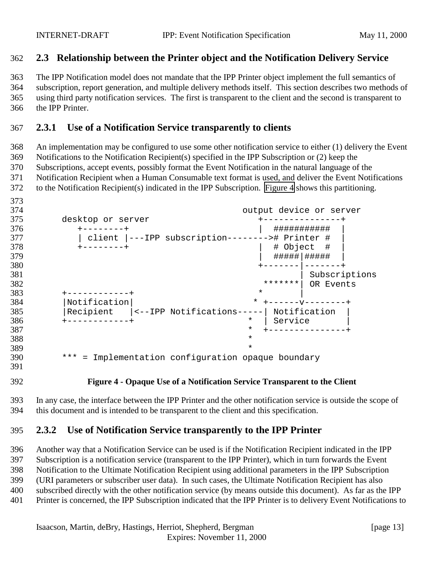## <span id="page-12-0"></span>**2.3 Relationship between the Printer object and the Notification Delivery Service**

 The IPP Notification model does not mandate that the IPP Printer object implement the full semantics of subscription, report generation, and multiple delivery methods itself. This section describes two methods of using third party notification services. The first is transparent to the client and the second is transparent to the IPP Printer.

#### **2.3.1 Use of a Notification Service transparently to clients**

 An implementation may be configured to use some other notification service to either (1) delivery the Event Notifications to the Notification Recipient(s) specified in the IPP Subscription or (2) keep the Subscriptions, accept events, possibly format the Event Notification in the natural language of the Notification Recipient when a Human Consumable text format is used, and deliver the Event Notifications to the Notification Recipient(s) indicated in the IPP Subscription. Figure 4 shows this partitioning.

373<br>374 output device or server desktop or server +---------------+ +--------+ | ########### | | client |---IPP subscription--------># Printer # | +--------+ | # Object # | | #####|##### | +-------|-------+ | Subscriptions 382 \*\*\*\*\*\*\*\*<sup>|</sup> OR Events  $383 + - - - - - - - - - - +$  |Notification| \* +------v--------+ |Recipient |<--IPP Notifications-----| Notification | +------------+ \* | Service | \* +---------------+ \* \* \*\*\* = Implementation configuration opaque boundary

**Figure 4 - Opaque Use of a Notification Service Transparent to the Client**

 In any case, the interface between the IPP Printer and the other notification service is outside the scope of this document and is intended to be transparent to the client and this specification.

#### **2.3.2 Use of Notification Service transparently to the IPP Printer**

 Another way that a Notification Service can be used is if the Notification Recipient indicated in the IPP Subscription is a notification service (transparent to the IPP Printer), which in turn forwards the Event Notification to the Ultimate Notification Recipient using additional parameters in the IPP Subscription (URI parameters or subscriber user data). In such cases, the Ultimate Notification Recipient has also subscribed directly with the other notification service (by means outside this document). As far as the IPP Printer is concerned, the IPP Subscription indicated that the IPP Printer is to delivery Event Notifications to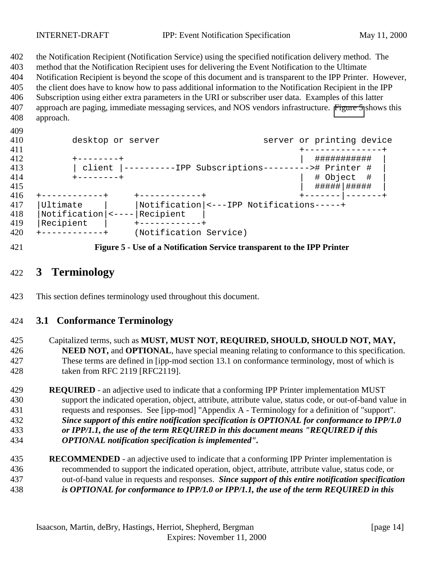<span id="page-13-0"></span>

the Notification Recipient (Notification Service) using the specified notification delivery method. The

method that the Notification Recipient uses for delivering the Event Notification to the Ultimate

Notification Recipient is beyond the scope of this document and is transparent to the IPP Printer. However,

 the client does have to know how to pass additional information to the Notification Recipient in the IPP Subscription using either extra parameters in the URI or subscriber user data. Examples of this latter approach are paging, immediate messaging services, and NOS vendors infrastructure. Figure 5 shows this approach.

- 410 desktop or server server server or printing device +---------------+ +--------+ | ########### | | client |----------IPP Subscriptions---------># Printer # | +--------+ | # Object # |  $\begin{array}{|c|c|c|c|c|}\hline & & \# \text{#}\text{#}\text{#}\text{#}\text{#}\text{#} \text{#} \text{ } \text{#}}\hline \end{array}$  +------------+ +------------+ +-------|-------+ |Ultimate | |Notification|<---IPP Notifications-----+ |Notification|<----|Recipient | |Recipient | +------------+ +------------+ (Notification Service)
- 

**Figure 5 - Use of a Notification Service transparent to the IPP Printer**

## **3 Terminology**

This section defines terminology used throughout this document.

## **3.1 Conformance Terminology**

 Capitalized terms, such as **MUST, MUST NOT, REQUIRED, SHOULD, SHOULD NOT, MAY, NEED NOT,** and **OPTIONAL**, have special meaning relating to conformance to this specification. These terms are defined in [ipp-mod section 13.1 on conformance terminology, most of which is taken from RFC 2119 [RFC2119].

- **REQUIRED**  an adjective used to indicate that a conforming IPP Printer implementation MUST support the indicated operation, object, attribute, attribute value, status code, or out-of-band value in requests and responses. See [ipp-mod] "Appendix A - Terminology for a definition of "support". *Since support of this entire notification specification is OPTIONAL for conformance to IPP/1.0 or IPP/1.1, the use of the term REQUIRED in this document means "REQUIRED if this OPTIONAL notification specification is implemented".*
- **RECOMMENDED**  an adjective used to indicate that a conforming IPP Printer implementation is recommended to support the indicated operation, object, attribute, attribute value, status code, or out-of-band value in requests and responses. *Since support of this entire notification specification is OPTIONAL for conformance to IPP/1.0 or IPP/1.1, the use of the term REQUIRED in this*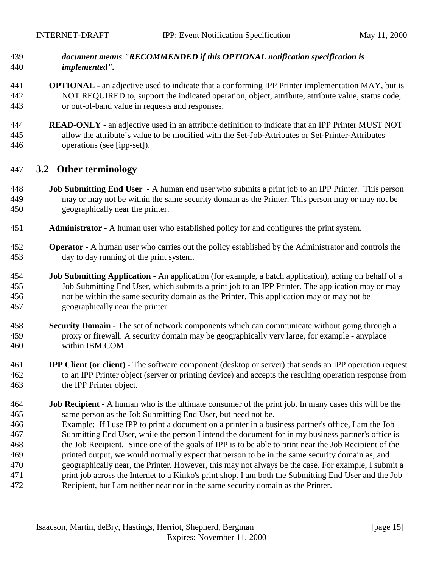#### <span id="page-14-0"></span> *document means "RECOMMENDED if this OPTIONAL notification specification is implemented".*

- **OPTIONAL**  an adjective used to indicate that a conforming IPP Printer implementation MAY, but is NOT REQUIRED to, support the indicated operation, object, attribute, attribute value, status code, or out-of-band value in requests and responses.
- **READ-ONLY** an adjective used in an attribute definition to indicate that an IPP Printer MUST NOT allow the attribute's value to be modified with the Set-Job-Attributes or Set-Printer-Attributes operations (see [ipp-set]).

#### **3.2 Other terminology**

- **Job Submitting End User** A human end user who submits a print job to an IPP Printer. This person may or may not be within the same security domain as the Printer. This person may or may not be geographically near the printer.
- **Administrator**  A human user who established policy for and configures the print system.
- **Operator** A human user who carries out the policy established by the Administrator and controls the day to day running of the print system.
- **Job Submitting Application** An application (for example, a batch application), acting on behalf of a Job Submitting End User, which submits a print job to an IPP Printer. The application may or may not be within the same security domain as the Printer. This application may or may not be geographically near the printer.
- **Security Domain** The set of network components which can communicate without going through a proxy or firewall. A security domain may be geographically very large, for example - anyplace within IBM.COM.
- **IPP Client (or client)** The software component (desktop or server) that sends an IPP operation request to an IPP Printer object (server or printing device) and accepts the resulting operation response from the IPP Printer object.
- **Job Recipient** A human who is the ultimate consumer of the print job. In many cases this will be the same person as the Job Submitting End User, but need not be. Example: If I use IPP to print a document on a printer in a business partner's office, I am the Job Submitting End User, while the person I intend the document for in my business partner's office is the Job Recipient. Since one of the goals of IPP is to be able to print near the Job Recipient of the printed output, we would normally expect that person to be in the same security domain as, and geographically near, the Printer. However, this may not always be the case. For example, I submit a print job across the Internet to a Kinko's print shop. I am both the Submitting End User and the Job Recipient, but I am neither near nor in the same security domain as the Printer.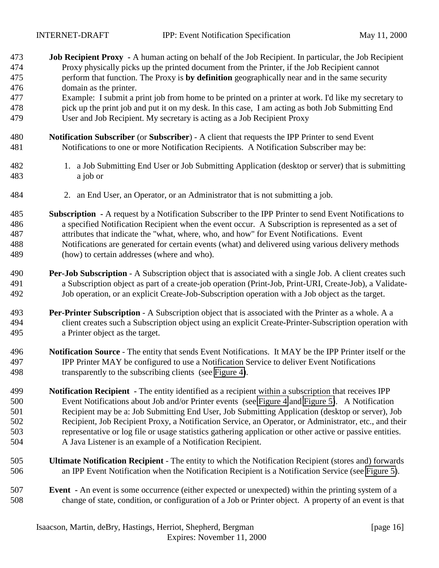| 473 | Job Recipient Proxy - A human acting on behalf of the Job Recipient. In particular, the Job Recipient           |
|-----|-----------------------------------------------------------------------------------------------------------------|
| 474 | Proxy physically picks up the printed document from the Printer, if the Job Recipient cannot                    |
| 475 | perform that function. The Proxy is by definition geographically near and in the same security                  |
| 476 | domain as the printer.                                                                                          |
| 477 | Example: I submit a print job from home to be printed on a printer at work. I'd like my secretary to            |
| 478 | pick up the print job and put it on my desk. In this case, I am acting as both Job Submitting End               |
| 479 | User and Job Recipient. My secretary is acting as a Job Recipient Proxy                                         |
| 480 | Notification Subscriber (or Subscriber) - A client that requests the IPP Printer to send Event                  |
| 481 | Notifications to one or more Notification Recipients. A Notification Subscriber may be:                         |
| 482 | 1. a Job Submitting End User or Job Submitting Application (desktop or server) that is submitting               |
| 483 | a job or                                                                                                        |
| 484 | 2. an End User, an Operator, or an Administrator that is not submitting a job.                                  |
| 485 | <b>Subscription</b> - A request by a Notification Subscriber to the IPP Printer to send Event Notifications to  |
| 486 | a specified Notification Recipient when the event occur. A Subscription is represented as a set of              |
| 487 | attributes that indicate the "what, where, who, and how" for Event Notifications. Event                         |
| 488 | Notifications are generated for certain events (what) and delivered using various delivery methods              |
| 489 | (how) to certain addresses (where and who).                                                                     |
| 490 | <b>Per-Job Subscription</b> - A Subscription object that is associated with a single Job. A client creates such |
| 491 | a Subscription object as part of a create-job operation (Print-Job, Print-URI, Create-Job), a Validate-         |
| 492 | Job operation, or an explicit Create-Job-Subscription operation with a Job object as the target.                |
| 493 | Per-Printer Subscription - A Subscription object that is associated with the Printer as a whole. A a            |
| 494 | client creates such a Subscription object using an explicit Create-Printer-Subscription operation with          |
| 495 | a Printer object as the target.                                                                                 |
| 496 | Notification Source - The entity that sends Event Notifications. It MAY be the IPP Printer itself or the        |
| 497 | IPP Printer MAY be configured to use a Notification Service to deliver Event Notifications                      |
| 498 | transparently to the subscribing clients (see Figure 4).                                                        |
| 499 | Notification Recipient - The entity identified as a recipient within a subscription that receives IPP           |
| 500 | Event Notifications about Job and/or Printer events (see Figure 4 and Figure 5). A Notification                 |
| 501 | Recipient may be a: Job Submitting End User, Job Submitting Application (desktop or server), Job                |
| 502 | Recipient, Job Recipient Proxy, a Notification Service, an Operator, or Administrator, etc., and their          |
| 503 | representative or log file or usage statistics gathering application or other active or passive entities.       |
| 504 | A Java Listener is an example of a Notification Recipient.                                                      |
| 505 | Ultimate Notification Recipient - The entity to which the Notification Recipient (stores and) forwards          |
| 506 | an IPP Event Notification when the Notification Recipient is a Notification Service (see Figure 5).             |
| 507 | <b>Event</b> - An event is some occurrence (either expected or unexpected) within the printing system of a      |
| 508 | change of state, condition, or configuration of a Job or Printer object. A property of an event is that         |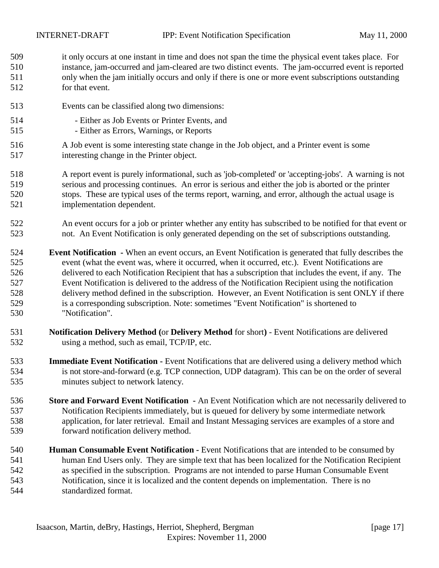it only occurs at one instant in time and does not span the time the physical event takes place. For instance, jam-occurred and jam-cleared are two distinct events. The jam-occurred event is reported only when the jam initially occurs and only if there is one or more event subscriptions outstanding for that event.

- Events can be classified along two dimensions:
- Either as Job Events or Printer Events, and
- Either as Errors, Warnings, or Reports
- A Job event is some interesting state change in the Job object, and a Printer event is some interesting change in the Printer object.
- A report event is purely informational, such as 'job-completed' or 'accepting-jobs'. A warning is not serious and processing continues. An error is serious and either the job is aborted or the printer stops. These are typical uses of the terms report, warning, and error, although the actual usage is implementation dependent.
- An event occurs for a job or printer whether any entity has subscribed to be notified for that event or not. An Event Notification is only generated depending on the set of subscriptions outstanding.
- **Event Notification** When an event occurs, an Event Notification is generated that fully describes the event (what the event was, where it occurred, when it occurred, etc.). Event Notifications are delivered to each Notification Recipient that has a subscription that includes the event, if any. The Event Notification is delivered to the address of the Notification Recipient using the notification delivery method defined in the subscription. However, an Event Notification is sent ONLY if there is a corresponding subscription. Note: sometimes "Event Notification" is shortened to "Notification".
- **Notification Delivery Method (**or **Delivery Method** for short**)**  Event Notifications are delivered using a method, such as email, TCP/IP, etc.
- **Immediate Event Notification** Event Notifications that are delivered using a delivery method which is not store-and-forward (e.g. TCP connection, UDP datagram). This can be on the order of several minutes subject to network latency.
- **Store and Forward Event Notification** An Event Notification which are not necessarily delivered to Notification Recipients immediately, but is queued for delivery by some intermediate network application, for later retrieval. Email and Instant Messaging services are examples of a store and forward notification delivery method.
- **Human Consumable Event Notification** Event Notifications that are intended to be consumed by human End Users only. They are simple text that has been localized for the Notification Recipient as specified in the subscription. Programs are not intended to parse Human Consumable Event Notification, since it is localized and the content depends on implementation. There is no standardized format.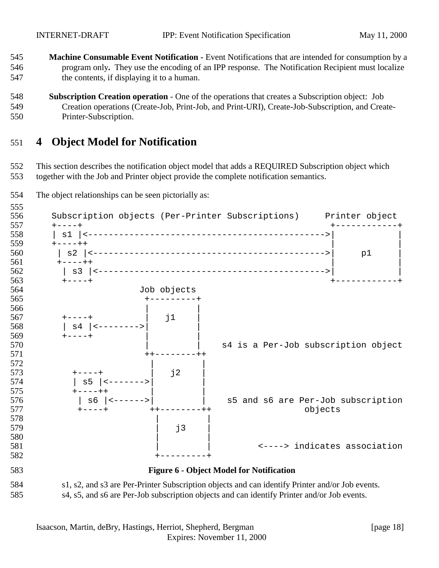- <span id="page-17-0"></span> **Machine Consumable Event Notification -** Event Notifications that are intended for consumption by a program only**.** They use the encoding of an IPP response. The Notification Recipient must localize the contents, if displaying it to a human.
- **Subscription Creation operation**  One of the operations that creates a Subscription object: Job Creation operations (Create-Job, Print-Job, and Print-URI), Create-Job-Subscription, and Create-Printer-Subscription.

## **4 Object Model for Notification**

 This section describes the notification object model that adds a REQUIRED Subscription object which together with the Job and Printer object provide the complete notification semantics.

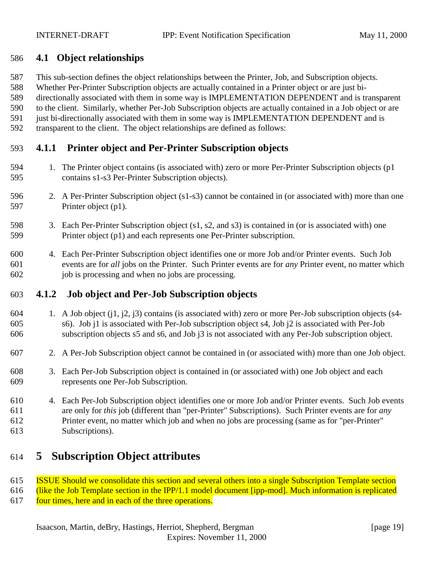#### <span id="page-18-0"></span>**4.1 Object relationships**

- This sub-section defines the object relationships between the Printer, Job, and Subscription objects.
- Whether Per-Printer Subscription objects are actually contained in a Printer object or are just bi-
- directionally associated with them in some way is IMPLEMENTATION DEPENDENT and is transparent
- to the client. Similarly, whether Per-Job Subscription objects are actually contained in a Job object or are
- 591 just bi-directionally associated with them in some way is IMPLEMENTATION DEPENDENT and is
- transparent to the client. The object relationships are defined as follows:

## **4.1.1 Printer object and Per-Printer Subscription objects**

- 1. The Printer object contains (is associated with) zero or more Per-Printer Subscription objects (p1 contains s1-s3 Per-Printer Subscription objects).
- 2. A Per-Printer Subscription object (s1-s3) cannot be contained in (or associated with) more than one Printer object (p1).
- 3. Each Per-Printer Subscription object (s1, s2, and s3) is contained in (or is associated with) one Printer object (p1) and each represents one Per-Printer subscription.
- 4. Each Per-Printer Subscription object identifies one or more Job and/or Printer events. Such Job events are for *all* jobs on the Printer. Such Printer events are for *any* Printer event, no matter which job is processing and when no jobs are processing.

## **4.1.2 Job object and Per-Job Subscription objects**

- 1. A Job object (j1, j2, j3) contains (is associated with) zero or more Per-Job subscription objects (s4- s6). Job j1 is associated with Per-Job subscription object s4, Job j2 is associated with Per-Job subscription objects s5 and s6, and Job j3 is not associated with any Per-Job subscription object.
- 2. A Per-Job Subscription object cannot be contained in (or associated with) more than one Job object.
- 3. Each Per-Job Subscription object is contained in (or associated with) one Job object and each represents one Per-Job Subscription.
- 4. Each Per-Job Subscription object identifies one or more Job and/or Printer events. Such Job events are only for *this* job (different than "per-Printer" Subscriptions). Such Printer events are for *any* Printer event, no matter which job and when no jobs are processing (same as for "per-Printer" Subscriptions).

# **5 Subscription Object attributes**

- ISSUE Should we consolidate this section and several others into a single Subscription Template section
- (like the Job Template section in the IPP/1.1 model document [ipp-mod]. Much information is replicated
- 617 four times, here and in each of the three operations.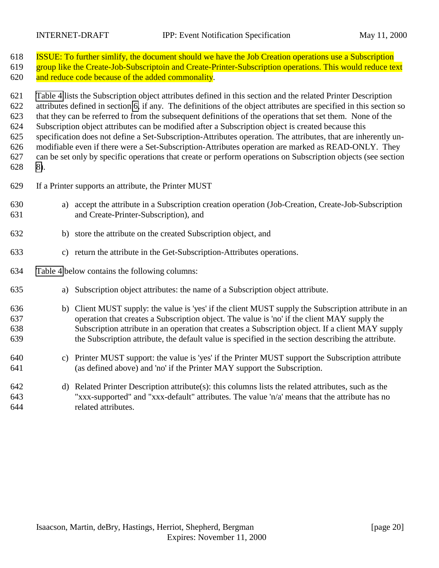| 618 | <b>ISSUE:</b> To further similify, the document should we have the Job Creation operations use a Subscription      |  |  |  |  |  |  |
|-----|--------------------------------------------------------------------------------------------------------------------|--|--|--|--|--|--|
| 619 | group like the Create-Job-Subscriptoin and Create-Printer-Subscription operations. This would reduce text          |  |  |  |  |  |  |
| 620 | and reduce code because of the added commonality.                                                                  |  |  |  |  |  |  |
|     |                                                                                                                    |  |  |  |  |  |  |
| 621 | Table 4 lists the Subscription object attributes defined in this section and the related Printer Description       |  |  |  |  |  |  |
| 622 | attributes defined in section 6, if any. The definitions of the object attributes are specified in this section so |  |  |  |  |  |  |
| 623 | that they can be referred to from the subsequent definitions of the operations that set them. None of the          |  |  |  |  |  |  |
| 624 | Subscription object attributes can be modified after a Subscription object is created because this                 |  |  |  |  |  |  |
| 625 | specification does not define a Set-Subscription-Attributes operation. The attributes, that are inherently un-     |  |  |  |  |  |  |
| 626 | modifiable even if there were a Set-Subscription-Attributes operation are marked as READ-ONLY. They                |  |  |  |  |  |  |
| 627 | can be set only by specific operations that create or perform operations on Subscription objects (see section      |  |  |  |  |  |  |
| 628 | 8).                                                                                                                |  |  |  |  |  |  |
| 629 | If a Printer supports an attribute, the Printer MUST                                                               |  |  |  |  |  |  |
| 630 | a) accept the attribute in a Subscription creation operation (Job-Creation, Create-Job-Subscription                |  |  |  |  |  |  |
| 631 | and Create-Printer-Subscription), and                                                                              |  |  |  |  |  |  |
| 632 | b) store the attribute on the created Subscription object, and                                                     |  |  |  |  |  |  |
| 633 | c) return the attribute in the Get-Subscription-Attributes operations.                                             |  |  |  |  |  |  |
| 634 | Table 4 below contains the following columns:                                                                      |  |  |  |  |  |  |
| 635 | Subscription object attributes: the name of a Subscription object attribute.<br>a)                                 |  |  |  |  |  |  |
| 636 | b) Client MUST supply: the value is 'yes' if the client MUST supply the Subscription attribute in an               |  |  |  |  |  |  |
| 637 | operation that creates a Subscription object. The value is 'no' if the client MAY supply the                       |  |  |  |  |  |  |
| 638 | Subscription attribute in an operation that creates a Subscription object. If a client MAY supply                  |  |  |  |  |  |  |
| 639 | the Subscription attribute, the default value is specified in the section describing the attribute.                |  |  |  |  |  |  |
| 640 | c) Printer MUST support: the value is 'yes' if the Printer MUST support the Subscription attribute                 |  |  |  |  |  |  |
| 641 | (as defined above) and 'no' if the Printer MAY support the Subscription.                                           |  |  |  |  |  |  |
| 642 | d) Related Printer Description attribute(s): this columns lists the related attributes, such as the                |  |  |  |  |  |  |
| 643 | "xxx-supported" and "xxx-default" attributes. The value 'n/a' means that the attribute has no                      |  |  |  |  |  |  |
| 644 | related attributes.                                                                                                |  |  |  |  |  |  |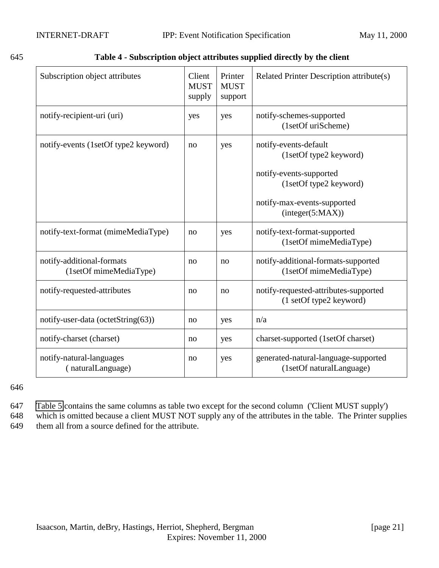<span id="page-20-0"></span>

| Subscription object attributes                      | Client<br><b>MUST</b><br>supply | Printer<br><b>MUST</b><br>support | Related Printer Description attribute(s)                                                                                                                |
|-----------------------------------------------------|---------------------------------|-----------------------------------|---------------------------------------------------------------------------------------------------------------------------------------------------------|
| notify-recipient-uri (uri)                          | yes                             | yes                               | notify-schemes-supported<br>(1setOf uriScheme)                                                                                                          |
| notify-events (1setOf type2 keyword)                | no                              | yes                               | notify-events-default<br>(1setOf type2 keyword)<br>notify-events-supported<br>(1setOf type2 keyword)<br>notify-max-events-supported<br>(integer(5:MAX)) |
| notify-text-format (mimeMediaType)                  | no                              | yes                               | notify-text-format-supported<br>(1setOf mimeMediaType)                                                                                                  |
| notify-additional-formats<br>(1setOf mimeMediaType) | no                              | no                                | notify-additional-formats-supported<br>(1setOf mimeMediaType)                                                                                           |
| notify-requested-attributes                         | no                              | no                                | notify-requested-attributes-supported<br>(1 setOf type2 keyword)                                                                                        |
| notify-user-data (octetString(63))                  | no                              | yes                               | n/a                                                                                                                                                     |
| notify-charset (charset)                            | no                              | yes                               | charset-supported (1setOf charset)                                                                                                                      |
| notify-natural-languages<br>(naturalLanguage)       | no                              | yes                               | generated-natural-language-supported<br>(1setOf naturalLanguage)                                                                                        |

646

- 647 [Table 5](#page-21-0) contains the same columns as table two except for the second column ('Client MUST supply')
- 648 which is omitted because a client MUST NOT supply any of the attributes in the table. The Printer supplies 649 them all from a source defined for the attribute.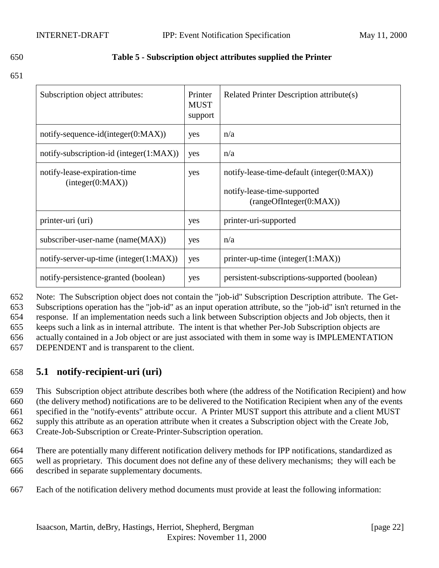#### <span id="page-21-0"></span>650 **Table 5 - Subscription object attributes supplied the Printer**

#### 651

| Subscription object attributes:                  | Printer<br><b>MUST</b><br>support | Related Printer Description attribute(s)                                                             |
|--------------------------------------------------|-----------------------------------|------------------------------------------------------------------------------------------------------|
| notify-sequence-id(integer( $0:MAX$ ))           | yes                               | n/a                                                                                                  |
| notify-subscription-id (integer(1:MAX))          | yes                               | n/a                                                                                                  |
| notify-lease-expiration-time<br>interger(0:MAX)) | yes                               | notify-lease-time-default (integer(0:MAX))<br>notify-lease-time-supported<br>(rangeOfInteger(0:MAX)) |
| printer-uri (uri)                                | yes                               | printer-uri-supported                                                                                |
| subscriber-user-name (name(MAX))                 | yes                               | n/a                                                                                                  |
| notify-server-up-time (integer(1: $MAX$ ))       | yes                               | $printer-up-time (integer(1:MAX))$                                                                   |
| notify-persistence-granted (boolean)             | yes                               | persistent-subscriptions-supported (boolean)                                                         |

 Note: The Subscription object does not contain the "job-id" Subscription Description attribute. The Get- Subscriptions operation has the "job-id" as an input operation attribute, so the "job-id" isn't returned in the response. If an implementation needs such a link between Subscription objects and Job objects, then it keeps such a link as in internal attribute. The intent is that whether Per-Job Subscription objects are actually contained in a Job object or are just associated with them in some way is IMPLEMENTATION DEPENDENT and is transparent to the client.

#### 658 **5.1 notify-recipient-uri (uri)**

 This Subscription object attribute describes both where (the address of the Notification Recipient) and how (the delivery method) notifications are to be delivered to the Notification Recipient when any of the events specified in the "notify-events" attribute occur. A Printer MUST support this attribute and a client MUST supply this attribute as an operation attribute when it creates a Subscription object with the Create Job, Create-Job-Subscription or Create-Printer-Subscription operation.

664 There are potentially many different notification delivery methods for IPP notifications, standardized as 665 well as proprietary. This document does not define any of these delivery mechanisms; they will each be 666 described in separate supplementary documents.

667 Each of the notification delivery method documents must provide at least the following information: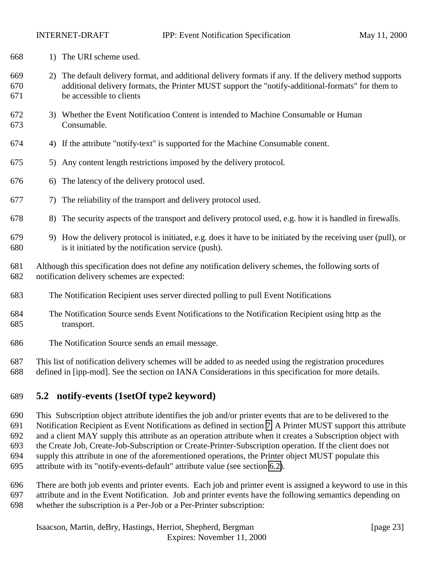<span id="page-22-0"></span>

- 1) The URI scheme used.
- 2) The default delivery format, and additional delivery formats if any. If the delivery method supports additional delivery formats, the Printer MUST support the "notify-additional-formats" for them to be accessible to clients
- 3) Whether the Event Notification Content is intended to Machine Consumable or Human Consumable.
- 4) If the attribute "notify-text" is supported for the Machine Consumable conent.
- 5) Any content length restrictions imposed by the delivery protocol.
- 6) The latency of the delivery protocol used.
- 7) The reliability of the transport and delivery protocol used.
- 8) The security aspects of the transport and delivery protocol used, e.g. how it is handled in firewalls.
- 9) How the delivery protocol is initiated, e.g. does it have to be initiated by the receiving user (pull), or is it initiated by the notification service (push).
- Although this specification does not define any notification delivery schemes, the following sorts of notification delivery schemes are expected:
- The Notification Recipient uses server directed polling to pull Event Notifications
- The Notification Source sends Event Notifications to the Notification Recipient using http as the transport.
- The Notification Source sends an email message.
- This list of notification delivery schemes will be added to as needed using the registration procedures
- defined in [ipp-mod]. See the section on IANA Considerations in this specification for more details.

## **5.2 notify-events (1setOf type2 keyword)**

 This Subscription object attribute identifies the job and/or printer events that are to be delivered to the Notification Recipient as Event Notifications as defined in section [7.](#page-37-0) A Printer MUST support this attribute and a client MAY supply this attribute as an operation attribute when it creates a Subscription object with the Create Job, Create-Job-Subscription or Create-Printer-Subscription operation. If the client does not supply this attribute in one of the aforementioned operations, the Printer object MUST populate this attribute with its "notify-events-default" attribute value (see section [6.2\)](#page-35-0).

 There are both job events and printer events. Each job and printer event is assigned a keyword to use in this attribute and in the Event Notification. Job and printer events have the following semantics depending on whether the subscription is a Per-Job or a Per-Printer subscription: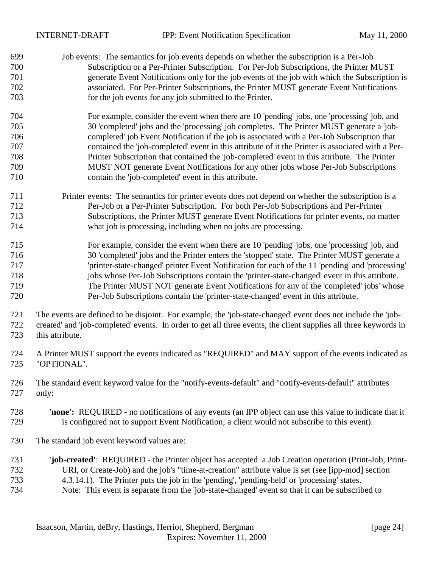|                                 | <b>INTERNET-DRAFT</b>                      | <b>IPP:</b> Event Notification Specification                                                                                                                                                                                                                                                                                                                                                                   | May 11, 2000 |
|---------------------------------|--------------------------------------------|----------------------------------------------------------------------------------------------------------------------------------------------------------------------------------------------------------------------------------------------------------------------------------------------------------------------------------------------------------------------------------------------------------------|--------------|
| 699<br>700<br>701<br>702<br>703 |                                            | Job events: The semantics for job events depends on whether the subscription is a Per-Job<br>Subscription or a Per-Printer Subscription. For Per-Job Subscriptions, the Printer MUST<br>generate Event Notifications only for the job events of the job with which the Subscription is<br>associated. For Per-Printer Subscriptions, the Printer MUST generate Event Notifications                             |              |
|                                 |                                            | for the job events for any job submitted to the Printer.                                                                                                                                                                                                                                                                                                                                                       |              |
| 704                             |                                            | For example, consider the event when there are 10 'pending' jobs, one 'processing' job, and                                                                                                                                                                                                                                                                                                                    |              |
| 705                             |                                            | 30 'completed' jobs and the 'processing' job completes. The Printer MUST generate a 'job-                                                                                                                                                                                                                                                                                                                      |              |
| 706                             |                                            | completed' job Event Notification if the job is associated with a Per-Job Subscription that                                                                                                                                                                                                                                                                                                                    |              |
| 707                             |                                            | contained the 'job-completed' event in this attribute of it the Printer is associated with a Per-                                                                                                                                                                                                                                                                                                              |              |
| 708                             |                                            | Printer Subscription that contained the 'job-completed' event in this attribute. The Printer                                                                                                                                                                                                                                                                                                                   |              |
| 709<br>710                      |                                            | MUST NOT generate Event Notifications for any other jobs whose Per-Job Subscriptions<br>contain the 'job-completed' event in this attribute.                                                                                                                                                                                                                                                                   |              |
| 711                             |                                            |                                                                                                                                                                                                                                                                                                                                                                                                                |              |
| 712                             |                                            | Printer events: The semantics for printer events does not depend on whether the subscription is a<br>Per-Job or a Per-Printer Subscription. For both Per-Job Subscriptions and Per-Printer                                                                                                                                                                                                                     |              |
| 713                             |                                            | Subscriptions, the Printer MUST generate Event Notifications for printer events, no matter                                                                                                                                                                                                                                                                                                                     |              |
| 714                             |                                            | what job is processing, including when no jobs are processing.                                                                                                                                                                                                                                                                                                                                                 |              |
| 715                             |                                            | For example, consider the event when there are 10 'pending' jobs, one 'processing' job, and                                                                                                                                                                                                                                                                                                                    |              |
| 716                             |                                            | 30 'completed' jobs and the Printer enters the 'stopped' state. The Printer MUST generate a                                                                                                                                                                                                                                                                                                                    |              |
| 717                             |                                            | 'printer-state-changed' printer Event Notification for each of the 11 'pending' and 'processing'                                                                                                                                                                                                                                                                                                               |              |
| 718                             |                                            | jobs whose Per-Job Subscriptions contain the 'printer-state-changed' event in this attribute.                                                                                                                                                                                                                                                                                                                  |              |
| 719                             |                                            | The Printer MUST NOT generate Event Notifications for any of the 'completed' jobs' whose                                                                                                                                                                                                                                                                                                                       |              |
| 720                             |                                            | Per-Job Subscriptions contain the 'printer-state-changed' event in this attribute.                                                                                                                                                                                                                                                                                                                             |              |
| 721<br>722<br>723               | this attribute.                            | The events are defined to be disjoint. For example, the 'job-state-changed' event does not include the 'job-<br>created' and 'job-completed' events. In order to get all three events, the client supplies all three keywords in                                                                                                                                                                               |              |
| 724<br>725                      | "OPTIONAL".                                | A Printer MUST support the events indicated as "REQUIRED" and MAY support of the events indicated as                                                                                                                                                                                                                                                                                                           |              |
| 726<br>727                      | only:                                      | The standard event keyword value for the "notify-events-default" and "notify-events-default" attributes                                                                                                                                                                                                                                                                                                        |              |
| 728<br>729                      |                                            | 'none': REQUIRED - no notifications of any events (an IPP object can use this value to indicate that it<br>is configured not to support Event Notification; a client would not subscribe to this event).                                                                                                                                                                                                       |              |
| 730                             | The standard job event keyword values are: |                                                                                                                                                                                                                                                                                                                                                                                                                |              |
| 731<br>732<br>733<br>734        |                                            | 'job-created': REQUIRED - the Printer object has accepted a Job Creation operation (Print-Job, Print-<br>URI, or Create-Job) and the job's "time-at-creation" attribute value is set (see [ipp-mod] section<br>4.3.14.1). The Printer puts the job in the 'pending', 'pending-held' or 'processing' states.<br>Note: This event is separate from the 'job-state-changed' event so that it can be subscribed to |              |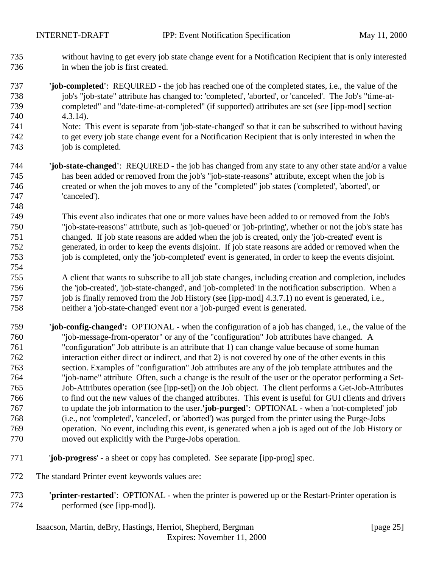- without having to get every job state change event for a Notification Recipient that is only interested in when the job is first created.
- **'job-completed'**: REQUIRED the job has reached one of the completed states, i.e., the value of the job's "job-state" attribute has changed to: 'completed', 'aborted', or 'canceled'. The Job's "time-at- completed" and "date-time-at-completed" (if supported) attributes are set (see [ipp-mod] section 4.3.14).
- Note: This event is separate from 'job-state-changed' so that it can be subscribed to without having to get every job state change event for a Notification Recipient that is only interested in when the 743 job is completed.
- **'job-state-changed'**: REQUIRED the job has changed from any state to any other state and/or a value has been added or removed from the job's "job-state-reasons" attribute, except when the job is created or when the job moves to any of the "completed" job states ('completed', 'aborted', or 'canceled').

 This event also indicates that one or more values have been added to or removed from the Job's "job-state-reasons" attribute, such as 'job-queued' or 'job-printing', whether or not the job's state has changed. If job state reasons are added when the job is created, only the 'job-created' event is generated, in order to keep the events disjoint. If job state reasons are added or removed when the job is completed, only the 'job-completed' event is generated, in order to keep the events disjoint.

- A client that wants to subscribe to all job state changes, including creation and completion, includes the 'job-created', 'job-state-changed', and 'job-completed' in the notification subscription. When a 757 job is finally removed from the Job History (see [ipp-mod] 4.3.7.1) no event is generated, i.e., neither a 'job-state-changed' event nor a 'job-purged' event is generated.
- **'job-config-changed':** OPTIONAL when the configuration of a job has changed, i.e., the value of the "job-message-from-operator" or any of the "configuration" Job attributes have changed. A "configuration" Job attribute is an attribute that 1) can change value because of some human interaction either direct or indirect, and that 2) is not covered by one of the other events in this section. Examples of "configuration" Job attributes are any of the job template attributes and the "job-name" attribute Often, such a change is the result of the user or the operator performing a Set- Job-Attributes operation (see [ipp-set]) on the Job object. The client performs a Get-Job-Attributes to find out the new values of the changed attributes. This event is useful for GUI clients and drivers to update the job information to the user.**'job-purged'**: OPTIONAL - when a 'not-completed' job (i.e., not 'completed', 'canceled', or 'aborted') was purged from the printer using the Purge-Jobs operation. No event, including this event, is generated when a job is aged out of the Job History or moved out explicitly with the Purge-Jobs operation.
- '**job-progress**' a sheet or copy has completed. See separate [ipp-prog] spec.
- The standard Printer event keywords values are:
- **'printer-restarted'**: OPTIONAL when the printer is powered up or the Restart-Printer operation is performed (see [ipp-mod]).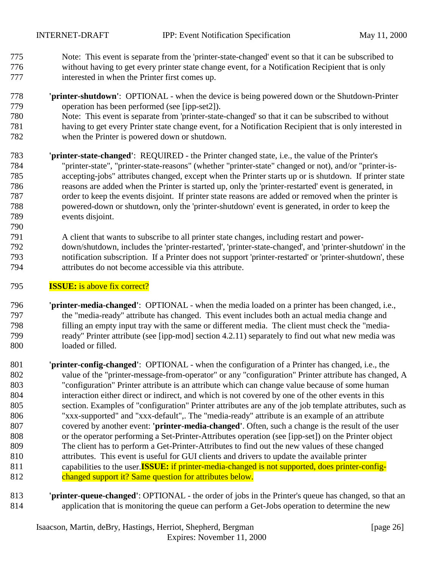- Note: This event is separate from the 'printer-state-changed' event so that it can be subscribed to without having to get every printer state change event, for a Notification Recipient that is only interested in when the Printer first comes up.
- **'printer-shutdown'**: OPTIONAL when the device is being powered down or the Shutdown-Printer operation has been performed (see [ipp-set2]).
- Note: This event is separate from 'printer-state-changed' so that it can be subscribed to without having to get every Printer state change event, for a Notification Recipient that is only interested in
- when the Printer is powered down or shutdown.
- **'printer-state-changed'**: REQUIRED the Printer changed state, i.e., the value of the Printer's "printer-state", "printer-state-reasons" (whether "printer-state" changed or not), and/or "printer-is- accepting-jobs" attributes changed, except when the Printer starts up or is shutdown. If printer state reasons are added when the Printer is started up, only the 'printer-restarted' event is generated, in order to keep the events disjoint. If printer state reasons are added or removed when the printer is powered-down or shutdown, only the 'printer-shutdown' event is generated, in order to keep the events disjoint.
- A client that wants to subscribe to all printer state changes, including restart and power- down/shutdown, includes the 'printer-restarted', 'printer-state-changed', and 'printer-shutdown' in the notification subscription. If a Printer does not support 'printer-restarted' or 'printer-shutdown', these attributes do not become accessible via this attribute.
- **ISSUE:** is above fix correct?

- **'printer-media-changed'**:OPTIONAL when the media loaded on a printer has been changed, i.e., the "media-ready" attribute has changed. This event includes both an actual media change and filling an empty input tray with the same or different media. The client must check the "media- ready" Printer attribute (see [ipp-mod] section 4.2.11) separately to find out what new media was loaded or filled.
- **'printer-config-changed'**:OPTIONAL when the configuration of a Printer has changed, i.e., the value of the "printer-message-from-operator" or any "configuration" Printer attribute has changed, A "configuration" Printer attribute is an attribute which can change value because of some human interaction either direct or indirect, and which is not covered by one of the other events in this section. Examples of "configuration" Printer attributes are any of the job template attributes, such as "xxx-supported" and "xxx-default",. The "media-ready" attribute is an example of an attribute covered by another event: **'printer-media-changed'**. Often, such a change is the result of the user or the operator performing a Set-Printer-Attributes operation (see [ipp-set]) on the Printer object The client has to perform a Get-Printer-Attributes to find out the new values of these changed attributes. This event is useful for GUI clients and drivers to update the available printer capabilities to the user.**ISSUE:** if printer-media-changed is not supported, does printer-config-812 changed support it? Same question for attributes below.
- **'printer-queue-changed'**: OPTIONAL the order of jobs in the Printer's queue has changed, so that an application that is monitoring the queue can perform a Get-Jobs operation to determine the new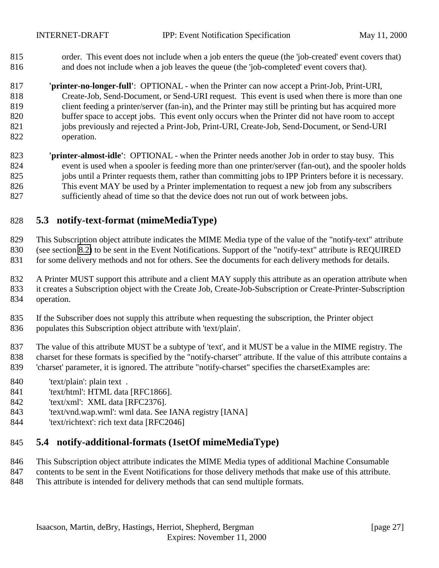<span id="page-26-0"></span> order. This event does not include when a job enters the queue (the 'job-created' event covers that) and does not include when a job leaves the queue (the 'job-completed' event covers that).

 **'printer-no-longer-full'**: OPTIONAL - when the Printer can now accept a Print-Job, Print-URI, Create-Job, Send-Document, or Send-URI request. This event is used when there is more than one 819 client feeding a printer/server (fan-in), and the Printer may still be printing but has acquired more buffer space to accept jobs. This event only occurs when the Printer did not have room to accept 821 jobs previously and rejected a Print-Job, Print-URI, Create-Job, Send-Document, or Send-URI operation.

 **'printer-almost-idle'**:OPTIONAL - when the Printer needs another Job in order to stay busy. This event is used when a spooler is feeding more than one printer/server (fan-out), and the spooler holds 825 jobs until a Printer requests them, rather than committing jobs to IPP Printers before it is necessary. This event MAY be used by a Printer implementation to request a new job from any subscribers sufficiently ahead of time so that the device does not run out of work between jobs.

## **5.3 notify-text-format (mimeMediaType)**

This Subscription object attribute indicates the MIME Media type of the value of the "notify-text" attribute

- (see section [8.2\)](#page-45-0) to be sent in the Event Notifications. Support of the "notify-text" attribute is REQUIRED
- 831 for some delivery methods and not for others. See the documents for each delivery methods for details.
- A Printer MUST support this attribute and a client MAY supply this attribute as an operation attribute when it creates a Subscription object with the Create Job, Create-Job-Subscription or Create-Printer-Subscription operation.
- If the Subscriber does not supply this attribute when requesting the subscription, the Printer object populates this Subscription object attribute with 'text/plain'.
- The value of this attribute MUST be a subtype of 'text', and it MUST be a value in the MIME registry. The charset for these formats is specified by the "notify-charset" attribute. If the value of this attribute contains a 'charset' parameter, it is ignored. The attribute "notify-charset" specifies the charsetExamples are:
- 'text/plain': plain text .
- 'text/html': HTML data [RFC1866].
- 'text/xml': XML data [RFC2376].
- 'text/vnd.wap.wml': wml data. See IANA registry [IANA]
- 'text/richtext': rich text data [RFC2046]

#### **5.4 notify-additional-formats (1setOf mimeMediaType)**

- This Subscription object attribute indicates the MIME Media types of additional Machine Consumable
- contents to be sent in the Event Notifications for those delivery methods that make use of this attribute. This attribute is intended for delivery methods that can send multiple formats.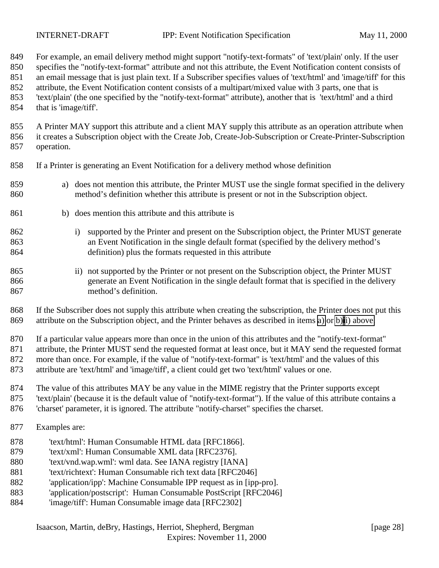For example, an email delivery method might support "notify-text-formats" of 'text/plain' only. If the user specifies the "notify-text-format" attribute and not this attribute, the Event Notification content consists of an email message that is just plain text. If a Subscriber specifies values of 'text/html' and 'image/tiff' for this attribute, the Event Notification content consists of a multipart/mixed value with 3 parts, one that is 'text/plain' (the one specified by the "notify-text-format" attribute), another that is 'text/html' and a third

that is 'image/tiff'.

 A Printer MAY support this attribute and a client MAY supply this attribute as an operation attribute when it creates a Subscription object with the Create Job, Create-Job-Subscription or Create-Printer-Subscription operation.

- If a Printer is generating an Event Notification for a delivery method whose definition
- a) does not mention this attribute, the Printer MUST use the single format specified in the delivery method's definition whether this attribute is present or not in the Subscription object.
- b) does mention this attribute and this attribute is
- i) supported by the Printer and present on the Subscription object, the Printer MUST generate an Event Notification in the single default format (specified by the delivery method's definition) plus the formats requested in this attribute
- ii) not supported by the Printer or not present on the Subscription object, the Printer MUST generate an Event Notification in the single default format that is specified in the delivery method's definition.

 If the Subscriber does not supply this attribute when creating the subscription, the Printer does not put this attribute on the Subscription object, and the Printer behaves as described in items a) or b)ii) above.

 If a particular value appears more than once in the union of this attributes and the "notify-text-format" attribute, the Printer MUST send the requested format at least once, but it MAY send the requested format more than once. For example, if the value of "notify-text-format" is 'text/html' and the values of this attribute are 'text/html' and 'image/tiff', a client could get two 'text/html' values or one.

- The value of this attributes MAY be any value in the MIME registry that the Printer supports except
- 'text/plain' (because it is the default value of "notify-text-format"). If the value of this attribute contains a
- 'charset' parameter, it is ignored. The attribute "notify-charset" specifies the charset.
- Examples are:
- 'text/html': Human Consumable HTML data [RFC1866].
- 'text/xml': Human Consumable XML data [RFC2376].
- 'text/vnd.wap.wml': wml data. See IANA registry [IANA]
- 'text/richtext': Human Consumable rich text data [RFC2046]
- 'application/ipp': Machine Consumable IPP request as in [ipp-pro].
- 'application/postscript': Human Consumable PostScript [RFC2046]
- 'image/tiff': Human Consumable image data [RFC2302]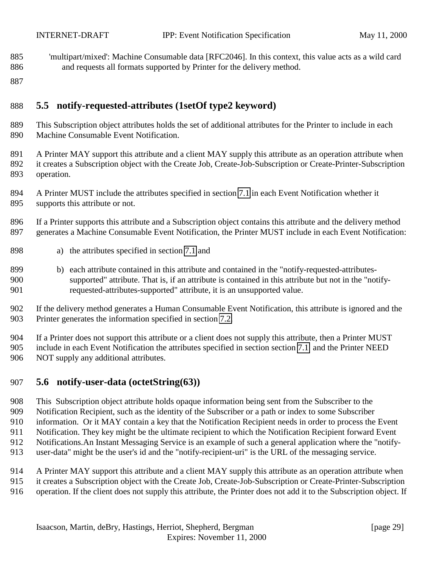- <span id="page-28-0"></span> 'multipart/mixed': Machine Consumable data [RFC2046]. In this context, this value acts as a wild card and requests all formats supported by Printer for the delivery method.
- 

## **5.5 notify-requested-attributes (1setOf type2 keyword)**

- This Subscription object attributes holds the set of additional attributes for the Printer to include in each Machine Consumable Event Notification.
- A Printer MAY support this attribute and a client MAY supply this attribute as an operation attribute when it creates a Subscription object with the Create Job, Create-Job-Subscription or Create-Printer-Subscription operation.
- A Printer MUST include the attributes specified in section [7.1](#page-39-0) in each Event Notification whether it supports this attribute or not.
- If a Printer supports this attribute and a Subscription object contains this attribute and the delivery method generates a Machine Consumable Event Notification, the Printer MUST include in each Event Notification:
- a) the attributes specified in section [7.1](#page-39-0) and
- 899 b) each attribute contained in this attribute and contained in the "notify-requested-attributes- supported" attribute. That is, if an attribute is contained in this attribute but not in the "notify-requested-attributes-supported" attribute, it is an unsupported value.
- If the delivery method generates a Human Consumable Event Notification, this attribute is ignored and the Printer generates the information specified in section [7.2.](#page-41-0)
- If a Printer does not support this attribute or a client does not supply this attribute, then a Printer MUST include in each Event Notification the attributes specified in section section [7.1](#page-39-0) and the Printer NEED NOT supply any additional attributes.

#### **5.6 notify-user-data (octetString(63))**

- This Subscription object attribute holds opaque information being sent from the Subscriber to the
- Notification Recipient, such as the identity of the Subscriber or a path or index to some Subscriber
- information. Or it MAY contain a key that the Notification Recipient needs in order to process the Event
- Notification. They key might be the ultimate recipient to which the Notification Recipient forward Event
- Notifications.An Instant Messaging Service is an example of such a general application where the "notify-
- user-data" might be the user's id and the "notify-recipient-uri" is the URL of the messaging service.
- A Printer MAY support this attribute and a client MAY supply this attribute as an operation attribute when
- it creates a Subscription object with the Create Job, Create-Job-Subscription or Create-Printer-Subscription
- operation. If the client does not supply this attribute, the Printer does not add it to the Subscription object. If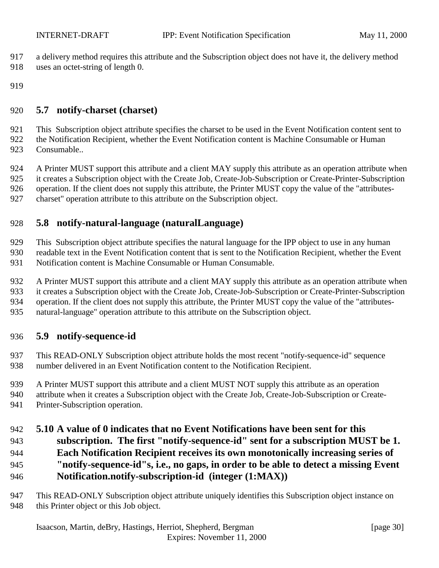- <span id="page-29-0"></span>a delivery method requires this attribute and the Subscription object does not have it, the delivery method
- uses an octet-string of length 0.
- 

#### **5.7 notify-charset (charset)**

 This Subscription object attribute specifies the charset to be used in the Event Notification content sent to the Notification Recipient, whether the Event Notification content is Machine Consumable or Human Consumable..

 A Printer MUST support this attribute and a client MAY supply this attribute as an operation attribute when it creates a Subscription object with the Create Job, Create-Job-Subscription or Create-Printer-Subscription

926 operation. If the client does not supply this attribute, the Printer MUST copy the value of the "attributes-

charset" operation attribute to this attribute on the Subscription object.

## **5.8 notify-natural-language (naturalLanguage)**

This Subscription object attribute specifies the natural language for the IPP object to use in any human

readable text in the Event Notification content that is sent to the Notification Recipient, whether the Event

Notification content is Machine Consumable or Human Consumable.

932 A Printer MUST support this attribute and a client MAY supply this attribute as an operation attribute when

it creates a Subscription object with the Create Job, Create-Job-Subscription or Create-Printer-Subscription

934 operation. If the client does not supply this attribute, the Printer MUST copy the value of the "attributes-

natural-language" operation attribute to this attribute on the Subscription object.

#### **5.9 notify-sequence-id**

 This READ-ONLY Subscription object attribute holds the most recent "notify-sequence-id" sequence number delivered in an Event Notification content to the Notification Recipient.

A Printer MUST support this attribute and a client MUST NOT supply this attribute as an operation

attribute when it creates a Subscription object with the Create Job, Create-Job-Subscription or Create-

Printer-Subscription operation.

## **5.10 A value of 0 indicates that no Event Notifications have been sent for this**

- **subscription. The first "notify-sequence-id" sent for a subscription MUST be 1.**
- **Each Notification Recipient receives its own monotonically increasing series of**
- **"notify-sequence-id"s, i.e., no gaps, in order to be able to detect a missing Event**
- **Notification.notify-subscription-id (integer (1:MAX))**
- This READ-ONLY Subscription object attribute uniquely identifies this Subscription object instance on 948 this Printer object or this Job object.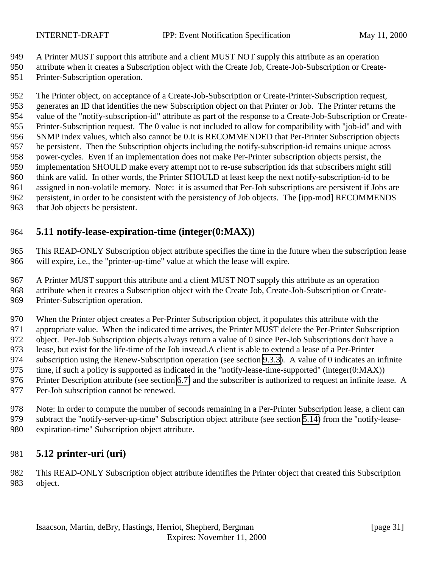<span id="page-30-0"></span>

A Printer MUST support this attribute and a client MUST NOT supply this attribute as an operation

attribute when it creates a Subscription object with the Create Job, Create-Job-Subscription or Create-

Printer-Subscription operation.

 The Printer object, on acceptance of a Create-Job-Subscription or Create-Printer-Subscription request, generates an ID that identifies the new Subscription object on that Printer or Job. The Printer returns the value of the "notify-subscription-id" attribute as part of the response to a Create-Job-Subscription or Create- Printer-Subscription request. The 0 value is not included to allow for compatibility with "job-id" and with SNMP index values, which also cannot be 0.It is RECOMMENDED that Per-Printer Subscription objects be persistent. Then the Subscription objects including the notify-subscription-id remains unique across power-cycles. Even if an implementation does not make Per-Printer subscription objects persist, the implementation SHOULD make every attempt not to re-use subscription ids that subscribers might still think are valid. In other words, the Printer SHOULD at least keep the next notify-subscription-id to be assigned in non-volatile memory. Note: it is assumed that Per-Job subscriptions are persistent if Jobs are persistent, in order to be consistent with the persistency of Job objects. The [ipp-mod] RECOMMENDS that Job objects be persistent.

## **5.11 notify-lease-expiration-time (integer(0:MAX))**

 This READ-ONLY Subscription object attribute specifies the time in the future when the subscription lease will expire, i.e., the "printer-up-time" value at which the lease will expire.

 A Printer MUST support this attribute and a client MUST NOT supply this attribute as an operation attribute when it creates a Subscription object with the Create Job, Create-Job-Subscription or Create-

Printer-Subscription operation.

When the Printer object creates a Per-Printer Subscription object, it populates this attribute with the

appropriate value. When the indicated time arrives, the Printer MUST delete the Per-Printer Subscription

object. Per-Job Subscription objects always return a value of 0 since Per-Job Subscriptions don't have a

lease, but exist for the life-time of the Job instead.A client is able to extend a lease of a Per-Printer

subscription using the Renew-Subscription operation (see section [9.3.3\)](#page-58-0). A value of 0 indicates an infinite

- 975 time, if such a policy is supported as indicated in the "notify-lease-time-supported" (integer(0:MAX))
- Printer Description attribute (see section [6.7\)](#page-36-0) and the subscriber is authorized to request an infinite lease. A
- Per-Job subscription cannot be renewed.
- Note: In order to compute the number of seconds remaining in a Per-Printer Subscription lease, a client can subtract the "notify-server-up-time" Subscription object attribute (see section [5.14\)](#page-31-0) from the "notify-lease-expiration-time" Subscription object attribute.

## **5.12 printer-uri (uri)**

 This READ-ONLY Subscription object attribute identifies the Printer object that created this Subscription object.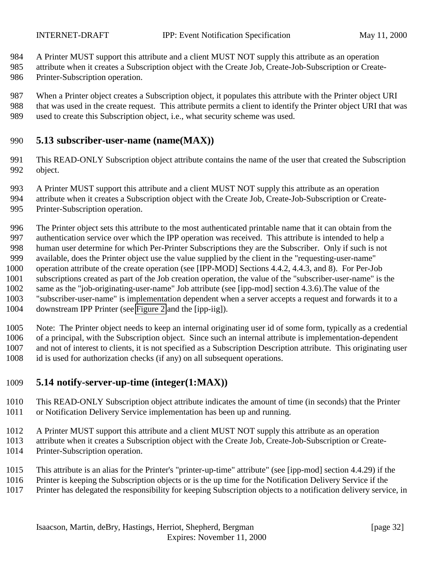<span id="page-31-0"></span>

A Printer MUST support this attribute and a client MUST NOT supply this attribute as an operation

- attribute when it creates a Subscription object with the Create Job, Create-Job-Subscription or Create-
- Printer-Subscription operation.
- When a Printer object creates a Subscription object, it populates this attribute with the Printer object URI that was used in the create request. This attribute permits a client to identify the Printer object URI that was used to create this Subscription object, i.e., what security scheme was used.

#### **5.13 subscriber-user-name (name(MAX))**

- This READ-ONLY Subscription object attribute contains the name of the user that created the Subscription object.
- A Printer MUST support this attribute and a client MUST NOT supply this attribute as an operation
- attribute when it creates a Subscription object with the Create Job, Create-Job-Subscription or Create-Printer-Subscription operation.
- The Printer object sets this attribute to the most authenticated printable name that it can obtain from the authentication service over which the IPP operation was received. This attribute is intended to help a human user determine for which Per-Printer Subscriptions they are the Subscriber. Only if such is not available, does the Printer object use the value supplied by the client in the "requesting-user-name" operation attribute of the create operation (see [IPP-MOD] Sections 4.4.2, 4.4.3, and 8). For Per-Job subscriptions created as part of the Job creation operation, the value of the "subscriber-user-name" is the same as the "job-originating-user-name" Job attribute (see [ipp-mod] section 4.3.6).The value of the "subscriber-user-name" is implementation dependent when a server accepts a request and forwards it to a downstream IPP Printer (see [Figure 2](#page-11-0) and the [ipp-iig]).
- Note: The Printer object needs to keep an internal originating user id of some form, typically as a credential of a principal, with the Subscription object. Since such an internal attribute is implementation-dependent and not of interest to clients, it is not specified as a Subscription Description attribute. This originating user id is used for authorization checks (if any) on all subsequent operations.

## **5.14 notify-server-up-time (integer(1:MAX))**

- This READ-ONLY Subscription object attribute indicates the amount of time (in seconds) that the Printer or Notification Delivery Service implementation has been up and running.
- A Printer MUST support this attribute and a client MUST NOT supply this attribute as an operation attribute when it creates a Subscription object with the Create Job, Create-Job-Subscription or Create-Printer-Subscription operation.
- This attribute is an alias for the Printer's "printer-up-time" attribute" (see [ipp-mod] section 4.4.29) if the
- Printer is keeping the Subscription objects or is the up time for the Notification Delivery Service if the
- Printer has delegated the responsibility for keeping Subscription objects to a notification delivery service, in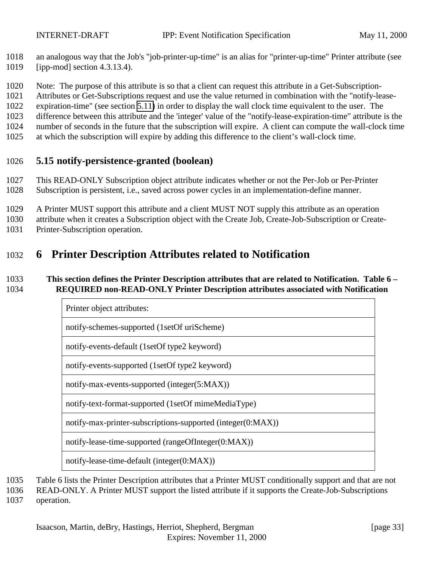<span id="page-32-0"></span> an analogous way that the Job's "job-printer-up-time" is an alias for "printer-up-time" Printer attribute (see [ipp-mod] section 4.3.13.4).

Note: The purpose of this attribute is so that a client can request this attribute in a Get-Subscription-

Attributes or Get-Subscriptions request and use the value returned in combination with the "notify-lease-

expiration-time" (see section [5.11\)](#page-30-0) in order to display the wall clock time equivalent to the user. The

difference between this attribute and the 'integer' value of the "notify-lease-expiration-time" attribute is the

number of seconds in the future that the subscription will expire. A client can compute the wall-clock time

at which the subscription will expire by adding this difference to the client's wall-clock time.

#### **5.15 notify-persistence-granted (boolean)**

 This READ-ONLY Subscription object attribute indicates whether or not the Per-Job or Per-Printer Subscription is persistent, i.e., saved across power cycles in an implementation-define manner.

A Printer MUST support this attribute and a client MUST NOT supply this attribute as an operation

attribute when it creates a Subscription object with the Create Job, Create-Job-Subscription or Create-

Printer-Subscription operation.

## **6 Printer Description Attributes related to Notification**

#### **This section defines the Printer Description attributes that are related to Notification. Table 6 – REQUIRED non-READ-ONLY Printer Description attributes associated with Notification**

| Printer object attributes:                                  |                                            |
|-------------------------------------------------------------|--------------------------------------------|
| notify-schemes-supported (1setOf uriScheme)                 |                                            |
| notify-events-default (1setOf type2 keyword)                |                                            |
| notify-events-supported (1setOf type2 keyword)              |                                            |
| notify-max-events-supported (integer(5:MAX))                |                                            |
| notify-text-format-supported (1setOf mimeMediaType)         |                                            |
| notify-max-printer-subscriptions-supported (integer(0:MAX)) |                                            |
| notify-lease-time-supported (rangeOfInteger(0:MAX))         |                                            |
|                                                             | notify-lease-time-default (integer(0:MAX)) |

Table 6 lists the Printer Description attributes that a Printer MUST conditionally support and that are not

READ-ONLY. A Printer MUST support the listed attribute if it supports the Create-Job-Subscriptions

operation.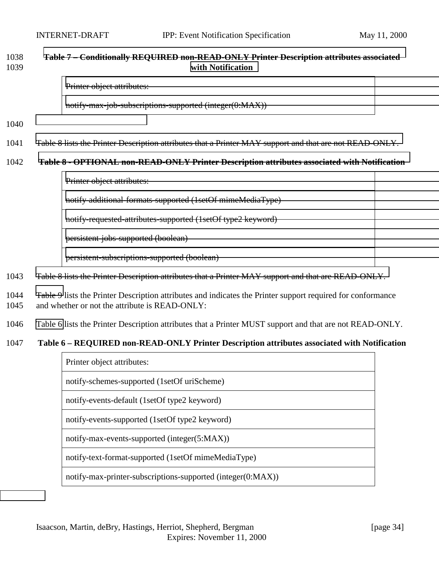#### <span id="page-33-0"></span>1038 **[Table 7 – Conditionally REQUIRED non-READ-ONLY Printer Description attributes associated](#page-34-0)** 1039 **[with Notification](#page-34-0)**

[Printer object attributes:](#page-34-0)

[notify-max-job-subscriptions-supported \(integer\(0:MAX\)\)](#page-34-0)

1040

1041 [Table 8 lists the Printer Description attributes that a Printer MAY support and that are not READ-ONLY.](#page-34-0)

#### 1042 **[Table 8 - OPTIONAL non-READ-ONLY Printer Description attributes associated with Notification](#page-34-0)**

[Printer object attributes:](#page-34-0) [notify-additional-formats-supported \(1setOf mimeMediaType\)](#page-34-0) [notify-requested-attributes-supported \(1setOf type2 keyword\)](#page-34-0) [persistent-jobs-supported \(boolean\)](#page-34-0) [persistent-subscriptions-supported \(boolean\)](#page-34-0)

1043 [Table 8 lists the Printer Description attributes that a Printer MAY support and that are READ-ONLY.](#page-34-0)

1044 [Table 9](#page-34-0) lists the Printer Description attributes and indicates the Printer support required for conformance 1045 and whether or not the attribute is READ-ONLY:

1046 Table 6 lists the Printer Description attributes that a Printer MUST support and that are not READ-ONLY.

#### 1047 **Table 6 – REQUIRED non-READ-ONLY Printer Description attributes associated with Notification**

| Printer object attributes:                                  |  |
|-------------------------------------------------------------|--|
| notify-schemes-supported (1setOf uriScheme)                 |  |
| notify-events-default (1setOf type2 keyword)                |  |
| notify-events-supported (1set Of type 2 keyword)            |  |
| notify-max-events-supported (integer(5:MAX))                |  |
| notify-text-format-supported (1setOf mimeMediaType)         |  |
| notify-max-printer-subscriptions-supported (integer(0:MAX)) |  |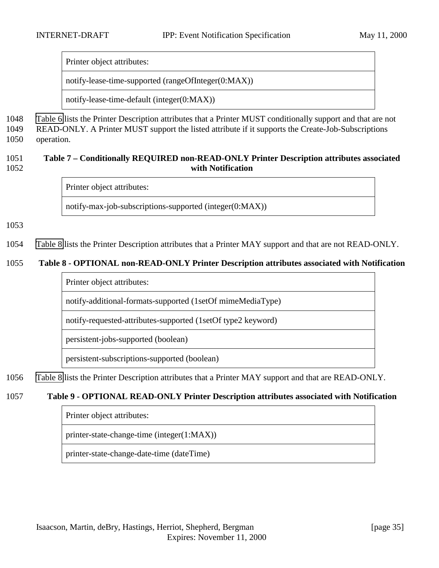<span id="page-34-0"></span>Printer object attributes:

notify-lease-time-supported (rangeOfInteger(0:MAX))

notify-lease-time-default (integer(0:MAX))

1048 [Table 6](#page-33-0) lists the Printer Description attributes that a Printer MUST conditionally support and that are not 1049 READ-ONLY. A Printer MUST support the listed attribute if it supports the Create-Job-Subscriptions 1050 operation.

#### 1051 **Table 7 – Conditionally REQUIRED non-READ-ONLY Printer Description attributes associated** 1052 **with Notification**

Printer object attributes:

notify-max-job-subscriptions-supported (integer(0:MAX))

1053

1054 Table 8 lists the Printer Description attributes that a Printer MAY support and that are not READ-ONLY.

#### 1055 **Table 8 - OPTIONAL non-READ-ONLY Printer Description attributes associated with Notification**

Printer object attributes:

notify-additional-formats-supported (1setOf mimeMediaType)

notify-requested-attributes-supported (1setOf type2 keyword)

persistent-jobs-supported (boolean)

persistent-subscriptions-supported (boolean)

1056 Table 8 lists the Printer Description attributes that a Printer MAY support and that are READ-ONLY.

#### 1057 **Table 9 - OPTIONAL READ-ONLY Printer Description attributes associated with Notification**

Printer object attributes:

printer-state-change-time (integer(1:MAX))

printer-state-change-date-time (dateTime)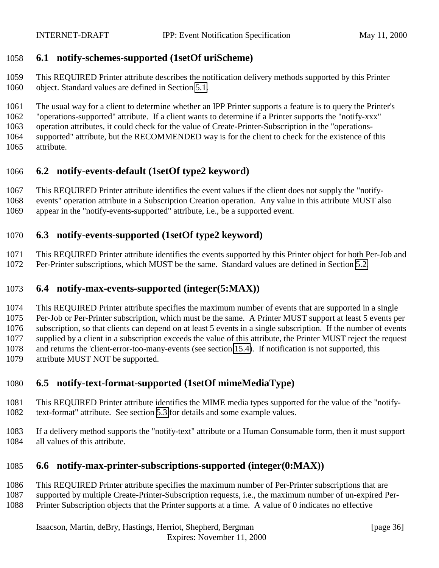#### <span id="page-35-0"></span>**6.1 notify-schemes-supported (1setOf uriScheme)**

 This REQUIRED Printer attribute describes the notification delivery methods supported by this Printer object. Standard values are defined in Section [5.1.](#page-21-0)

 The usual way for a client to determine whether an IPP Printer supports a feature is to query the Printer's "operations-supported" attribute. If a client wants to determine if a Printer supports the "notify-xxx" operation attributes, it could check for the value of Create-Printer-Subscription in the "operations- supported" attribute, but the RECOMMENDED way is for the client to check for the existence of this attribute.

## **6.2 notify-events-default (1setOf type2 keyword)**

This REQUIRED Printer attribute identifies the event values if the client does not supply the "notify-

events" operation attribute in a Subscription Creation operation. Any value in this attribute MUST also

appear in the "notify-events-supported" attribute, i.e., be a supported event.

#### **6.3 notify-events-supported (1setOf type2 keyword)**

This REQUIRED Printer attribute identifies the events supported by this Printer object for both Per-Job and

Per-Printer subscriptions, which MUST be the same. Standard values are defined in Section [5.2.](#page-22-0)

## **6.4 notify-max-events-supported (integer(5:MAX))**

 This REQUIRED Printer attribute specifies the maximum number of events that are supported in a single Per-Job or Per-Printer subscription, which must be the same. A Printer MUST support at least 5 events per subscription, so that clients can depend on at least 5 events in a single subscription. If the number of events supplied by a client in a subscription exceeds the value of this attribute, the Printer MUST reject the request and returns the 'client-error-too-many-events (see section [15.4\)](#page-63-0). If notification is not supported, this attribute MUST NOT be supported.

## **6.5 notify-text-format-supported (1setOf mimeMediaType)**

- This REQUIRED Printer attribute identifies the MIME media types supported for the value of the "notify-text-format" attribute. See section [5.3](#page-26-0) for details and some example values.
- If a delivery method supports the "notify-text" attribute or a Human Consumable form, then it must support all values of this attribute.

## **6.6 notify-max-printer-subscriptions-supported (integer(0:MAX))**

#### This REQUIRED Printer attribute specifies the maximum number of Per-Printer subscriptions that are

supported by multiple Create-Printer-Subscription requests, i.e., the maximum number of un-expired Per-

Printer Subscription objects that the Printer supports at a time. A value of 0 indicates no effective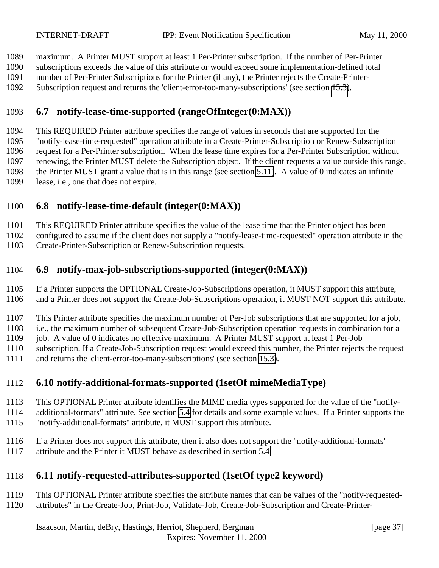<span id="page-36-0"></span>maximum. A Printer MUST support at least 1 Per-Printer subscription. If the number of Per-Printer

subscriptions exceeds the value of this attribute or would exceed some implementation-defined total

number of Per-Printer Subscriptions for the Printer (if any), the Printer rejects the Create-Printer-

Subscription request and returns the 'client-error-too-many-subscriptions' (see section [15.3\)](#page-63-0).

## **6.7 notify-lease-time-supported (rangeOfInteger(0:MAX))**

 This REQUIRED Printer attribute specifies the range of values in seconds that are supported for the "notify-lease-time-requested" operation attribute in a Create-Printer-Subscription or Renew-Subscription request for a Per-Printer subscription. When the lease time expires for a Per-Printer Subscription without renewing, the Printer MUST delete the Subscription object. If the client requests a value outside this range, the Printer MUST grant a value that is in this range (see section [5.11\)](#page-30-0). A value of 0 indicates an infinite lease, i.e., one that does not expire.

## **6.8 notify-lease-time-default (integer(0:MAX))**

This REQUIRED Printer attribute specifies the value of the lease time that the Printer object has been

configured to assume if the client does not supply a "notify-lease-time-requested" operation attribute in the

Create-Printer-Subscription or Renew-Subscription requests.

## **6.9 notify-max-job-subscriptions-supported (integer(0:MAX))**

 If a Printer supports the OPTIONAL Create-Job-Subscriptions operation, it MUST support this attribute, and a Printer does not support the Create-Job-Subscriptions operation, it MUST NOT support this attribute.

This Printer attribute specifies the maximum number of Per-Job subscriptions that are supported for a job,

i.e., the maximum number of subsequent Create-Job-Subscription operation requests in combination for a

job. A value of 0 indicates no effective maximum. A Printer MUST support at least 1 Per-Job

subscription. If a Create-Job-Subscription request would exceed this number, the Printer rejects the request

and returns the 'client-error-too-many-subscriptions' (see section [15.3\)](#page-63-0).

## **6.10 notify-additional-formats-supported (1setOf mimeMediaType)**

- This OPTIONAL Printer attribute identifies the MIME media types supported for the value of the "notify-
- additional-formats" attribute. See section [5.4](#page-26-0) for details and some example values. If a Printer supports the "notify-additional-formats" attribute, it MUST support this attribute.
- If a Printer does not support this attribute, then it also does not support the "notify-additional-formats"
- attribute and the Printer it MUST behave as described in section [5.4.](#page-26-0)

## **6.11 notify-requested-attributes-supported (1setOf type2 keyword)**

- This OPTIONAL Printer attribute specifies the attribute names that can be values of the "notify-requested-
- attributes" in the Create-Job, Print-Job, Validate-Job, Create-Job-Subscription and Create-Printer-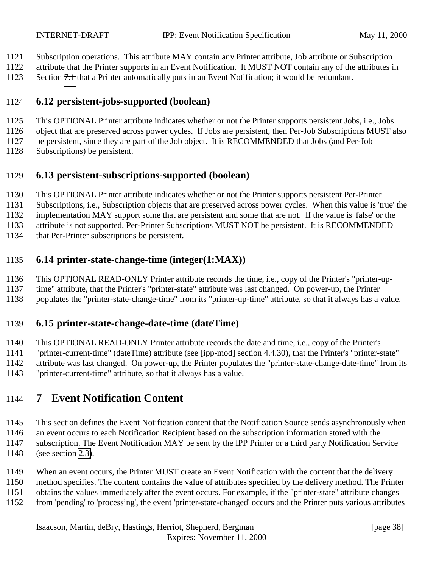- <span id="page-37-0"></span>Subscription operations. This attribute MAY contain any Printer attribute, Job attribute or Subscription
- attribute that the Printer supports in an Event Notification. It MUST NOT contain any of the attributes in
- Section [7.1](#page-39-0) that a Printer automatically puts in an Event Notification; it would be redundant.

## **6.12 persistent-jobs-supported (boolean)**

- This OPTIONAL Printer attribute indicates whether or not the Printer supports persistent Jobs, i.e., Jobs
- object that are preserved across power cycles. If Jobs are persistent, then Per-Job Subscriptions MUST also
- be persistent, since they are part of the Job object. It is RECOMMENDED that Jobs (and Per-Job
- Subscriptions) be persistent.

## **6.13 persistent-subscriptions-supported (boolean)**

- This OPTIONAL Printer attribute indicates whether or not the Printer supports persistent Per-Printer
- Subscriptions, i.e., Subscription objects that are preserved across power cycles. When this value is 'true' the
- implementation MAY support some that are persistent and some that are not. If the value is 'false' or the
- attribute is not supported, Per-Printer Subscriptions MUST NOT be persistent. It is RECOMMENDED
- that Per-Printer subscriptions be persistent.

## **6.14 printer-state-change-time (integer(1:MAX))**

- This OPTIONAL READ-ONLY Printer attribute records the time, i.e., copy of the Printer's "printer-up-
- time" attribute, that the Printer's "printer-state" attribute was last changed. On power-up, the Printer
- populates the "printer-state-change-time" from its "printer-up-time" attribute, so that it always has a value.

## **6.15 printer-state-change-date-time (dateTime)**

- This OPTIONAL READ-ONLY Printer attribute records the date and time, i.e., copy of the Printer's
- "printer-current-time" (dateTime) attribute (see [ipp-mod] section 4.4.30), that the Printer's "printer-state"
- attribute was last changed. On power-up, the Printer populates the "printer-state-change-date-time" from its
- "printer-current-time" attribute, so that it always has a value.

# **7 Event Notification Content**

- This section defines the Event Notification content that the Notification Source sends asynchronously when
- an event occurs to each Notification Recipient based on the subscription information stored with the subscription. The Event Notification MAY be sent by the IPP Printer or a third party Notification Service
- (see section [2.3\)](#page-12-0).
- When an event occurs, the Printer MUST create an Event Notification with the content that the delivery
- method specifies. The content contains the value of attributes specified by the delivery method. The Printer
- obtains the values immediately after the event occurs. For example, if the "printer-state" attribute changes
- from 'pending' to 'processing', the event 'printer-state-changed' occurs and the Printer puts various attributes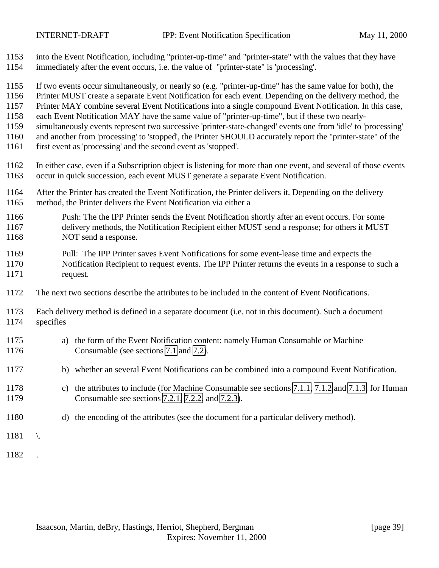- into the Event Notification, including "printer-up-time" and "printer-state" with the values that they have immediately after the event occurs, i.e. the value of "printer-state" is 'processing'.
- If two events occur simultaneously, or nearly so (e.g. "printer-up-time" has the same value for both), the
- Printer MUST create a separate Event Notification for each event. Depending on the delivery method, the
- Printer MAY combine several Event Notifications into a single compound Event Notification. In this case,
- each Event Notification MAY have the same value of "printer-up-time", but if these two nearly-
- simultaneously events represent two successive 'printer-state-changed' events one from 'idle' to 'processing'
- and another from 'processing' to 'stopped', the Printer SHOULD accurately report the "printer-state" of the
- first event as 'processing' and the second event as 'stopped'.
- In either case, even if a Subscription object is listening for more than one event, and several of those events occur in quick succession, each event MUST generate a separate Event Notification.
- After the Printer has created the Event Notification, the Printer delivers it. Depending on the delivery method, the Printer delivers the Event Notification via either a
- Push: The the IPP Printer sends the Event Notification shortly after an event occurs. For some delivery methods, the Notification Recipient either MUST send a response; for others it MUST 1168 NOT send a response.
- Pull: The IPP Printer saves Event Notifications for some event-lease time and expects the Notification Recipient to request events. The IPP Printer returns the events in a response to such a request.
- The next two sections describe the attributes to be included in the content of Event Notifications.
- Each delivery method is defined in a separate document (i.e. not in this document). Such a document specifies
- a) the form of the Event Notification content: namely Human Consumable or Machine Consumable (see sections [7.1](#page-39-0) and [7.2\)](#page-41-0).
- b) whether an several Event Notifications can be combined into a compound Event Notification.
- c) the attributes to include (for Machine Consumable see sections [7.1.1,](#page-39-0) [7.1.2](#page-40-0) and [7.1.3.](#page-41-0) for Human Consumable see sections [7.2.1,](#page-42-0) [7.2.2,](#page-43-0) and [7.2.3\)](#page-44-0).
- d) the encoding of the attributes (see the document for a particular delivery method).
- \.
- .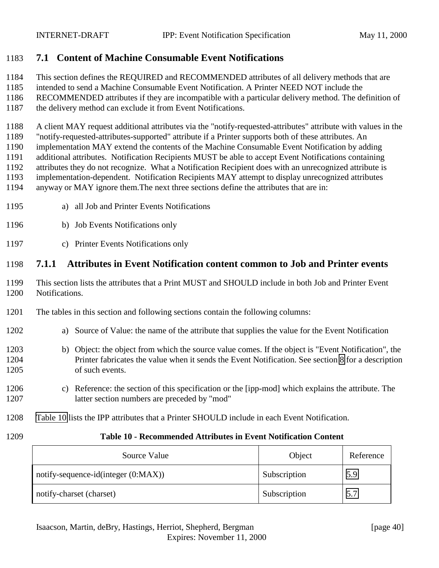## <span id="page-39-0"></span>**7.1 Content of Machine Consumable Event Notifications**

- This section defines the REQUIRED and RECOMMENDED attributes of all delivery methods that are
- intended to send a Machine Consumable Event Notification. A Printer NEED NOT include the
- RECOMMENDED attributes if they are incompatible with a particular delivery method. The definition of
- the delivery method can exclude it from Event Notifications.
- A client MAY request additional attributes via the "notify-requested-attributes" attribute with values in the
- "notify-requested-attributes-supported" attribute if a Printer supports both of these attributes. An
- implementation MAY extend the contents of the Machine Consumable Event Notification by adding
- additional attributes. Notification Recipients MUST be able to accept Event Notifications containing attributes they do not recognize. What a Notification Recipient does with an unrecognized attribute is
- implementation-dependent. Notification Recipients MAY attempt to display unrecognized attributes
- anyway or MAY ignore them.The next three sections define the attributes that are in:
- a) all Job and Printer Events Notifications
- b) Job Events Notifications only
- c) Printer Events Notifications only

## **7.1.1 Attributes in Event Notification content common to Job and Printer events**

- This section lists the attributes that a Print MUST and SHOULD include in both Job and Printer Event Notifications.
- The tables in this section and following sections contain the following columns:

## a) Source of Value: the name of the attribute that supplies the value for the Event Notification

- b) Object: the object from which the source value comes. If the object is "Event Notification", the Printer fabricates the value when it sends the Event Notification. See section [8](#page-45-0) for a description of such events.
- c) Reference: the section of this specification or the [ipp-mod] which explains the attribute. The latter section numbers are preceded by "mod"
- Table 10 lists the IPP attributes that a Printer SHOULD include in each Event Notification.
- 

#### **Table 10 - Recommended Attributes in Event Notification Content**

| Source Value                        | Object       | Reference |
|-------------------------------------|--------------|-----------|
| notify-sequence-id(integer (0:MAX)) | Subscription | 5.9       |
| notify-charset (charset)            | Subscription | 5.7       |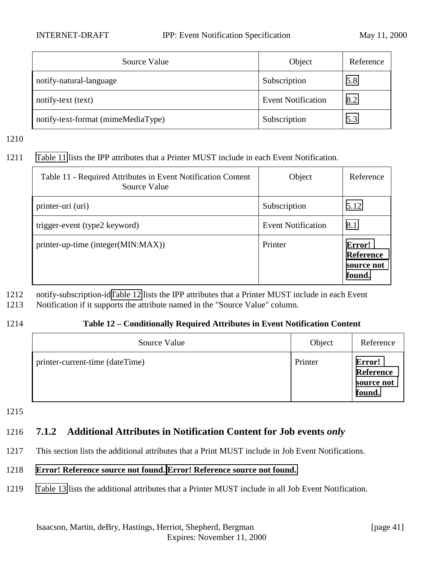<span id="page-40-0"></span>

| Source Value                       | Object                    | Reference |
|------------------------------------|---------------------------|-----------|
| notify-natural-language            | Subscription              | 5.8       |
| notify-text (text)                 | <b>Event Notification</b> | 8.2       |
| notify-text-format (mimeMediaType) | Subscription              | 5.3       |

1211 Table 11 lists the IPP attributes that a Printer MUST include in each Event Notification.

| Table 11 - Required Attributes in Event Notification Content<br>Source Value | Object                    | Reference                                          |
|------------------------------------------------------------------------------|---------------------------|----------------------------------------------------|
| printer-uri (uri)                                                            | Subscription              | 5.12                                               |
| trigger-event (type2 keyword)                                                | <b>Event Notification</b> | 8.1                                                |
| printer-up-time (integer(MIN:MAX))                                           | Printer                   | Error!<br><b>Reference</b><br>source not<br>found. |

1212 notify-subscription-idTable 12 lists the IPP attributes that a Printer MUST include in each Event

- 1213 Notification if it supports the attribute named in the "Source Value" column.
- 

#### 1214 **Table 12 – Conditionally Required Attributes in Event Notification Content**

| Source Value                    | Object  | Reference                                   |
|---------------------------------|---------|---------------------------------------------|
| printer-current-time (dateTime) | Printer | Error!<br>Reference<br>source not<br>found. |

1215

## 1216 **7.1.2 Additional Attributes in Notification Content for Job events** *only*

1217 This section lists the additional attributes that a Print MUST include in Job Event Notifications.

#### 1218 **[Error! Reference source not found.](#page-41-0) [Error! Reference source not found.](#page-41-0)**.

1219 [Table 13](#page-41-0) lists the additional attributes that a Printer MUST include in all Job Event Notification.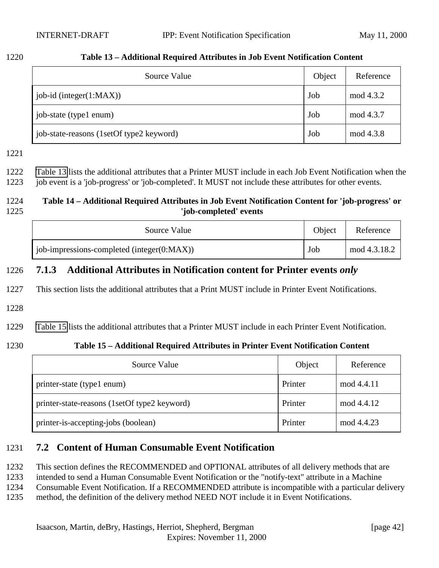| ×<br>۰, |  |
|---------|--|
|---------|--|

<span id="page-41-0"></span>

| 1220 | Table 13 – Additional Required Attributes in Job Event Notification Content |
|------|-----------------------------------------------------------------------------|
|      |                                                                             |

| Source Value                             | Object | Reference |
|------------------------------------------|--------|-----------|
| $job-id$ (integer $(1:MAX)$ )            | Job    | mod 4.3.2 |
| job-state (type1 enum)                   | Job    | mod 4.3.7 |
| job-state-reasons (1setOf type2 keyword) | Job    | mod 4.3.8 |

1222 Table 13 lists the additional attributes that a Printer MUST include in each Job Event Notification when the 1223 job event is a 'job-progress' or 'job-completed'. It MUST not include these attributes for other events.

#### 1224 **Table 14 – Additional Required Attributes in Job Event Notification Content for 'job-progress' or** 1225 **'job-completed' events**

| Source Value                               | Object | Reference    |
|--------------------------------------------|--------|--------------|
| job-impressions-completed (integer(0:MAX)) | Job    | mod 4.3.18.2 |

## 1226 **7.1.3 Additional Attributes in Notification content for Printer events** *only*

1227 This section lists the additional attributes that a Print MUST include in Printer Event Notifications.

1228

1229 Table 15 lists the additional attributes that a Printer MUST include in each Printer Event Notification.

## 1230 **Table 15 – Additional Required Attributes in Printer Event Notification Content**

| Source Value                                 | Object  | Reference  |
|----------------------------------------------|---------|------------|
| printer-state (type1 enum)                   | Printer | mod 4.4.11 |
| printer-state-reasons (1setOf type2 keyword) | Printer | mod 4.4.12 |
| printer-is-accepting-jobs (boolean)          | Printer | mod 4.4.23 |

## 1231 **7.2 Content of Human Consumable Event Notification**

1232 This section defines the RECOMMENDED and OPTIONAL attributes of all delivery methods that are

1233 intended to send a Human Consumable Event Notification or the "notify-text" attribute in a Machine

1234 Consumable Event Notification. If a RECOMMENDED attribute is incompatible with a particular delivery

1235 method, the definition of the delivery method NEED NOT include it in Event Notifications.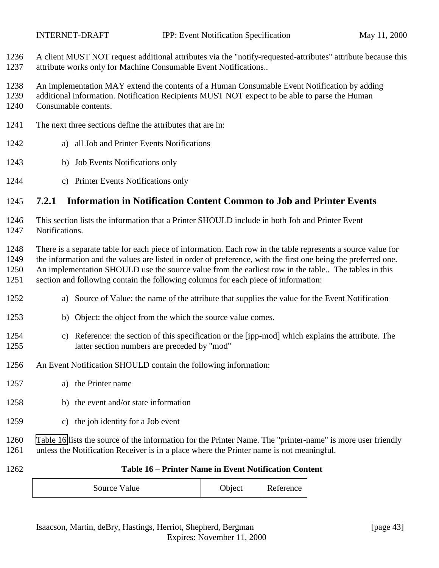<span id="page-42-0"></span> A client MUST NOT request additional attributes via the "notify-requested-attributes" attribute because this attribute works only for Machine Consumable Event Notifications..

- An implementation MAY extend the contents of a Human Consumable Event Notification by adding
- additional information. Notification Recipients MUST NOT expect to be able to parse the Human
- Consumable contents.
- The next three sections define the attributes that are in:
- a) all Job and Printer Events Notifications
- b) Job Events Notifications only
- c) Printer Events Notifications only

## **7.2.1 Information in Notification Content Common to Job and Printer Events**

- This section lists the information that a Printer SHOULD include in both Job and Printer Event Notifications.
- There is a separate table for each piece of information. Each row in the table represents a source value for the information and the values are listed in order of preference, with the first one being the preferred one. An implementation SHOULD use the source value from the earliest row in the table.. The tables in this section and following contain the following columns for each piece of information:
- a) Source of Value: the name of the attribute that supplies the value for the Event Notification
- b) Object: the object from the which the source value comes.
- c) Reference: the section of this specification or the [ipp-mod] which explains the attribute. The latter section numbers are preceded by "mod"
- An Event Notification SHOULD contain the following information:
- a) the Printer name
- b) the event and/or state information
- c) the job identity for a Job event
- Table 16 lists the source of the information for the Printer Name. The "printer-name" is more user friendly unless the Notification Receiver is in a place where the Printer name is not meaningful.
- 

#### **Table 16 – Printer Name in Event Notification Content**

| Source Value | Object | Reference |  |
|--------------|--------|-----------|--|
|--------------|--------|-----------|--|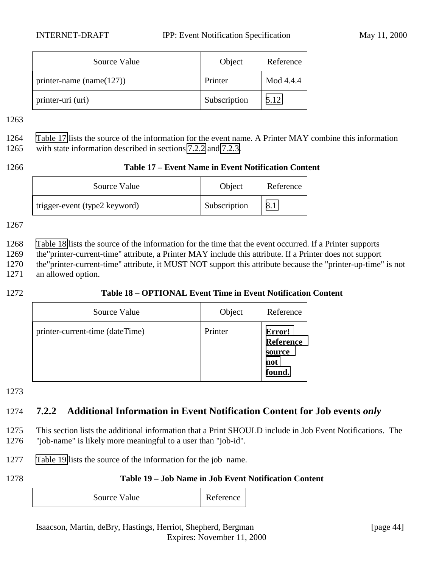<span id="page-43-0"></span>

| Source Value                 | Object       | Reference |
|------------------------------|--------------|-----------|
| printer-name (name $(127)$ ) | Printer      | Mod 4.4.4 |
| printer-uri (uri)            | Subscription | 5.12      |

1264 Table 17 lists the source of the information for the event name. A Printer MAY combine this information 1265 with state information described in sections 7.2.2 and [7.2.3.](#page-44-0)

#### 1266 **Table 17 – Event Name in Event Notification Content**

| Source Value                  | Object       | Reference |
|-------------------------------|--------------|-----------|
| trigger-event (type2 keyword) | Subscription |           |

1267

 Table 18 lists the source of the information for the time that the event occurred. If a Printer supports the"printer-current-time" attribute, a Printer MAY include this attribute. If a Printer does not support the"printer-current-time" attribute, it MUST NOT support this attribute because the "printer-up-time" is not an allowed option.

#### 1272 **Table 18 – OPTIONAL Event Time in Event Notification Content**

| Source Value                    | Object  | Reference                                             |
|---------------------------------|---------|-------------------------------------------------------|
| printer-current-time (dateTime) | Printer | Error!<br><b>Reference</b><br>source<br>not<br>found. |

1273

## 1274 **7.2.2 Additional Information in Event Notification Content for Job events** *only*

1275 This section lists the additional information that a Print SHOULD include in Job Event Notifications. The 1276 "job-name" is likely more meaningful to a user than "job-id".

- 1277 Table 19 lists the source of the information for the job name.
- 

#### 1278 **Table 19 – Job Name in Job Event Notification Content**

| Source Value | <b>Reference</b> |
|--------------|------------------|
|--------------|------------------|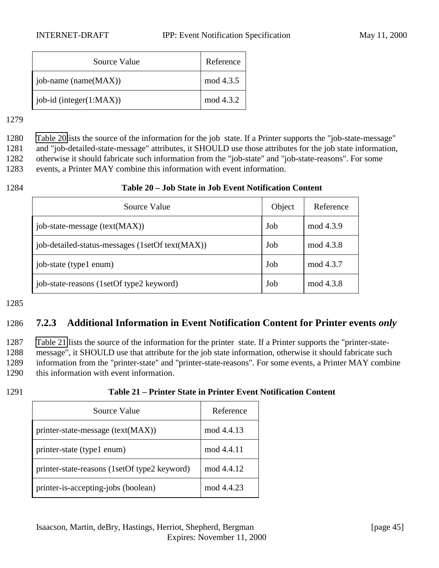<span id="page-44-0"></span>

| Source Value                  | Reference |
|-------------------------------|-----------|
| [ $job$ -name (name $(MAX)$ ) | mod 4.3.5 |
| job-id (integer $(1:MAX)$ )   | mod 4.3.2 |

 Table 20lists the source of the information for the job state. If a Printer supports the "job-state-message" and "job-detailed-state-message" attributes, it SHOULD use those attributes for the job state information, otherwise it should fabricate such information from the "job-state" and "job-state-reasons". For some events, a Printer MAY combine this information with event information.

#### 1284 **Table 20 – Job State in Job Event Notification Content**

| Source Value                                    | Object | Reference |
|-------------------------------------------------|--------|-----------|
| job-state-message (text(MAX))                   | Job    | mod 4.3.9 |
| job-detailed-status-messages (1setOf text(MAX)) | Job    | mod 4.3.8 |
| job-state (type1 enum)                          | Job    | mod 4.3.7 |
| job-state-reasons (1setOf type2 keyword)        | Job    | mod 4.3.8 |

#### 1285

## 1286 **7.2.3 Additional Information in Event Notification Content for Printer events** *only*

 Table 21 lists the source of the information for the printer state. If a Printer supports the "printer-state- message", it SHOULD use that attribute for the job state information, otherwise it should fabricate such information from the "printer-state" and "printer-state-reasons". For some events, a Printer MAY combine this information with event information.

| 1291 | Table 21 – Printer State in Printer Event Notification Content |
|------|----------------------------------------------------------------|
|------|----------------------------------------------------------------|

| Source Value                                 | Reference  |
|----------------------------------------------|------------|
| printer-state-message (text(MAX))            | mod 4.4.13 |
| printer-state (type1 enum)                   | mod 4.4.11 |
| printer-state-reasons (1setOf type2 keyword) | mod 4.4.12 |
| printer-is-accepting-jobs (boolean)          | mod 4.4.23 |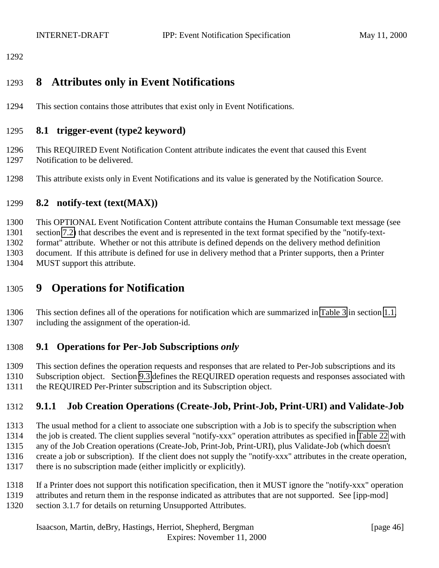# <span id="page-45-0"></span>**8 Attributes only in Event Notifications**

This section contains those attributes that exist only in Event Notifications.

## **8.1 trigger-event (type2 keyword)**

- This REQUIRED Event Notification Content attribute indicates the event that caused this Event Notification to be delivered.
- This attribute exists only in Event Notifications and its value is generated by the Notification Source.

## **8.2 notify-text (text(MAX))**

 This OPTIONAL Event Notification Content attribute contains the Human Consumable text message (see section [7.2\)](#page-41-0) that describes the event and is represented in the text format specified by the "notify-text- format" attribute. Whether or not this attribute is defined depends on the delivery method definition document. If this attribute is defined for use in delivery method that a Printer supports, then a Printer MUST support this attribute.

## **9 Operations for Notification**

 This section defines all of the operations for notification which are summarized in [Table 3](#page-9-0) in section [1.1,](#page-7-0) including the assignment of the operation-id.

## **9.1 Operations for Per-Job Subscriptions** *only*

This section defines the operation requests and responses that are related to Per-Job subscriptions and its

 Subscription object. Section [9.3](#page-55-0) defines the REQUIRED operation requests and responses associated with the REQUIRED Per-Printer subscription and its Subscription object.

## **9.1.1 Job Creation Operations (Create-Job, Print-Job, Print-URI) and Validate-Job**

- The usual method for a client to associate one subscription with a Job is to specify the subscription when the job is created. The client supplies several "notify-xxx" operation attributes as specified in [Table 22](#page-46-0) with any of the Job Creation operations (Create-Job, Print-Job, Print-URI), plus Validate-Job (which doesn't create a job or subscription). If the client does not supply the "notify-xxx" attributes in the create operation,
- there is no subscription made (either implicitly or explicitly).
- If a Printer does not support this notification specification, then it MUST ignore the "notify-xxx" operation
- attributes and return them in the response indicated as attributes that are not supported. See [ipp-mod] section 3.1.7 for details on returning Unsupported Attributes.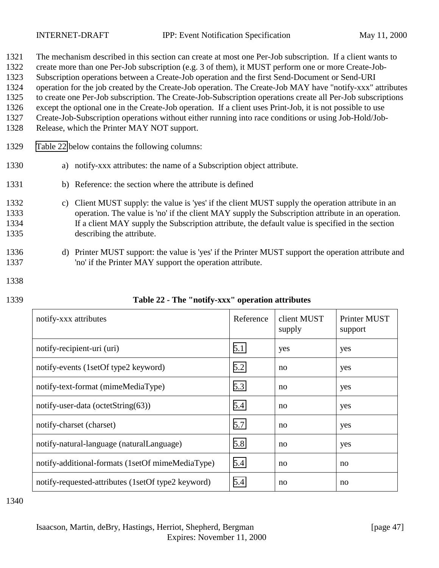<span id="page-46-0"></span>

| 1321 | The mechanism described in this section can create at most one Per-Job subscription. If a client wants to   |
|------|-------------------------------------------------------------------------------------------------------------|
| 1322 | create more than one Per-Job subscription (e.g. 3 of them), it MUST perform one or more Create-Job-         |
| 1323 | Subscription operations between a Create-Job operation and the first Send-Document or Send-URI              |
| 1324 | operation for the job created by the Create-Job operation. The Create-Job MAY have "notify-xxx" attributes  |
| 1325 | to create one Per-Job subscription. The Create-Job-Subscription operations create all Per-Job subscriptions |
| 1326 | except the optional one in the Create-Job operation. If a client uses Print-Job, it is not possible to use  |
| 1327 | Create-Job-Subscription operations without either running into race conditions or using Job-Hold/Job-       |
| 1328 | Release, which the Printer MAY NOT support.                                                                 |
| 1329 | Table 22 below contains the following columns:                                                              |
| 1330 | notify-xxx attributes: the name of a Subscription object attribute.<br>a)                                   |
| 1331 | b) Reference: the section where the attribute is defined                                                    |
| 1332 | c) Client MUST supply: the value is 'yes' if the client MUST supply the operation attribute in an           |

- 1333 operation. The value is 'no' if the client MAY supply the Subscription attribute in an operation. 1334 If a client MAY supply the Subscription attribute, the default value is specified in the section 1335 describing the attribute.
- 1336 d) Printer MUST support: the value is 'yes' if the Printer MUST support the operation attribute and 1337 'no' if the Printer MAY support the operation attribute.
- 1338
- 

| 1339 | Table 22 - The "notify-xxx" operation attributes |
|------|--------------------------------------------------|
|------|--------------------------------------------------|

| notify-xxx attributes                              | Reference | client MUST<br>supply | Printer MUST<br>support |
|----------------------------------------------------|-----------|-----------------------|-------------------------|
| notify-recipient-uri (uri)                         | 5.1       | yes                   | yes                     |
| notify-events (1setOf type2 keyword)               | 5.2       | no                    | yes                     |
| notify-text-format (mimeMediaType)                 | 5.3       | no                    | yes                     |
| notify-user-data (octetString $(63)$ )             | 5.4       | no                    | yes                     |
| notify-charset (charset)                           | 5.7       | no                    | yes                     |
| notify-natural-language (naturalLanguage)          | 5.8       | no                    | yes                     |
| notify-additional-formats (1setOf mimeMediaType)   | 5.4       | no                    | no                      |
| notify-requested-attributes (1setOf type2 keyword) | 5.4       | no                    | no                      |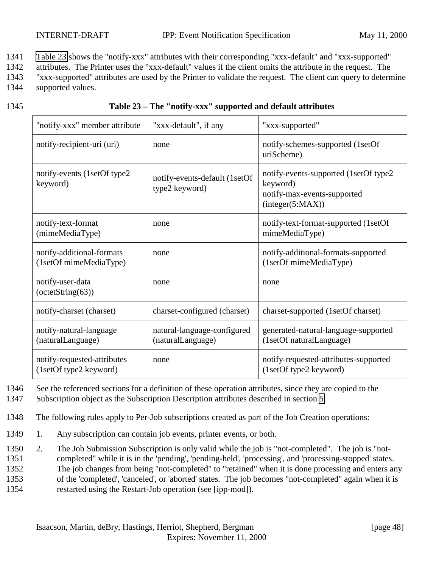1341 Table 23 shows the "notify-xxx" attributes with their corresponding "xxx-default" and "xxx-supported"

1342 attributes. The Printer uses the "xxx-default" values if the client omits the attribute in the request. The

1343 "xxx-supported" attributes are used by the Printer to validate the request. The client can query to determine 1344 supported values.

#### 1345 **Table 23 – The "notify-xxx" supported and default attributes**

| "notify-xxx" member attribute                         | "xxx-default", if any                            | "xxx-supported"                                                                                      |
|-------------------------------------------------------|--------------------------------------------------|------------------------------------------------------------------------------------------------------|
| notify-recipient-uri (uri)                            | none                                             | notify-schemes-supported (1setOf<br>uriScheme)                                                       |
| notify-events (1setOf type2<br>keyword)               | notify-events-default (1setOf<br>type2 keyword)  | notify-events-supported (1setOf type2<br>keyword)<br>notify-max-events-supported<br>interger(5:MAX)) |
| notify-text-format<br>(mimeMediaType)                 | none                                             | notify-text-format-supported (1setOf<br>mimeMediaType)                                               |
| notify-additional-formats<br>(1setOf mimeMediaType)   | none                                             | notify-additional-formats-supported<br>(1setOf mimeMediaType)                                        |
| notify-user-data<br>$-octetString(63)$                | none                                             | none                                                                                                 |
| notify-charset (charset)                              | charset-configured (charset)                     | charset-supported (1setOf charset)                                                                   |
| notify-natural-language<br>(naturalLanguage)          | natural-language-configured<br>(naturalLanguage) | generated-natural-language-supported<br>(1setOf naturalLanguage)                                     |
| notify-requested-attributes<br>(1setOf type2 keyword) | none                                             | notify-requested-attributes-supported<br>(1setOf type2 keyword)                                      |

1346 See the referenced sections for a definition of these operation attributes, since they are copied to the

1347 Subscription object as the Subscription Description attributes described in section [5.](#page-18-0)

- 1348 The following rules apply to Per-Job subscriptions created as part of the Job Creation operations:
- 1349 1. Any subscription can contain job events, printer events, or both.
- 1350 2. The Job Submission Subscription is only valid while the job is "not-completed". The job is "not-1351 completed" while it is in the 'pending', 'pending-held', 'processing', and 'processing-stopped' states. 1352 The job changes from being "not-completed" to "retained" when it is done processing and enters any 1353 of the 'completed', 'canceled', or 'aborted' states. The job becomes "not-completed" again when it is 1354 restarted using the Restart-Job operation (see [ipp-mod]).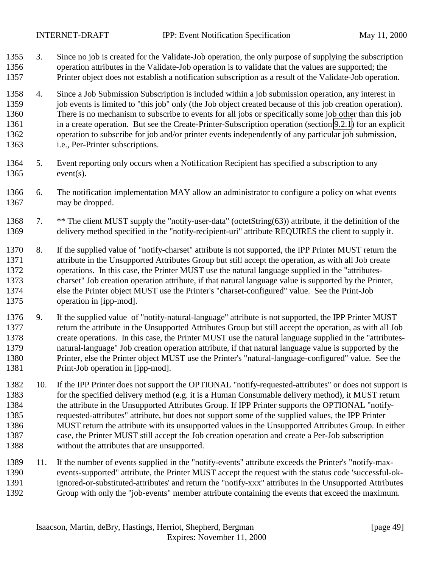- 3. Since no job is created for the Validate-Job operation, the only purpose of supplying the subscription operation attributes in the Validate-Job operation is to validate that the values are supported; the Printer object does not establish a notification subscription as a result of the Validate-Job operation.
- 4. Since a Job Submission Subscription is included within a job submission operation, any interest in 1359 job events is limited to "this job" only (the Job object created because of this job creation operation). There is no mechanism to subscribe to events for all jobs or specifically some job other than this job in a create operation. But see the Create-Printer-Subscription operation (section [9.2.1\)](#page-52-0) for an explicit operation to subscribe for job and/or printer events independently of any particular job submission, i.e., Per-Printer subscriptions.
- 5. Event reporting only occurs when a Notification Recipient has specified a subscription to any event(s).
- 6. The notification implementation MAY allow an administrator to configure a policy on what events may be dropped.
- 7. \*\* The client MUST supply the "notify-user-data" (octetString(63)) attribute, if the definition of the delivery method specified in the "notify-recipient-uri" attribute REQUIRES the client to supply it.
- 8. If the supplied value of "notify-charset" attribute is not supported, the IPP Printer MUST return the attribute in the Unsupported Attributes Group but still accept the operation, as with all Job create operations. In this case, the Printer MUST use the natural language supplied in the "attributes- charset" Job creation operation attribute, if that natural language value is supported by the Printer, else the Printer object MUST use the Printer's "charset-configured" value. See the Print-Job operation in [ipp-mod].
- 9. If the supplied value of "notify-natural-language" attribute is not supported, the IPP Printer MUST return the attribute in the Unsupported Attributes Group but still accept the operation, as with all Job create operations. In this case, the Printer MUST use the natural language supplied in the "attributes- natural-language" Job creation operation attribute, if that natural language value is supported by the Printer, else the Printer object MUST use the Printer's "natural-language-configured" value. See the Print-Job operation in [ipp-mod].
- 10. If the IPP Printer does not support the OPTIONAL "notify-requested-attributes" or does not support is for the specified delivery method (e.g. it is a Human Consumable delivery method), it MUST return the attribute in the Unsupported Attributes Group. If IPP Printer supports the OPTIONAL "notify- requested-attributes" attribute, but does not support some of the supplied values, the IPP Printer MUST return the attribute with its unsupported values in the Unsupported Attributes Group. In either case, the Printer MUST still accept the Job creation operation and create a Per-Job subscription without the attributes that are unsupported.
- 11. If the number of events supplied in the "notify-events" attribute exceeds the Printer's "notify-max- events-supported" attribute, the Printer MUST accept the request with the status code 'successful-ok- ignored-or-substituted-attributes' and return the "notify-xxx" attributes in the Unsupported Attributes Group with only the "job-events" member attribute containing the events that exceed the maximum.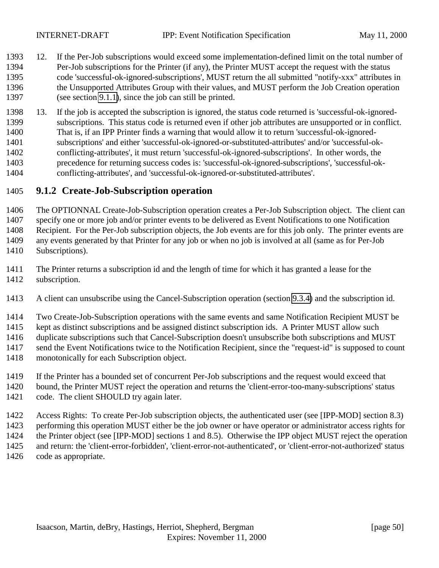- <span id="page-49-0"></span> 12. If the Per-Job subscriptions would exceed some implementation-defined limit on the total number of Per-Job subscriptions for the Printer (if any), the Printer MUST accept the request with the status code 'successful-ok-ignored-subscriptions', MUST return the all submitted "notify-xxx" attributes in the Unsupported Attributes Group with their values, and MUST perform the Job Creation operation (see section [9.1.1\)](#page-45-0), since the job can still be printed.
- 13. If the job is accepted the subscription is ignored, the status code returned is 'successful-ok-ignored- subscriptions. This status code is returned even if other job attributes are unsupported or in conflict. That is, if an IPP Printer finds a warning that would allow it to return 'successful-ok-ignored- subscriptions' and either 'successful-ok-ignored-or-substituted-attributes' and/or 'successful-ok- conflicting-attributes', it must return 'successful-ok-ignored-subscriptions'. In other words, the precedence for returning success codes is: 'successful-ok-ignored-subscriptions', 'successful-ok-conflicting-attributes', and 'successful-ok-ignored-or-substituted-attributes'.

## **9.1.2 Create-Job-Subscription operation**

 The OPTIONNAL Create-Job-Subscription operation creates a Per-Job Subscription object. The client can specify one or more job and/or printer events to be delivered as Event Notifications to one Notification Recipient. For the Per-Job subscription objects, the Job events are for this job only. The printer events are any events generated by that Printer for any job or when no job is involved at all (same as for Per-Job Subscriptions).

- The Printer returns a subscription id and the length of time for which it has granted a lease for the subscription.
- A client can unsubscribe using the Cancel-Subscription operation (section [9.3.4\)](#page-59-0) and the subscription id.

Two Create-Job-Subscription operations with the same events and same Notification Recipient MUST be

kept as distinct subscriptions and be assigned distinct subscription ids. A Printer MUST allow such

duplicate subscriptions such that Cancel-Subscription doesn't unsubscribe both subscriptions and MUST

- send the Event Notifications twice to the Notification Recipient, since the "request-id" is supposed to count
- monotonically for each Subscription object.
- If the Printer has a bounded set of concurrent Per-Job subscriptions and the request would exceed that
- bound, the Printer MUST reject the operation and returns the 'client-error-too-many-subscriptions' status code. The client SHOULD try again later.
- Access Rights: To create Per-Job subscription objects, the authenticated user (see [IPP-MOD] section 8.3) performing this operation MUST either be the job owner or have operator or administrator access rights for the Printer object (see [IPP-MOD] sections 1 and 8.5). Otherwise the IPP object MUST reject the operation and return: the 'client-error-forbidden', 'client-error-not-authenticated', or 'client-error-not-authorized' status code as appropriate.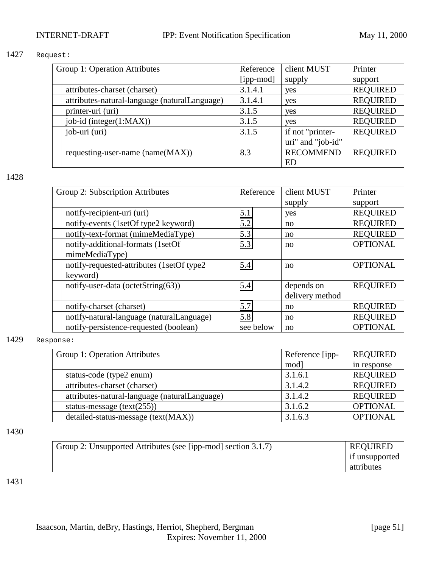#### 1427 Request:

| Group 1: Operation Attributes                 | Reference | client MUST       | Printer         |
|-----------------------------------------------|-----------|-------------------|-----------------|
|                                               | [ipp-mod] | supply            | support         |
| attributes-charset (charset)                  | 3.1.4.1   | yes               | <b>REQUIRED</b> |
| attributes-natural-language (naturalLanguage) | 3.1.4.1   | yes               | <b>REQUIRED</b> |
| printer-uri (uri)                             | 3.1.5     | yes               | <b>REQUIRED</b> |
| job-id (integer(1:MAX))                       | 3.1.5     | yes               | <b>REQUIRED</b> |
| job-uri (uri)                                 | 3.1.5     | if not "printer-  | <b>REQUIRED</b> |
|                                               |           | uri" and "job-id" |                 |
| requesting-user-name (name(MAX))              | 8.3       | <b>RECOMMEND</b>  | <b>REQUIRED</b> |
|                                               |           | ED                |                 |

1428

| Reference | client MUST     | Printer         |
|-----------|-----------------|-----------------|
|           | supply          | support         |
| 5.1       | yes             | <b>REQUIRED</b> |
| 5.2       | no              | <b>REQUIRED</b> |
| 5.3       | no              | <b>REQUIRED</b> |
| 5.3       | no              | <b>OPTIONAL</b> |
|           |                 |                 |
| 5.4       | no              | <b>OPTIONAL</b> |
|           |                 |                 |
| 5.4       | depends on      | <b>REQUIRED</b> |
|           | delivery method |                 |
| 5.7       | no              | <b>REQUIRED</b> |
| 5.8       | no              | <b>REQUIRED</b> |
| see below | no              | <b>OPTIONAL</b> |
|           |                 |                 |

#### 1429 Response:

| Group 1: Operation Attributes |                                               | Reference [ipp- | <b>REQUIRED</b> |
|-------------------------------|-----------------------------------------------|-----------------|-----------------|
|                               |                                               | mod]            | in response     |
|                               | status-code (type2 enum)                      | 3.1.6.1         | <b>REQUIRED</b> |
|                               | attributes-charset (charset)                  | 3.1.4.2         | <b>REQUIRED</b> |
|                               | attributes-natural-language (naturalLanguage) | 3.1.4.2         | <b>REQUIRED</b> |
|                               | status-message $(text(255))$                  | 3.1.6.2         | <b>OPTIONAL</b> |
|                               | detailed-status-message (text(MAX))           | 3.1.6.3         | <b>OPTIONAL</b> |

#### 1430

| Group 2: Unsupported Attributes (see [ipp-mod] section 3.1.7) | <b>REQUIRED</b>  |
|---------------------------------------------------------------|------------------|
|                                                               | I if unsupported |
|                                                               | attributes       |

1431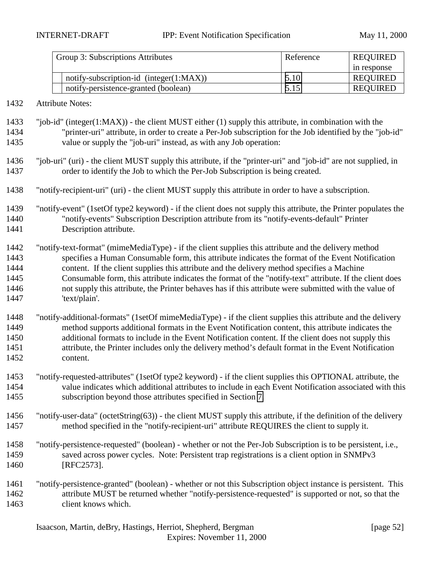| Group 3: Subscriptions Attributes           | Reference | <b>REQUIRED</b> |
|---------------------------------------------|-----------|-----------------|
|                                             |           | in response     |
| notify-subscription-id (integer $(1:MAX)$ ) | 5.10      | <b>REQUIRED</b> |
| notify-persistence-granted (boolean)        | 5.15      | REQUIRED        |

#### Attribute Notes:

 "job-id" (integer(1:MAX)) - the client MUST either (1) supply this attribute, in combination with the "printer-uri" attribute, in order to create a Per-Job subscription for the Job identified by the "job-id" value or supply the "job-uri" instead, as with any Job operation:

- "job-uri" (uri) the client MUST supply this attribute, if the "printer-uri" and "job-id" are not supplied, in order to identify the Job to which the Per-Job Subscription is being created.
- "notify-recipient-uri" (uri) the client MUST supply this attribute in order to have a subscription.
- "notify-event" (1setOf type2 keyword) if the client does not supply this attribute, the Printer populates the "notify-events" Subscription Description attribute from its "notify-events-default" Printer Description attribute.
- "notify-text-format" (mimeMediaType) if the client supplies this attribute and the delivery method specifies a Human Consumable form, this attribute indicates the format of the Event Notification content. If the client supplies this attribute and the delivery method specifies a Machine Consumable form, this attribute indicates the format of the "notify-text" attribute. If the client does not supply this attribute, the Printer behaves has if this attribute were submitted with the value of 'text/plain'.
- "notify-additional-formats" (1setOf mimeMediaType) if the client supplies this attribute and the delivery method supports additional formats in the Event Notification content, this attribute indicates the additional formats to include in the Event Notification content. If the client does not supply this attribute, the Printer includes only the delivery method's default format in the Event Notification content.
- "notify-requested-attributes" (1setOf type2 keyword) if the client supplies this OPTIONAL attribute, the value indicates which additional attributes to include in each Event Notification associated with this subscription beyond those attributes specified in Section [7.](#page-37-0)
- "notify-user-data" (octetString(63)) the client MUST supply this attribute, if the definition of the delivery method specified in the "notify-recipient-uri" attribute REQUIRES the client to supply it.
- "notify-persistence-requested" (boolean) whether or not the Per-Job Subscription is to be persistent, i.e., saved across power cycles. Note: Persistent trap registrations is a client option in SNMPv3 [RFC2573].
- "notify-persistence-granted" (boolean) whether or not this Subscription object instance is persistent. This attribute MUST be returned whether "notify-persistence-requested" is supported or not, so that the client knows which.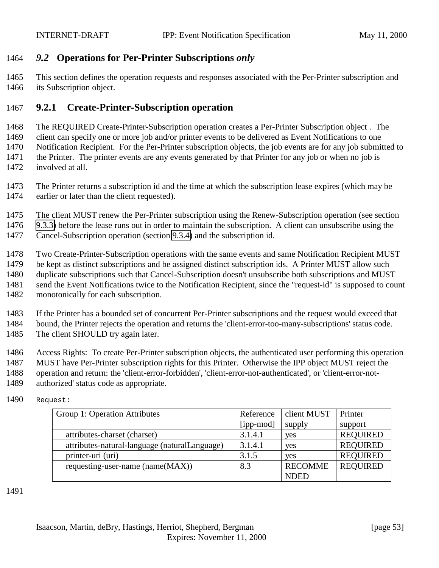## <span id="page-52-0"></span>*9.2* **Operations for Per-Printer Subscriptions** *only*

 This section defines the operation requests and responses associated with the Per-Printer subscription and its Subscription object.

## **9.2.1 Create-Printer-Subscription operation**

 The REQUIRED Create-Printer-Subscription operation creates a Per-Printer Subscription object . The client can specify one or more job and/or printer events to be delivered as Event Notifications to one Notification Recipient. For the Per-Printer subscription objects, the job events are for any job submitted to the Printer. The printer events are any events generated by that Printer for any job or when no job is involved at all.

 The Printer returns a subscription id and the time at which the subscription lease expires (which may be earlier or later than the client requested).

 The client MUST renew the Per-Printer subscription using the Renew-Subscription operation (see section [9.3.3\)](#page-58-0) before the lease runs out in order to maintain the subscription. A client can unsubscribe using the Cancel-Subscription operation (section [9.3.4\)](#page-59-0) and the subscription id.

Two Create-Printer-Subscription operations with the same events and same Notification Recipient MUST

be kept as distinct subscriptions and be assigned distinct subscription ids. A Printer MUST allow such

duplicate subscriptions such that Cancel-Subscription doesn't unsubscribe both subscriptions and MUST

1481 send the Event Notifications twice to the Notification Recipient, since the "request-id" is supposed to count

monotonically for each subscription.

 If the Printer has a bounded set of concurrent Per-Printer subscriptions and the request would exceed that bound, the Printer rejects the operation and returns the 'client-error-too-many-subscriptions' status code. 1485 The client SHOULD try again later.

Access Rights: To create Per-Printer subscription objects, the authenticated user performing this operation

MUST have Per-Printer subscription rights for this Printer. Otherwise the IPP object MUST reject the

printer-uri (uri)  $3.1.5$  yes REQUIRED

operation and return: the 'client-error-forbidden', 'client-error-not-authenticated', or 'client-error-not-

requesting-user-name (name( $MAX$ ))  $\begin{array}{|l|l|} \hline 8.3 \end{array}$  RECOMME

authorized' status code as appropriate.

| Group 1: Operation Attributes                 | Reference |
|-----------------------------------------------|-----------|
|                                               | [ipp-mod] |
| attributes-charset (charset)                  | 3.1.4.1   |
| attributes-natural-language (naturalLanguage) | 3.1.4.1   |

Request:

client MUST

Printer support

REQUIRED

ves REQUIRED  $\vee$  res REQUIRED

supply

NDED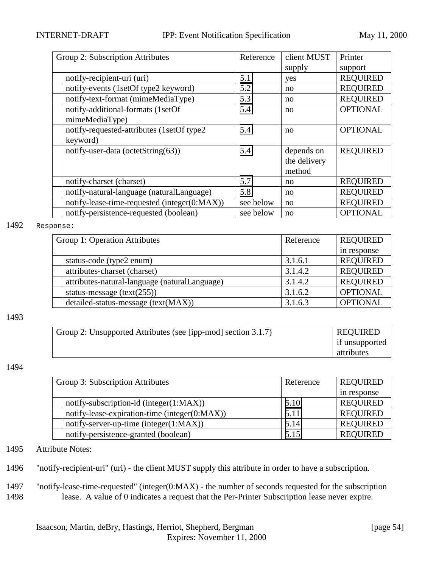| Group 2: Subscription Attributes |                                              | Reference | client MUST  | Printer         |
|----------------------------------|----------------------------------------------|-----------|--------------|-----------------|
|                                  |                                              |           | supply       | support         |
|                                  | notify-recipient-uri (uri)                   | 5.1       | yes          | <b>REQUIRED</b> |
|                                  | notify-events (1setOf type2 keyword)         | 5.2       | no           | <b>REQUIRED</b> |
|                                  | notify-text-format (mimeMediaType)           | 5.3       | no           | <b>REQUIRED</b> |
|                                  | notify-additional-formats (1setOf            | 5.4       | no           | <b>OPTIONAL</b> |
|                                  | mimeMediaType)                               |           |              |                 |
|                                  | notify-requested-attributes (1setOf type2)   | 5.4       | no           | <b>OPTIONAL</b> |
|                                  | keyword)                                     |           |              |                 |
|                                  | notify-user-data (octetString(63))           | 5.4       | depends on   | <b>REQUIRED</b> |
|                                  |                                              |           | the delivery |                 |
|                                  |                                              |           | method       |                 |
|                                  | notify-charset (charset)                     | 5.7       | no           | <b>REQUIRED</b> |
|                                  | notify-natural-language (naturalLanguage)    | 5.8       | no           | <b>REQUIRED</b> |
|                                  | notify-lease-time-requested (integer(0:MAX)) | see below | no           | <b>REQUIRED</b> |
|                                  | notify-persistence-requested (boolean)       | see below | no           | <b>OPTIONAL</b> |

#### 1492 Response:

| Group 1: Operation Attributes                 | Reference | <b>REQUIRED</b> |
|-----------------------------------------------|-----------|-----------------|
|                                               |           | in response     |
| status-code (type2 enum)                      | 3.1.6.1   | <b>REQUIRED</b> |
| attributes-charset (charset)                  | 3.1.4.2   | <b>REQUIRED</b> |
| attributes-natural-language (naturalLanguage) | 3.1.4.2   | <b>REQUIRED</b> |
| status-message $(text(255))$                  | 3.1.6.2   | <b>OPTIONAL</b> |
| detailed-status-message (text(MAX))           | 3.1.6.3   | <b>OPTIONAL</b> |

#### 1493

| Group 2: Unsupported Attributes (see [ipp-mod] section 3.1.7) | <b>REQUIRED</b> |
|---------------------------------------------------------------|-----------------|
|                                                               | if unsupported  |
|                                                               | attributes      |

#### 1494

| Group 3: Subscription Attributes |                                               | Reference | <b>REQUIRED</b> |
|----------------------------------|-----------------------------------------------|-----------|-----------------|
|                                  |                                               |           | in response     |
|                                  | notify-subscription-id (integer(1:MAX))       | 5.10      | <b>REQUIRED</b> |
|                                  | notify-lease-expiration-time (integer(0:MAX)) | 5.11      | <b>REQUIRED</b> |
|                                  | notify-server-up-time (integer(1:MAX))        | 5.14      | <b>REQUIRED</b> |
|                                  | notify-persistence-granted (boolean)          | 5.15      | <b>REQUIRED</b> |

1495 Attribute Notes:

1496 "notify-recipient-uri" (uri) - the client MUST supply this attribute in order to have a subscription.

1497 "notify-lease-time-requested" (integer(0:MAX) - the number of seconds requested for the subscription 1498 lease. A value of 0 indicates a request that the Per-Printer Subscription lease never expire.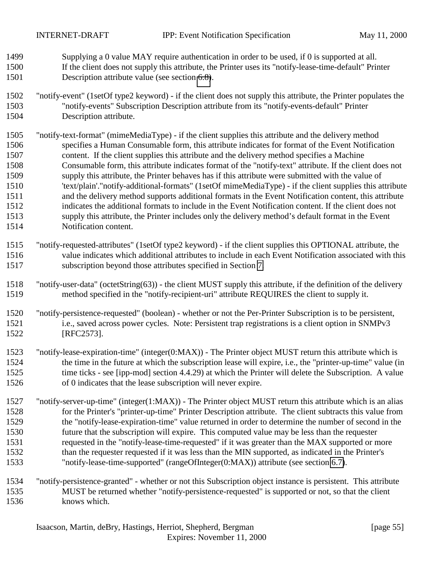- Supplying a 0 value MAY require authentication in order to be used, if 0 is supported at all. If the client does not supply this attribute, the Printer uses its "notify-lease-time-default" Printer Description attribute value (see section [6.8\)](#page-36-0).
- "notify-event" (1setOf type2 keyword) if the client does not supply this attribute, the Printer populates the "notify-events" Subscription Description attribute from its "notify-events-default" Printer Description attribute.
- "notify-text-format" (mimeMediaType) if the client supplies this attribute and the delivery method specifies a Human Consumable form, this attribute indicates for format of the Event Notification content. If the client supplies this attribute and the delivery method specifies a Machine Consumable form, this attribute indicates format of the "notify-text" attribute. If the client does not supply this attribute, the Printer behaves has if this attribute were submitted with the value of 'text/plain'."notify-additional-formats" (1setOf mimeMediaType) - if the client supplies this attribute and the delivery method supports additional formats in the Event Notification content, this attribute indicates the additional formats to include in the Event Notification content. If the client does not supply this attribute, the Printer includes only the delivery method's default format in the Event Notification content.
- "notify-requested-attributes" (1setOf type2 keyword) if the client supplies this OPTIONAL attribute, the value indicates which additional attributes to include in each Event Notification associated with this subscription beyond those attributes specified in Section [7.](#page-37-0)
- "notify-user-data" (octetString(63)) the client MUST supply this attribute, if the definition of the delivery method specified in the "notify-recipient-uri" attribute REQUIRES the client to supply it.
- "notify-persistence-requested" (boolean) whether or not the Per-Printer Subscription is to be persistent, i.e., saved across power cycles. Note: Persistent trap registrations is a client option in SNMPv3 [RFC2573].
- "notify-lease-expiration-time" (integer(0:MAX)) The Printer object MUST return this attribute which is the time in the future at which the subscription lease will expire, i.e., the "printer-up-time" value (in 1525 time ticks - see [ipp-mod] section 4.4.29) at which the Printer will delete the Subscription. A value of 0 indicates that the lease subscription will never expire.
- "notify-server-up-time" (integer(1:MAX)) The Printer object MUST return this attribute which is an alias for the Printer's "printer-up-time" Printer Description attribute. The client subtracts this value from the "notify-lease-expiration-time" value returned in order to determine the number of second in the future that the subscription will expire. This computed value may be less than the requester requested in the "notify-lease-time-requested" if it was greater than the MAX supported or more than the requester requested if it was less than the MIN supported, as indicated in the Printer's "notify-lease-time-supported" (rangeOfInteger(0:MAX)) attribute (see section [6.7\)](#page-36-0).
- "notify-persistence-granted" whether or not this Subscription object instance is persistent. This attribute MUST be returned whether "notify-persistence-requested" is supported or not, so that the client knows which.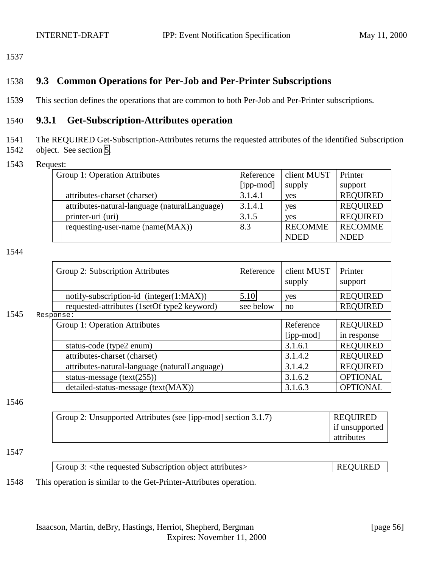## <span id="page-55-0"></span>1538 **9.3 Common Operations for Per-Job and Per-Printer Subscriptions**

1539 This section defines the operations that are common to both Per-Job and Per-Printer subscriptions.

## 1540 **9.3.1 Get-Subscription-Attributes operation**

1541 The REQUIRED Get-Subscription-Attributes returns the requested attributes of the identified Subscription

- 1542 object. See section [5.](#page-18-0)
- 1543 Request:

| Group 1: Operation Attributes                 | Reference | client MUST    | Printer         |
|-----------------------------------------------|-----------|----------------|-----------------|
|                                               | [ipp-mod] | supply         | support         |
| attributes-charset (charset)                  | 3.1.4.1   | yes            | <b>REQUIRED</b> |
| attributes-natural-language (naturalLanguage) | 3.1.4.1   | yes            | <b>REQUIRED</b> |
| printer-uri (uri)                             | 3.1.5     | yes            | <b>REQUIRED</b> |
| requesting-user-name (name(MAX))              | 8.3       | <b>RECOMME</b> | <b>RECOMME</b>  |
|                                               |           | <b>NDED</b>    | <b>NDED</b>     |

#### 1544

|  | Group 2: Subscription Attributes            | Reference | client MUST<br>supply | Printer<br>support |
|--|---------------------------------------------|-----------|-----------------------|--------------------|
|  | notify-subscription-id $(integer(1:MAX))$   | 5.10      | <b>ves</b>            | <b>REQUIRED</b>    |
|  | requested-attributes (1setOf type2 keyword) | see below | $\overline{p}$        | <b>REQUIRED</b>    |
|  |                                             |           |                       |                    |

#### 1545 Response:

| Group 1: Operation Attributes |                                               | Reference | <b>REQUIRED</b> |  |  |
|-------------------------------|-----------------------------------------------|-----------|-----------------|--|--|
|                               |                                               | [ipp-mod] | in response     |  |  |
|                               | status-code (type2 enum)                      | 3.1.6.1   | <b>REQUIRED</b> |  |  |
|                               | attributes-charset (charset)                  | 3.1.4.2   | <b>REQUIRED</b> |  |  |
|                               | attributes-natural-language (naturalLanguage) | 3.1.4.2   | <b>REQUIRED</b> |  |  |
|                               | status-message $(text(255))$                  | 3.1.6.2   | <b>OPTIONAL</b> |  |  |
|                               | detailed-status-message (text(MAX))           | 3.1.6.3   | <b>OPTIONAL</b> |  |  |

#### 1546

| Group 2: Unsupported Attributes (see [ipp-mod] section 3.1.7) | <b>REQUIRED</b> |
|---------------------------------------------------------------|-----------------|
|                                                               | if unsupported  |
|                                                               | attributes      |

#### 1547

| $\vert$ Group 3: <the attributes="" object="" requested="" subscription=""></the> | <b>REQUIRED</b> |
|-----------------------------------------------------------------------------------|-----------------|
|-----------------------------------------------------------------------------------|-----------------|

#### 1548 This operation is similar to the Get-Printer-Attributes operation.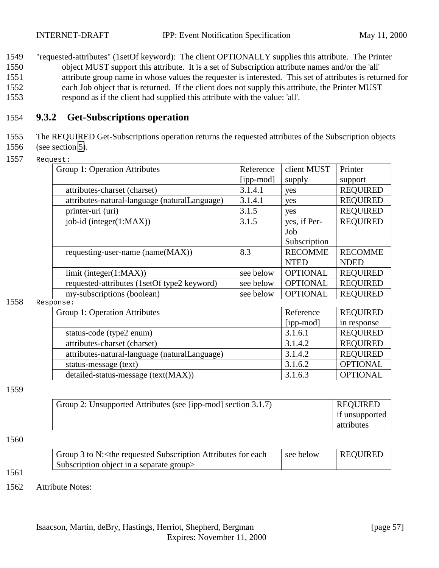<span id="page-56-0"></span> "requested-attributes" (1setOf keyword): The client OPTIONALLY supplies this attribute. The Printer object MUST support this attribute. It is a set of Subscription attribute names and/or the 'all' attribute group name in whose values the requester is interested. This set of attributes is returned for each Job object that is returned. If the client does not supply this attribute, the Printer MUST respond as if the client had supplied this attribute with the value: 'all'.

#### 1554 **9.3.2 Get-Subscriptions operation**

1555 The REQUIRED Get-Subscriptions operation returns the requested attributes of the Subscription objects

- 1556 (see section [5\)](#page-18-0).
- 1557 Request:

| Printer         |
|-----------------|
| support         |
| <b>REQUIRED</b> |
| <b>REQUIRED</b> |
| <b>REQUIRED</b> |
| <b>REQUIRED</b> |
|                 |
|                 |
| <b>RECOMME</b>  |
| <b>NDED</b>     |
| <b>REQUIRED</b> |
| <b>REQUIRED</b> |
| <b>REQUIRED</b> |
|                 |

1558 Response:

| Group 1: Operation Attributes                 | Reference | <b>REQUIRED</b> |
|-----------------------------------------------|-----------|-----------------|
|                                               | [ipp-mod] | in response     |
| status-code (type2 enum)                      | 3.1.6.1   | <b>REQUIRED</b> |
| attributes-charset (charset)                  | 3.1.4.2   | <b>REQUIRED</b> |
| attributes-natural-language (naturalLanguage) | 3.1.4.2   | <b>REQUIRED</b> |
| status-message (text)                         | 3.1.6.2   | <b>OPTIONAL</b> |
| detailed-status-message (text(MAX))           | 3.1.6.3   | <b>OPTIONAL</b> |

1559

| Group 2: Unsupported Attributes (see [ipp-mod] section 3.1.7) | <b>REQUIRED</b> |
|---------------------------------------------------------------|-----------------|
|                                                               | if unsupported  |
|                                                               | attributes      |

#### 1560

1561

| Group 3 to N: < the requested Subscription Attributes for each | see below | <b>REQUIRED</b> |
|----------------------------------------------------------------|-----------|-----------------|
| Subscription object in a separate group                        |           |                 |

1562 Attribute Notes: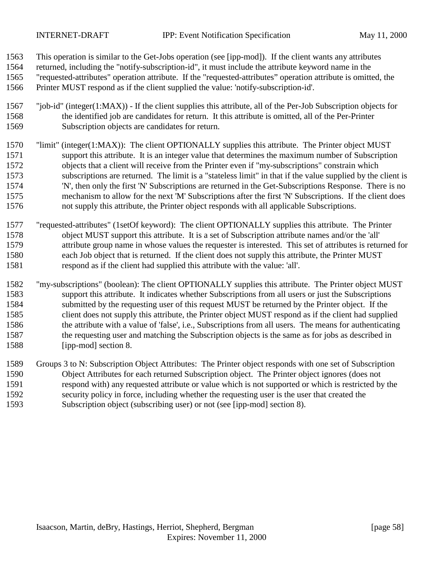- This operation is similar to the Get-Jobs operation (see [ipp-mod]). If the client wants any attributes
- returned, including the "notify-subscription-id", it must include the attribute keyword name in the
- "requested-attributes" operation attribute. If the "requested-attributes" operation attribute is omitted, the
- Printer MUST respond as if the client supplied the value: 'notify-subscription-id'.
- "job-id" (integer(1:MAX)) If the client supplies this attribute, all of the Per-Job Subscription objects for the identified job are candidates for return. It this attribute is omitted, all of the Per-Printer Subscription objects are candidates for return.
- "limit" (integer(1:MAX)): The client OPTIONALLY supplies this attribute. The Printer object MUST support this attribute. It is an integer value that determines the maximum number of Subscription objects that a client will receive from the Printer even if "my-subscriptions" constrain which subscriptions are returned. The limit is a "stateless limit" in that if the value supplied by the client is 'N', then only the first 'N' Subscriptions are returned in the Get-Subscriptions Response. There is no mechanism to allow for the next 'M' Subscriptions after the first 'N' Subscriptions. If the client does not supply this attribute, the Printer object responds with all applicable Subscriptions.
- "requested-attributes" (1setOf keyword): The client OPTIONALLY supplies this attribute. The Printer object MUST support this attribute. It is a set of Subscription attribute names and/or the 'all' attribute group name in whose values the requester is interested. This set of attributes is returned for each Job object that is returned. If the client does not supply this attribute, the Printer MUST respond as if the client had supplied this attribute with the value: 'all'.
- "my-subscriptions" (boolean): The client OPTIONALLY supplies this attribute. The Printer object MUST support this attribute. It indicates whether Subscriptions from all users or just the Subscriptions submitted by the requesting user of this request MUST be returned by the Printer object. If the client does not supply this attribute, the Printer object MUST respond as if the client had supplied the attribute with a value of 'false', i.e., Subscriptions from all users. The means for authenticating the requesting user and matching the Subscription objects is the same as for jobs as described in [ipp-mod] section 8.
- Groups 3 to N: Subscription Object Attributes: The Printer object responds with one set of Subscription Object Attributes for each returned Subscription object. The Printer object ignores (does not respond with) any requested attribute or value which is not supported or which is restricted by the security policy in force, including whether the requesting user is the user that created the Subscription object (subscribing user) or not (see [ipp-mod] section 8).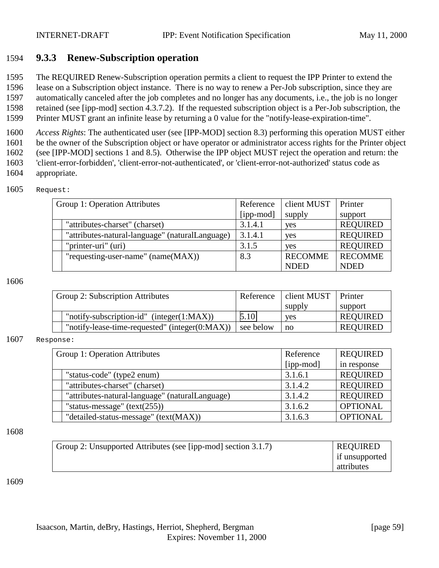#### <span id="page-58-0"></span>1594 **9.3.3 Renew-Subscription operation**

1595 The REQUIRED Renew-Subscription operation permits a client to request the IPP Printer to extend the

1596 lease on a Subscription object instance. There is no way to renew a Per-Job subscription, since they are

1597 automatically canceled after the job completes and no longer has any documents, i.e., the job is no longer 1598 retained (see [ipp-mod] section 4.3.7.2). If the requested subscription object is a Per-Job subscription, the

1599 Printer MUST grant an infinite lease by returning a 0 value for the "notify-lease-expiration-time".

 *Access Rights*: The authenticated user (see [IPP-MOD] section 8.3) performing this operation MUST either be the owner of the Subscription object or have operator or administrator access rights for the Printer object (see [IPP-MOD] sections 1 and 8.5). Otherwise the IPP object MUST reject the operation and return: the 'client-error-forbidden', 'client-error-not-authenticated', or 'client-error-not-authorized' status code as appropriate.

| Group 1: Operation Attributes                   | Reference | client MUST    | Printer         |
|-------------------------------------------------|-----------|----------------|-----------------|
|                                                 | [ipp-mod] | supply         | support         |
| "attributes-charset" (charset)                  | 3.1.4.1   | yes            | <b>REQUIRED</b> |
| "attributes-natural-language" (naturalLanguage) | 3.1.4.1   | yes            | <b>REQUIRED</b> |
| "printer-uri" (uri)                             | 3.1.5     | <b>ves</b>     | <b>REQUIRED</b> |
| "requesting-user-name" $(name(MAX))$            | 8.3       | <b>RECOMME</b> | <b>RECOMME</b>  |
|                                                 |           | <b>NDED</b>    | <b>NDED</b>     |

1606

| Group 2: Subscription Attributes                   | Reference | client MUST   Printer |                 |
|----------------------------------------------------|-----------|-----------------------|-----------------|
|                                                    |           | supply                | support         |
| "notify-subscription-id" (integer $(1:MAX)$ )      | 5.10      | <b>ves</b>            | <b>REQUIRED</b> |
| "notify-lease-time-requested" (integer $(0:MAX)$ ) | see below | no                    | <b>REQUIRED</b> |

#### 1607 Response:

| Group 1: Operation Attributes |                                                 | Reference | <b>REQUIRED</b> |
|-------------------------------|-------------------------------------------------|-----------|-----------------|
|                               |                                                 | [ipp-mod] | in response     |
|                               | "status-code" (type2 enum)                      | 3.1.6.1   | <b>REQUIRED</b> |
|                               | "attributes-charset" (charset)                  | 3.1.4.2   | <b>REQUIRED</b> |
|                               | "attributes-natural-language" (naturalLanguage) | 3.1.4.2   | <b>REQUIRED</b> |
|                               | "status-message" $(text(255))$                  | 3.1.6.2   | <b>OPTIONAL</b> |
|                               | "detailed-status-message" (text(MAX))           | 3.1.6.3   | <b>OPTIONAL</b> |

#### 1608

| Group 2: Unsupported Attributes (see [ipp-mod] section 3.1.7) | <b>REQUIRED</b> |
|---------------------------------------------------------------|-----------------|
|                                                               | if unsupported  |
|                                                               | attributes      |

1609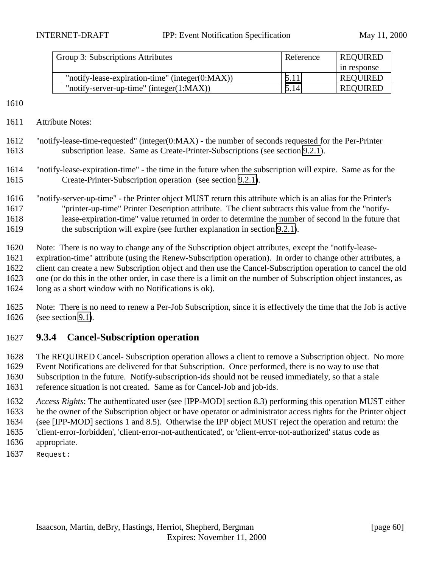<span id="page-59-0"></span>

| Group 3: Subscriptions Attributes                   | Reference | <b>REQUIRED</b> |
|-----------------------------------------------------|-----------|-----------------|
|                                                     |           | in response     |
| "notify-lease-expiration-time" (integer $(0:MAX)$ ) | 5.11      | <b>REQUIRED</b> |
| "notify-server-up-time" (integer $(1:MAX)$ )        | 5.14      | <b>REQUIRED</b> |

- Attribute Notes:
- "notify-lease-time-requested" (integer(0:MAX) the number of seconds requested for the Per-Printer subscription lease. Same as Create-Printer-Subscriptions (see section [9.2.1\)](#page-52-0).
- "notify-lease-expiration-time" the time in the future when the subscription will expire. Same as for the Create-Printer-Subscription operation (see section [9.2.1\)](#page-52-0).
- "notify-server-up-time" the Printer object MUST return this attribute which is an alias for the Printer's "printer-up-time" Printer Description attribute. The client subtracts this value from the "notify- lease-expiration-time" value returned in order to determine the number of second in the future that 1619 the subscription will expire (see further explanation in section [9.2.1\)](#page-52-0).
- Note: There is no way to change any of the Subscription object attributes, except the "notify-lease-
- expiration-time" attribute (using the Renew-Subscription operation). In order to change other attributes, a client can create a new Subscription object and then use the Cancel-Subscription operation to cancel the old
- one (or do this in the other order, in case there is a limit on the number of Subscription object instances, as
- long as a short window with no Notifications is ok).
- Note: There is no need to renew a Per-Job Subscription, since it is effectively the time that the Job is active (see section [9.1\)](#page-45-0).

## **9.3.4 Cancel-Subscription operation**

- The REQUIRED Cancel- Subscription operation allows a client to remove a Subscription object. No more Event Notifications are delivered for that Subscription. Once performed, there is no way to use that Subscription in the future. Notify-subscription-ids should not be reused immediately, so that a stale reference situation is not created. Same as for Cancel-Job and job-ids.
- *Access Rights*: The authenticated user (see [IPP-MOD] section 8.3) performing this operation MUST either be the owner of the Subscription object or have operator or administrator access rights for the Printer object (see [IPP-MOD] sections 1 and 8.5). Otherwise the IPP object MUST reject the operation and return: the 'client-error-forbidden', 'client-error-not-authenticated', or 'client-error-not-authorized' status code as
- appropriate.
- Request: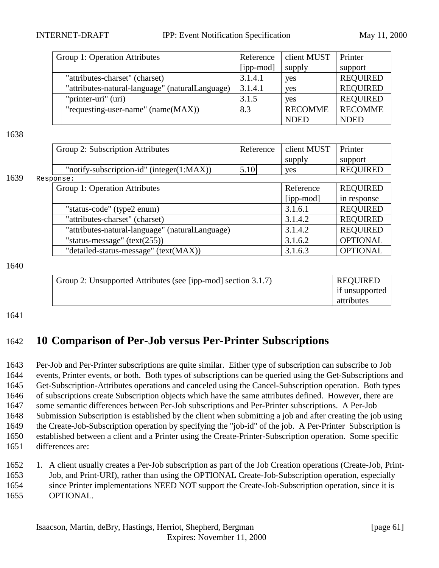INTERNET-DRAFT IPP: Event Notification Specification May 11, 2000

| Group 1: Operation Attributes                   | Reference | client MUST    | Printer         |
|-------------------------------------------------|-----------|----------------|-----------------|
|                                                 | [ipp-mod] | supply         | support         |
| "attributes-charset" (charset)                  | 3.1.4.1   | yes            | <b>REQUIRED</b> |
| "attributes-natural-language" (naturalLanguage) | 3.1.4.1   | yes            | <b>REQUIRED</b> |
| "printer-uri" (uri)                             | 3.1.5     | <b>ves</b>     | <b>REQUIRED</b> |
| "requesting-user-name" (name(MAX))              | 8.3       | <b>RECOMME</b> | <b>RECOMME</b>  |
|                                                 |           | <b>NDED</b>    | <b>NDED</b>     |

#### 1638

|      | Group 2: Subscription Attributes                                                                                     | client MUST | Printer     |                 |  |  |  |
|------|----------------------------------------------------------------------------------------------------------------------|-------------|-------------|-----------------|--|--|--|
|      |                                                                                                                      |             | supply      | support         |  |  |  |
|      | "notify-subscription-id" (integer $(1:MAX)$ )                                                                        | 5.10        | yes         | <b>REQUIRED</b> |  |  |  |
| 1639 |                                                                                                                      |             |             |                 |  |  |  |
|      | Group 1: Operation Attributes                                                                                        |             | Reference   | <b>REQUIRED</b> |  |  |  |
|      |                                                                                                                      |             | $[ipp-mod]$ | in response     |  |  |  |
|      | "status-code" (type2 enum)                                                                                           |             | 3.1.6.1     | <b>REQUIRED</b> |  |  |  |
|      | "attributes-charset" (charset)                                                                                       |             | 3.1.4.2     | <b>REQUIRED</b> |  |  |  |
|      | Response:<br>"attributes-natural-language" (naturalLanguage)<br>3.1.4.2<br>"status-message" $(text(255))$<br>3.1.6.2 |             |             |                 |  |  |  |
|      |                                                                                                                      |             |             | <b>OPTIONAL</b> |  |  |  |
|      | "detailed-status-message" (text(MAX))                                                                                |             | 3.1.6.3     | <b>OPTIONAL</b> |  |  |  |

1640

| Group 2: Unsupported Attributes (see [ipp-mod] section 3.1.7) | <b>REQUIRED</b> |
|---------------------------------------------------------------|-----------------|
|                                                               | if unsupported  |
|                                                               | attributes      |

1641

# 1642 **10 Comparison of Per-Job versus Per-Printer Subscriptions**

 Per-Job and Per-Printer subscriptions are quite similar. Either type of subscription can subscribe to Job events, Printer events, or both. Both types of subscriptions can be queried using the Get-Subscriptions and Get-Subscription-Attributes operations and canceled using the Cancel-Subscription operation. Both types of subscriptions create Subscription objects which have the same attributes defined. However, there are some semantic differences between Per-Job subscriptions and Per-Printer subscriptions. A Per-Job Submission Subscription is established by the client when submitting a job and after creating the job using the Create-Job-Subscription operation by specifying the "job-id" of the job. A Per-Printer Subscription is established between a client and a Printer using the Create-Printer-Subscription operation. Some specific differences are:

1652 1. A client usually creates a Per-Job subscription as part of the Job Creation operations (Create-Job, Print-

1653 Job, and Print-URI), rather than using the OPTIONAL Create-Job-Subscription operation, especially 1654 since Printer implementations NEED NOT support the Create-Job-Subscription operation, since it is

1655 OPTIONAL.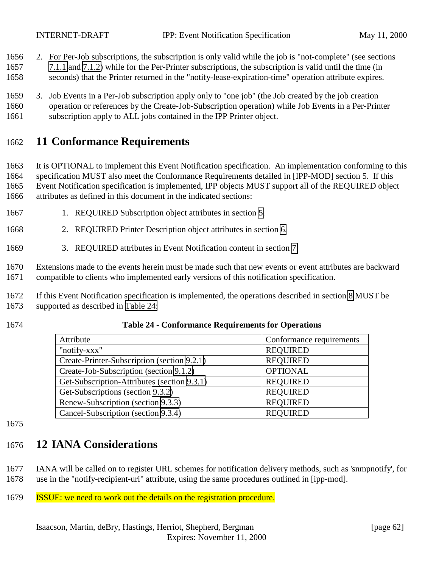2. For Per-Job subscriptions, the subscription is only valid while the job is "not-complete" (see sections

- [7.1.1](#page-39-0) and [7.1.2\)](#page-40-0) while for the Per-Printer subscriptions, the subscription is valid until the time (in
- seconds) that the Printer returned in the "notify-lease-expiration-time" operation attribute expires.
- 3. Job Events in a Per-Job subscription apply only to "one job" (the Job created by the job creation operation or references by the Create-Job-Subscription operation) while Job Events in a Per-Printer
- subscription apply to ALL jobs contained in the IPP Printer object.

# **11 Conformance Requirements**

 It is OPTIONAL to implement this Event Notification specification. An implementation conforming to this specification MUST also meet the Conformance Requirements detailed in [IPP-MOD] section 5. If this Event Notification specification is implemented, IPP objects MUST support all of the REQUIRED object attributes as defined in this document in the indicated sections:

- 1667 1. REQUIRED Subscription object attributes in section [5.](#page-18-0)
- 2. REQUIRED Printer Description object attributes in section [6.](#page-32-0)
- 3. REQUIRED attributes in Event Notification content in section [7.](#page-37-0)

 Extensions made to the events herein must be made such that new events or event attributes are backward compatible to clients who implemented early versions of this notification specification.

- If this Event Notification specification is implemented, the operations described in section [8](#page-45-0) MUST be supported as described in Table 24:
- 

#### **Table 24 - Conformance Requirements for Operations**

| Attribute                                   | Conformance requirements |
|---------------------------------------------|--------------------------|
| "notify-xxx"                                | <b>REQUIRED</b>          |
| Create-Printer-Subscription (section 9.2.1) | <b>REQUIRED</b>          |
| Create-Job-Subscription (section 9.1.2)     | <b>OPTIONAL</b>          |
| Get-Subscription-Attributes (section 9.3.1) | <b>REQUIRED</b>          |
| Get-Subscriptions (section 9.3.2)           | <b>REQUIRED</b>          |
| Renew-Subscription (section 9.3.3)          | <b>REQUIRED</b>          |
| Cancel-Subscription (section 9.3.4)         | <b>REQUIRED</b>          |

# **12 IANA Considerations**

- IANA will be called on to register URL schemes for notification delivery methods, such as 'snmpnotify', for use in the "notify-recipient-uri" attribute, using the same procedures outlined in [ipp-mod].
- ISSUE: we need to work out the details on the registration procedure.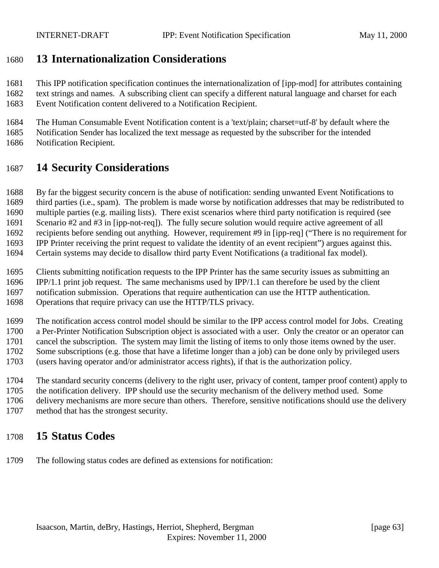## **13 Internationalization Considerations**

 This IPP notification specification continues the internationalization of [ipp-mod] for attributes containing text strings and names. A subscribing client can specify a different natural language and charset for each Event Notification content delivered to a Notification Recipient.

 The Human Consumable Event Notification content is a 'text/plain; charset=utf-8' by default where the Notification Sender has localized the text message as requested by the subscriber for the intended Notification Recipient.

## **14 Security Considerations**

By far the biggest security concern is the abuse of notification: sending unwanted Event Notifications to

 third parties (i.e., spam). The problem is made worse by notification addresses that may be redistributed to multiple parties (e.g. mailing lists). There exist scenarios where third party notification is required (see

Scenario #2 and #3 in [ipp-not-req]). The fully secure solution would require active agreement of all

recipients before sending out anything. However, requirement #9 in [ipp-req] ("There is no requirement for

IPP Printer receiving the print request to validate the identity of an event recipient") argues against this.

Certain systems may decide to disallow third party Event Notifications (a traditional fax model).

Clients submitting notification requests to the IPP Printer has the same security issues as submitting an

IPP/1.1 print job request. The same mechanisms used by IPP/1.1 can therefore be used by the client

notification submission. Operations that require authentication can use the HTTP authentication.

Operations that require privacy can use the HTTP/TLS privacy.

 The notification access control model should be similar to the IPP access control model for Jobs. Creating a Per-Printer Notification Subscription object is associated with a user. Only the creator or an operator can cancel the subscription. The system may limit the listing of items to only those items owned by the user. Some subscriptions (e.g. those that have a lifetime longer than a job) can be done only by privileged users

(users having operator and/or administrator access rights), if that is the authorization policy.

 The standard security concerns (delivery to the right user, privacy of content, tamper proof content) apply to the notification delivery. IPP should use the security mechanism of the delivery method used. Some

delivery mechanisms are more secure than others. Therefore, sensitive notifications should use the delivery

method that has the strongest security.

# **15 Status Codes**

The following status codes are defined as extensions for notification: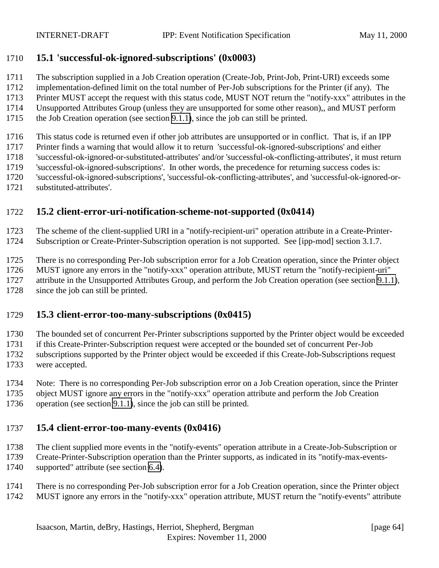## <span id="page-63-0"></span>**15.1 'successful-ok-ignored-subscriptions' (0x0003)**

- The subscription supplied in a Job Creation operation (Create-Job, Print-Job, Print-URI) exceeds some
- implementation-defined limit on the total number of Per-Job subscriptions for the Printer (if any). The
- Printer MUST accept the request with this status code, MUST NOT return the "notify-xxx" attributes in the
- Unsupported Attributes Group (unless they are unsupported for some other reason),, and MUST perform
- the Job Creation operation (see section [9.1.1\)](#page-45-0), since the job can still be printed.

This status code is returned even if other job attributes are unsupported or in conflict. That is, if an IPP

- Printer finds a warning that would allow it to return 'successful-ok-ignored-subscriptions' and either
- 'successful-ok-ignored-or-substituted-attributes' and/or 'successful-ok-conflicting-attributes', it must return
- 'successful-ok-ignored-subscriptions'. In other words, the precedence for returning success codes is:
- 'successful-ok-ignored-subscriptions', 'successful-ok-conflicting-attributes', and 'successful-ok-ignored-or-
- substituted-attributes'.

# **15.2 client-error-uri-notification-scheme-not-supported (0x0414)**

The scheme of the client-supplied URI in a "notify-recipient-uri" operation attribute in a Create-Printer-

Subscription or Create-Printer-Subscription operation is not supported. See [ipp-mod] section 3.1.7.

There is no corresponding Per-Job subscription error for a Job Creation operation, since the Printer object

MUST ignore any errors in the "notify-xxx" operation attribute, MUST return the "notify-recipient-uri"

1727 attribute in the Unsupported Attributes Group, and perform the Job Creation operation (see section [9.1.1\)](#page-45-0),

1728 since the job can still be printed.

## **15.3 client-error-too-many-subscriptions (0x0415)**

The bounded set of concurrent Per-Printer subscriptions supported by the Printer object would be exceeded

if this Create-Printer-Subscription request were accepted or the bounded set of concurrent Per-Job

- subscriptions supported by the Printer object would be exceeded if this Create-Job-Subscriptions request
- were accepted.
- Note: There is no corresponding Per-Job subscription error on a Job Creation operation, since the Printer
- object MUST ignore any errors in the "notify-xxx" operation attribute and perform the Job Creation
- operation (see section [9.1.1\)](#page-45-0), since the job can still be printed.

# **15.4 client-error-too-many-events (0x0416)**

# The client supplied more events in the "notify-events" operation attribute in a Create-Job-Subscription or

Create-Printer-Subscription operation than the Printer supports, as indicated in its "notify-max-events-

- supported" attribute (see section [6.4\)](#page-35-0).
- There is no corresponding Per-Job subscription error for a Job Creation operation, since the Printer object MUST ignore any errors in the "notify-xxx" operation attribute, MUST return the "notify-events" attribute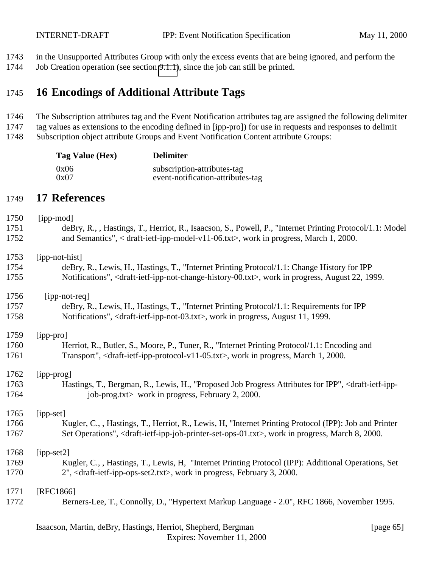in the Unsupported Attributes Group with only the excess events that are being ignored, and perform the

Job Creation operation (see section [9.1.1\)](#page-45-0), since the job can still be printed.

# **16 Encodings of Additional Attribute Tags**

 The Subscription attributes tag and the Event Notification attributes tag are assigned the following delimiter tag values as extensions to the encoding defined in [ipp-pro]) for use in requests and responses to delimit

Subscription object attribute Groups and Event Notification Content attribute Groups:

| Tag Value (Hex) | <b>Delimiter</b>                  |  |  |  |  |
|-----------------|-----------------------------------|--|--|--|--|
| 0x06            | subscription-attributes-tag       |  |  |  |  |
| 0x07            | event-notification-attributes-tag |  |  |  |  |

# **17 References**

| 1750 | [ipp-mod]                                                                                                                                  |
|------|--------------------------------------------------------------------------------------------------------------------------------------------|
| 1751 | deBry, R., , Hastings, T., Herriot, R., Isaacson, S., Powell, P., "Internet Printing Protocol/1.1: Model                                   |
| 1752 | and Semantics", < draft-ietf-ipp-model-v11-06.txt>, work in progress, March 1, 2000.                                                       |
| 1753 | [ipp-not-hist]                                                                                                                             |
| 1754 | deBry, R., Lewis, H., Hastings, T., "Internet Printing Protocol/1.1: Change History for IPP                                                |
| 1755 | Notifications", <draft-ietf-ipp-not-change-history-00.txt>, work in progress, August 22, 1999.</draft-ietf-ipp-not-change-history-00.txt>  |
| 1756 | [ipp-not-req]                                                                                                                              |
| 1757 | deBry, R., Lewis, H., Hastings, T., "Internet Printing Protocol/1.1: Requirements for IPP                                                  |
| 1758 | Notifications", <draft-ietf-ipp-not-03.txt>, work in progress, August 11, 1999.</draft-ietf-ipp-not-03.txt>                                |
| 1759 | [ipp-pro]                                                                                                                                  |
| 1760 | Herriot, R., Butler, S., Moore, P., Tuner, R., "Internet Printing Protocol/1.1: Encoding and                                               |
| 1761 | Transport", <draft-ietf-ipp-protocol-v11-05.txt>, work in progress, March 1, 2000.</draft-ietf-ipp-protocol-v11-05.txt>                    |
| 1762 | [ipp-prog]                                                                                                                                 |
| 1763 | Hastings, T., Bergman, R., Lewis, H., "Proposed Job Progress Attributes for IPP", <draft-ietf-ipp-< td=""></draft-ietf-ipp-<>              |
| 1764 | job-prog.txt> work in progress, February 2, 2000.                                                                                          |
| 1765 | [ipp-set]                                                                                                                                  |
| 1766 | Kugler, C., , Hastings, T., Herriot, R., Lewis, H. "Internet Printing Protocol (IPP): Job and Printer                                      |
| 1767 | Set Operations", <draft-ietf-ipp-job-printer-set-ops-01.txt>, work in progress, March 8, 2000.</draft-ietf-ipp-job-printer-set-ops-01.txt> |
| 1768 | $[ipp-set2]$                                                                                                                               |
| 1769 | Kugler, C., , Hastings, T., Lewis, H. "Internet Printing Protocol (IPP): Additional Operations, Set                                        |
| 1770 | 2", <draft-ietf-ipp-ops-set2.txt>, work in progress, February 3, 2000.</draft-ietf-ipp-ops-set2.txt>                                       |
| 1771 | [RFC1866]                                                                                                                                  |
| 1772 | Berners-Lee, T., Connolly, D., "Hypertext Markup Language - 2.0", RFC 1866, November 1995.                                                 |
|      |                                                                                                                                            |

#### Isaacson, Martin, deBry, Hastings, Herriot, Shepherd, Bergman [page 65] Expires: November 11, 2000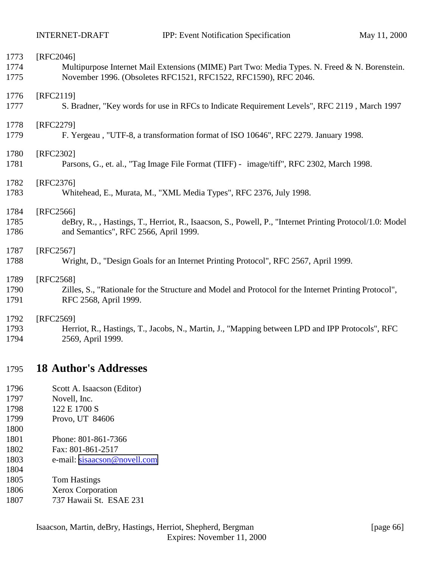| 1773 | [RFC2046]                                                                                                |
|------|----------------------------------------------------------------------------------------------------------|
| 1774 | Multipurpose Internet Mail Extensions (MIME) Part Two: Media Types. N. Freed & N. Borenstein.            |
| 1775 | November 1996. (Obsoletes RFC1521, RFC1522, RFC1590), RFC 2046.                                          |
| 1776 | [RFC2119]                                                                                                |
| 1777 | S. Bradner, "Key words for use in RFCs to Indicate Requirement Levels", RFC 2119, March 1997             |
| 1778 | [RFC2279]                                                                                                |
| 1779 | F. Yergeau, "UTF-8, a transformation format of ISO 10646", RFC 2279. January 1998.                       |
| 1780 | [RFC2302]                                                                                                |
| 1781 | Parsons, G., et. al., "Tag Image File Format (TIFF) - image/tiff", RFC 2302, March 1998.                 |
| 1782 | [RFC2376]                                                                                                |
| 1783 | Whitehead, E., Murata, M., "XML Media Types", RFC 2376, July 1998.                                       |
| 1784 | $[RFC2566]$                                                                                              |
| 1785 | deBry, R., , Hastings, T., Herriot, R., Isaacson, S., Powell, P., "Internet Printing Protocol/1.0: Model |
| 1786 | and Semantics", RFC 2566, April 1999.                                                                    |
| 1787 | $[RFC2567]$                                                                                              |
| 1788 | Wright, D., "Design Goals for an Internet Printing Protocol", RFC 2567, April 1999.                      |
| 1789 | [RFC2568]                                                                                                |
| 1790 | Zilles, S., "Rationale for the Structure and Model and Protocol for the Internet Printing Protocol",     |
| 1791 | RFC 2568, April 1999.                                                                                    |
| 1792 | [RFC2569]                                                                                                |
| 1793 | Herriot, R., Hastings, T., Jacobs, N., Martin, J., "Mapping between LPD and IPP Protocols", RFC          |
| 1794 | 2569, April 1999.                                                                                        |
| 1795 | <b>18 Author's Addresses</b>                                                                             |
| 1796 | Scott A. Isaacson (Editor)                                                                               |

- Novell, Inc.
- 1798 122 E 1700 S
- Provo, UT 84606
- Phone: 801-861-7366
- Fax: 801-861-2517
- e-mail: [sisaacson@novell.com](mailto:sisaacson@novell.com)
- Tom Hastings
- Xerox Corporation
- 737 Hawaii St. ESAE 231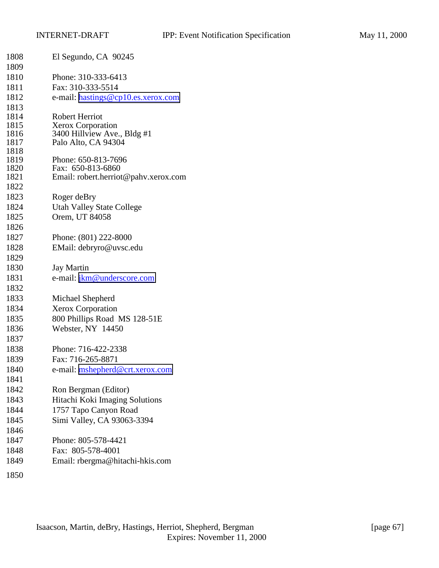| 1808         | El Segundo, CA 90245                               |
|--------------|----------------------------------------------------|
| 1809         |                                                    |
| 1810         | Phone: 310-333-6413                                |
| 1811         | Fax: 310-333-5514                                  |
| 1812         | e-mail: hastings@cp10.es.xerox.com                 |
| 1813         |                                                    |
| 1814         | <b>Robert Herriot</b>                              |
| 1815         | <b>Xerox Corporation</b>                           |
| 1816<br>1817 | 3400 Hillview Ave., Bldg #1<br>Palo Alto, CA 94304 |
| 1818         |                                                    |
| 1819         | Phone: 650-813-7696                                |
| 1820         | Fax: 650-813-6860                                  |
| 1821         | Email: robert.herriot@pahv.xerox.com               |
| 1822         |                                                    |
| 1823         | Roger deBry                                        |
| 1824         | <b>Utah Valley State College</b>                   |
| 1825         | Orem, UT 84058                                     |
| 1826         |                                                    |
| 1827         | Phone: (801) 222-8000                              |
| 1828         | EMail: debryro@uvsc.edu                            |
| 1829         |                                                    |
| 1830         | <b>Jay Martin</b>                                  |
| 1831         | e-mail: jkm@underscore.com                         |
| 1832         |                                                    |
| 1833         | Michael Shepherd                                   |
| 1834         | Xerox Corporation                                  |
| 1835         | 800 Phillips Road MS 128-51E                       |
| 1836         | Webster, NY 14450                                  |
| 1837         |                                                    |
| 1838         | Phone: 716-422-2338                                |
| 1839         | Fax: 716-265-8871                                  |
| 1840         | e-mail: mshepherd@crt.xerox.com                    |
| 1841         |                                                    |
| 1842         | Ron Bergman (Editor)                               |
| 1843         | Hitachi Koki Imaging Solutions                     |
| 1844         | 1757 Tapo Canyon Road                              |
| 1845         | Simi Valley, CA 93063-3394                         |
| 1846         |                                                    |
| 1847         | Phone: 805-578-4421                                |
| 1848         | Fax: 805-578-4001                                  |
| 1849         | Email: rbergma@hitachi-hkis.com                    |
| 1850         |                                                    |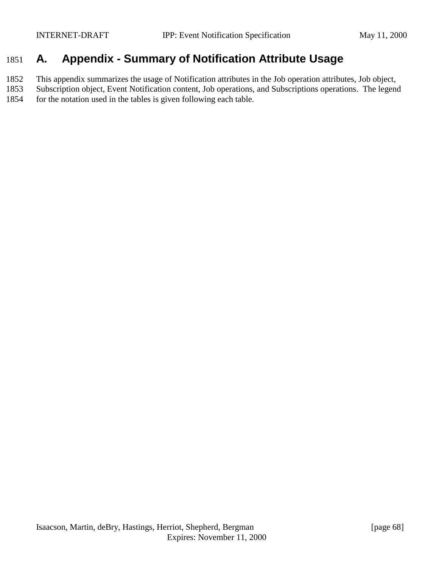# 1851 **A. Appendix - Summary of Notification Attribute Usage**

1852 This appendix summarizes the usage of Notification attributes in the Job operation attributes, Job object,

1853 Subscription object, Event Notification content, Job operations, and Subscriptions operations. The legend 1854 for the notation used in the tables is given following each table.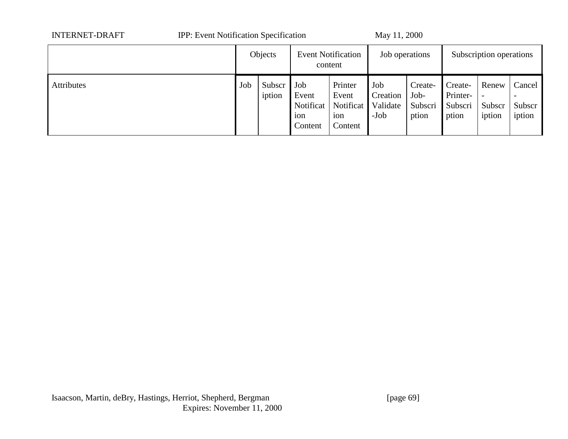| <b>INTERNET-DRAFT</b>    | <b>IPP:</b> Event Notification Specification |                  |                                             |                                                 | May 11, 2000                          |                                     |                                         |                           |                                                        |  |
|--------------------------|----------------------------------------------|------------------|---------------------------------------------|-------------------------------------------------|---------------------------------------|-------------------------------------|-----------------------------------------|---------------------------|--------------------------------------------------------|--|
|                          |                                              | Objects          | <b>Event Notification</b><br>content        |                                                 | Job operations                        |                                     | Subscription operations                 |                           |                                                        |  |
| Job<br><b>Attributes</b> |                                              | Subscr<br>iption | Job<br>Event<br>Notificat<br>ion<br>Content | Printer<br>Event<br>Notificat<br>ion<br>Content | Job<br>Creation<br>Validate<br>$-Job$ | Create-<br>Job-<br>Subscri<br>ption | Create-<br>Printer-<br>Subscri<br>ption | Renew<br>Subscr<br>iption | Cancel<br>$\overline{\phantom{0}}$<br>Subscr<br>iption |  |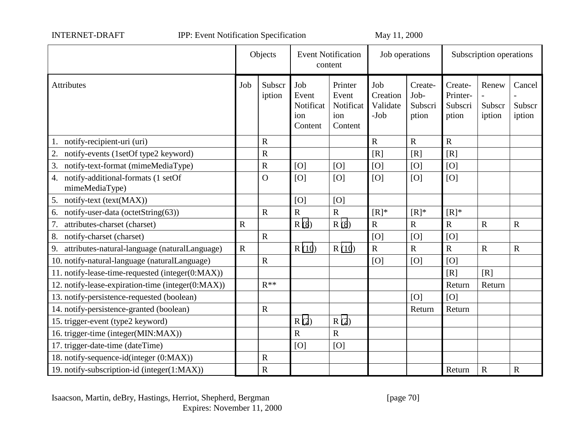INTERNET-DRAFT IPP: Event Notification Specification May 11, 2000

|                                                         |             | Objects          | <b>Event Notification</b><br>content        |                                                 | Job operations                      |                                     | Subscription operations                 |                           |                            |
|---------------------------------------------------------|-------------|------------------|---------------------------------------------|-------------------------------------------------|-------------------------------------|-------------------------------------|-----------------------------------------|---------------------------|----------------------------|
| Attributes                                              | Job         | Subscr<br>iption | Job<br>Event<br>Notificat<br>ion<br>Content | Printer<br>Event<br>Notificat<br>ion<br>Content | Job<br>Creation<br>Validate<br>-Job | Create-<br>Job-<br>Subscri<br>ption | Create-<br>Printer-<br>Subscri<br>ption | Renew<br>Subscr<br>iption | Cancel<br>Subscr<br>iption |
| 1. notify-recipient-uri (uri)                           |             | $\mathbf R$      |                                             |                                                 | $\overline{R}$                      | $\overline{R}$                      | $\overline{R}$                          |                           |                            |
| 2. notify-events (1setOf type2 keyword)                 |             | $\overline{R}$   |                                             |                                                 | [R]                                 | [R]                                 | [R]                                     |                           |                            |
| 3. notify-text-format (mimeMediaType)                   |             | $\mathbf R$      | [O]                                         | [O]                                             | [O]                                 | [O]                                 | [O]                                     |                           |                            |
| 4. notify-additional-formats (1 setOf<br>mimeMediaType) |             | $\overline{O}$   | [O]                                         | [O]                                             | [O]                                 | [O]                                 | [O]                                     |                           |                            |
| 5. notify-text (text(MAX))                              |             |                  | [O]                                         | [O]                                             |                                     |                                     |                                         |                           |                            |
| 6. notify-user-data (octetString(63))                   |             | $\mathbf R$      | $\overline{R}$                              | $\overline{R}$                                  | $[R]^*$                             | $[R]^*$                             | $[R]^*$                                 |                           |                            |
| 7. attributes-charset (charset)                         | $\mathbf R$ |                  | R(8)                                        | R(8)                                            | $\overline{\mathbf{R}}$             | $\overline{R}$                      | $\overline{R}$                          | $\mathbf R$               | $\mathbf R$                |
| 8. notify-charset (charset)                             |             | $\mathbf R$      |                                             |                                                 | [O]                                 | [O]                                 | [O]                                     |                           |                            |
| attributes-natural-language (naturalLanguage)<br>9.     | $\mathbf R$ |                  | R(10)                                       | R(10)                                           | $\mathbf R$                         | $\mathbf R$                         | $\mathbf R$                             | $\mathbf R$               | $\mathbf R$                |
| 10. notify-natural-language (naturalLanguage)           |             | $\mathbf R$      |                                             |                                                 | [O]                                 | [O]                                 | [O]                                     |                           |                            |
| 11. notify-lease-time-requested (integer(0:MAX))        |             |                  |                                             |                                                 |                                     |                                     | [R]                                     | [R]                       |                            |
| 12. notify-lease-expiration-time (integer(0:MAX))       |             | $R^{**}$         |                                             |                                                 |                                     |                                     | Return                                  | Return                    |                            |
| 13. notify-persistence-requested (boolean)              |             |                  |                                             |                                                 |                                     | [O]                                 | [O]                                     |                           |                            |
| 14. notify-persistence-granted (boolean)                |             | ${\bf R}$        |                                             |                                                 |                                     | Return                              | Return                                  |                           |                            |
| 15. trigger-event (type2 keyword)                       |             |                  | R(2)                                        | R(2)                                            |                                     |                                     |                                         |                           |                            |
| 16. trigger-time (integer(MIN:MAX))                     |             |                  | $\overline{\mathrm{R}}$                     | $\mathbf R$                                     |                                     |                                     |                                         |                           |                            |
| 17. trigger-date-time (dateTime)                        |             |                  | [O]                                         | [O]                                             |                                     |                                     |                                         |                           |                            |
| 18. notify-sequence-id(integer (0:MAX))                 |             | $\mathbf R$      |                                             |                                                 |                                     |                                     |                                         |                           |                            |
| 19. notify-subscription-id (integer(1:MAX))             |             | $\mathbf R$      |                                             |                                                 |                                     |                                     | Return                                  | $\mathbf R$               | $\mathbf R$                |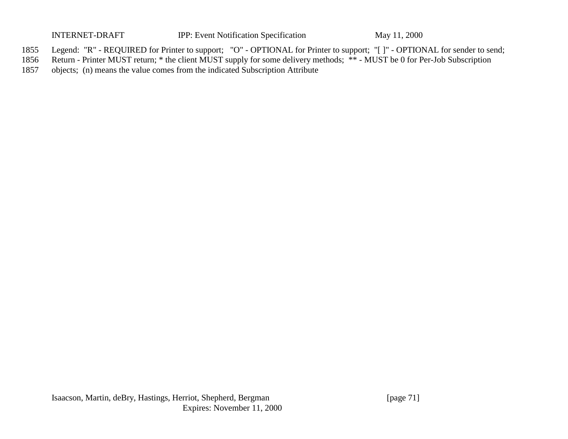INTERNET-DRAFT IPP: Event Notification Specification May 11, 2000

- 1855 Legend: "R" REQUIRED for Printer to support; "O" OPTIONAL for Printer to support; "[ ]" OPTIONAL for sender to send;
- 1856 Return Printer MUST return; \* the client MUST supply for some delivery methods; \*\* MUST be 0 for Per-Job Subscription
- 1857 objects; (n) means the value comes from the indicated Subscription Attribute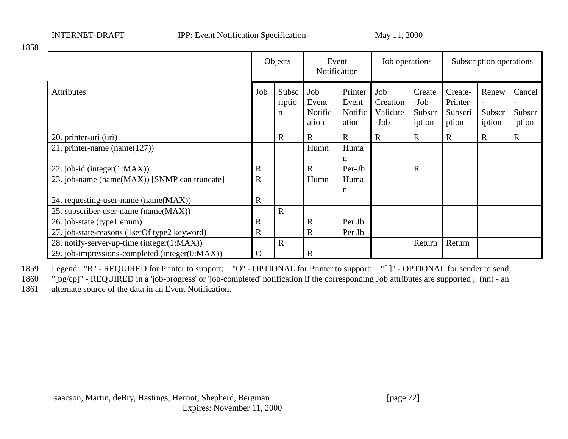INTERNET-DRAFT IPP: Event Notification Specification May 11, 2000

|                                                |             | Objects                        | Notification                     | Event                                | Job operations                      |                                       | Subscription operations                 |                           |                            |
|------------------------------------------------|-------------|--------------------------------|----------------------------------|--------------------------------------|-------------------------------------|---------------------------------------|-----------------------------------------|---------------------------|----------------------------|
| Job<br><b>Attributes</b>                       |             | Subsc<br>riptio<br>$\mathbf n$ | Job<br>Event<br>Notific<br>ation | Printer<br>Event<br>Notific<br>ation | Job<br>Creation<br>Validate<br>-Job | Create<br>$-Job-$<br>Subscr<br>iption | Create-<br>Printer-<br>Subscri<br>ption | Renew<br>Subscr<br>iption | Cancel<br>Subscr<br>iption |
| 20. printer-uri (uri)                          |             | $\mathbf{R}$                   | $\mathbf R$                      | $\mathbf R$                          | $\mathbf R$                         | $\mathbf R$                           | $\mathbf R$                             | $\mathbf R$               | $\mathbf R$                |
| 21. printer-name (name( $127$ ))               |             |                                | Humn                             | Huma<br>n                            |                                     |                                       |                                         |                           |                            |
| 22. job-id (integer(1:MAX))                    | $\mathbf R$ |                                | $\mathbf R$                      | Per-Jb                               |                                     | $\mathbf R$                           |                                         |                           |                            |
| 23. job-name (name(MAX)) [SNMP can truncate]   |             |                                | Humn                             | Huma<br>n                            |                                     |                                       |                                         |                           |                            |
| 24. requesting-user-name (name(MAX))           | $\mathbf R$ |                                |                                  |                                      |                                     |                                       |                                         |                           |                            |
| 25. subscriber-user-name (name(MAX))           |             | $\mathbf R$                    |                                  |                                      |                                     |                                       |                                         |                           |                            |
| 26. job-state (type1 enum)                     |             |                                | $\mathbf R$                      | Per Jb                               |                                     |                                       |                                         |                           |                            |
| 27. job-state-reasons (1setOf type2 keyword)   |             |                                | $\mathbf R$                      | Per Jb                               |                                     |                                       |                                         |                           |                            |
| 28. notify-server-up-time (integer(1:MAX))     |             | $\mathbf R$                    |                                  |                                      |                                     | Return                                | Return                                  |                           |                            |
| 29. job-impressions-completed (integer(0:MAX)) | $\mathbf O$ |                                | $\mathbf R$                      |                                      |                                     |                                       |                                         |                           |                            |

1859 Legend: "R" - REQUIRED for Printer to support; "O" - OPTIONAL for Printer to support; "[ ]" - OPTIONAL for sender to send;

1860 "[pg/cp]" - REQUIRED in a 'job-progress' or 'job-completed' notification if the corresponding Job attributes are supported ; (nn) - an

1861 alternate source of the data in an Event Notification.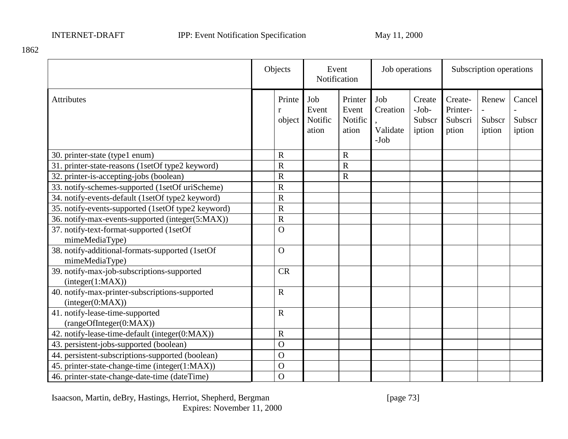1862

|                                                                    | Objects                          |                                  | Event<br>Notification                | Job operations                        |                                       |                                         | Subscription operations   |                            |
|--------------------------------------------------------------------|----------------------------------|----------------------------------|--------------------------------------|---------------------------------------|---------------------------------------|-----------------------------------------|---------------------------|----------------------------|
| <b>Attributes</b>                                                  | Printe<br>$\mathbf{r}$<br>object | Job<br>Event<br>Notific<br>ation | Printer<br>Event<br>Notific<br>ation | Job<br>Creation<br>Validate<br>$-Job$ | Create<br>$-Job-$<br>Subscr<br>iption | Create-<br>Printer-<br>Subscri<br>ption | Renew<br>Subscr<br>iption | Cancel<br>Subscr<br>iption |
| 30. printer-state (type1 enum)                                     | $\mathbf R$                      |                                  | $\mathbf R$                          |                                       |                                       |                                         |                           |                            |
| 31. printer-state-reasons (1setOf type2 keyword)                   | $\overline{R}$                   |                                  | $\mathbf R$                          |                                       |                                       |                                         |                           |                            |
| 32. printer-is-accepting-jobs (boolean)                            | $\overline{\text{R}}$            |                                  | $\overline{\text{R}}$                |                                       |                                       |                                         |                           |                            |
| 33. notify-schemes-supported (1setOf uriScheme)                    | $\mathbf R$                      |                                  |                                      |                                       |                                       |                                         |                           |                            |
| 34. notify-events-default (1setOf type2 keyword)                   | $\overline{\text{R}}$            |                                  |                                      |                                       |                                       |                                         |                           |                            |
| 35. notify-events-supported (1setOf type2 keyword)                 | $\overline{R}$                   |                                  |                                      |                                       |                                       |                                         |                           |                            |
| 36. notify-max-events-supported (integer(5:MAX))                   | $\overline{R}$                   |                                  |                                      |                                       |                                       |                                         |                           |                            |
| 37. notify-text-format-supported (1setOf<br>mimeMediaType)         | $\Omega$                         |                                  |                                      |                                       |                                       |                                         |                           |                            |
| 38. notify-additional-formats-supported (1setOf<br>mimeMediaType)  | $\Omega$                         |                                  |                                      |                                       |                                       |                                         |                           |                            |
| 39. notify-max-job-subscriptions-supported<br>interger(1:MAX)      | <b>CR</b>                        |                                  |                                      |                                       |                                       |                                         |                           |                            |
| 40. notify-max-printer-subscriptions-supported<br>interger(0:MAX)) | $\overline{R}$                   |                                  |                                      |                                       |                                       |                                         |                           |                            |
| 41. notify-lease-time-supported<br>(rangeOfInteger(0:MAX))         | $\overline{R}$                   |                                  |                                      |                                       |                                       |                                         |                           |                            |
| 42. notify-lease-time-default (integer(0:MAX))                     | $\overline{R}$                   |                                  |                                      |                                       |                                       |                                         |                           |                            |
| 43. persistent-jobs-supported (boolean)                            | $\Omega$                         |                                  |                                      |                                       |                                       |                                         |                           |                            |
| 44. persistent-subscriptions-supported (boolean)                   | $\Omega$                         |                                  |                                      |                                       |                                       |                                         |                           |                            |
| 45. printer-state-change-time (integer(1:MAX))                     | $\mathbf O$                      |                                  |                                      |                                       |                                       |                                         |                           |                            |
| 46. printer-state-change-date-time (dateTime)                      | $\overline{O}$                   |                                  |                                      |                                       |                                       |                                         |                           |                            |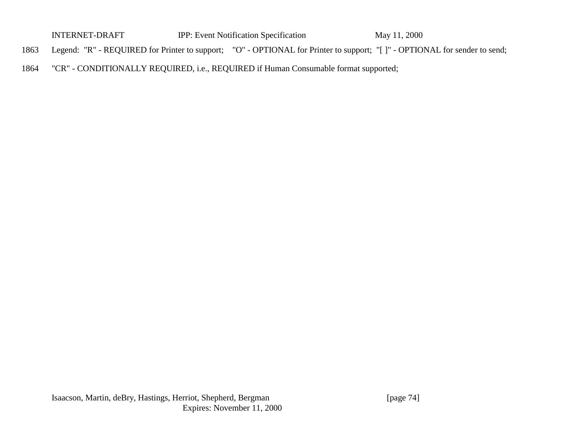| <b>INTERNET-DRAFT</b> | <b>IPP:</b> Event Notification Specification                                                                                   | May 11, 2000 |  |
|-----------------------|--------------------------------------------------------------------------------------------------------------------------------|--------------|--|
|                       | 1863 Legend: "R" - REQUIRED for Printer to support; "O" - OPTIONAL for Printer to support; "[]" - OPTIONAL for sender to send; |              |  |

1864 "CR" - CONDITIONALLY REQUIRED, i.e., REQUIRED if Human Consumable format supported;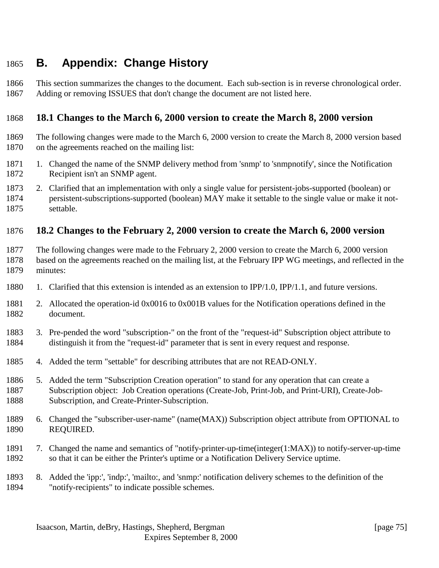# **B. Appendix: Change History**

 This section summarizes the changes to the document. Each sub-section is in reverse chronological order. Adding or removing ISSUES that don't change the document are not listed here.

## **18.1 Changes to the March 6, 2000 version to create the March 8, 2000 version**

- The following changes were made to the March 6, 2000 version to create the March 8, 2000 version based on the agreements reached on the mailing list:
- 1. Changed the name of the SNMP delivery method from 'snmp' to 'snmpnotify', since the Notification Recipient isn't an SNMP agent.
- 2. Clarified that an implementation with only a single value for persistent-jobs-supported (boolean) or persistent-subscriptions-supported (boolean) MAY make it settable to the single value or make it not-settable.

#### **18.2 Changes to the February 2, 2000 version to create the March 6, 2000 version**

- The following changes were made to the February 2, 2000 version to create the March 6, 2000 version based on the agreements reached on the mailing list, at the February IPP WG meetings, and reflected in the minutes:
- 1. Clarified that this extension is intended as an extension to IPP/1.0, IPP/1.1, and future versions.
- 2. Allocated the operation-id 0x0016 to 0x001B values for the Notification operations defined in the document.
- 3. Pre-pended the word "subscription-" on the front of the "request-id" Subscription object attribute to distinguish it from the "request-id" parameter that is sent in every request and response.
- 4. Added the term "settable" for describing attributes that are not READ-ONLY.
- 5. Added the term "Subscription Creation operation" to stand for any operation that can create a Subscription object: Job Creation operations (Create-Job, Print-Job, and Print-URI), Create-Job-Subscription, and Create-Printer-Subscription.
- 6. Changed the "subscriber-user-name" (name(MAX)) Subscription object attribute from OPTIONAL to REQUIRED.
- 7. Changed the name and semantics of "notify-printer-up-time(integer(1:MAX)) to notify-server-up-time so that it can be either the Printer's uptime or a Notification Delivery Service uptime.
- 8. Added the 'ipp:', 'indp:', 'mailto:, and 'snmp:' notification delivery schemes to the definition of the "notify-recipients" to indicate possible schemes.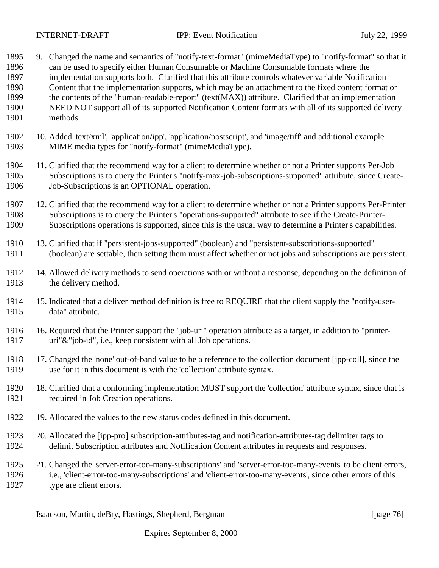- 9. Changed the name and semantics of "notify-text-format" (mimeMediaType) to "notify-format" so that it can be used to specify either Human Consumable or Machine Consumable formats where the implementation supports both. Clarified that this attribute controls whatever variable Notification Content that the implementation supports, which may be an attachment to the fixed content format or the contents of the "human-readable-report" (text(MAX)) attribute. Clarified that an implementation NEED NOT support all of its supported Notification Content formats with all of its supported delivery methods. 10. Added 'text/xml', 'application/ipp', 'application/postscript', and 'image/tiff' and additional example MIME media types for "notify-format" (mimeMediaType). 11. Clarified that the recommend way for a client to determine whether or not a Printer supports Per-Job Subscriptions is to query the Printer's "notify-max-job-subscriptions-supported" attribute, since Create- Job-Subscriptions is an OPTIONAL operation. 12. Clarified that the recommend way for a client to determine whether or not a Printer supports Per-Printer Subscriptions is to query the Printer's "operations-supported" attribute to see if the Create-Printer- Subscriptions operations is supported, since this is the usual way to determine a Printer's capabilities. 13. Clarified that if "persistent-jobs-supported" (boolean) and "persistent-subscriptions-supported" (boolean) are settable, then setting them must affect whether or not jobs and subscriptions are persistent. 14. Allowed delivery methods to send operations with or without a response, depending on the definition of the delivery method. 15. Indicated that a deliver method definition is free to REQUIRE that the client supply the "notify-user- data" attribute. 16. Required that the Printer support the "job-uri" operation attribute as a target, in addition to "printer- uri"&"job-id", i.e., keep consistent with all Job operations. 17. Changed the 'none' out-of-band value to be a reference to the collection document [ipp-coll], since the use for it in this document is with the 'collection' attribute syntax. 18. Clarified that a conforming implementation MUST support the 'collection' attribute syntax, since that is required in Job Creation operations. 19. Allocated the values to the new status codes defined in this document. 20. Allocated the [ipp-pro] subscription-attributes-tag and notification-attributes-tag delimiter tags to delimit Subscription attributes and Notification Content attributes in requests and responses. 21. Changed the 'server-error-too-many-subscriptions' and 'server-error-too-many-events' to be client errors,
- i.e., 'client-error-too-many-subscriptions' and 'client-error-too-many-events', since other errors of this type are client errors.

Isaacson, Martin, deBry, Hastings, Shepherd, Bergman [page 76]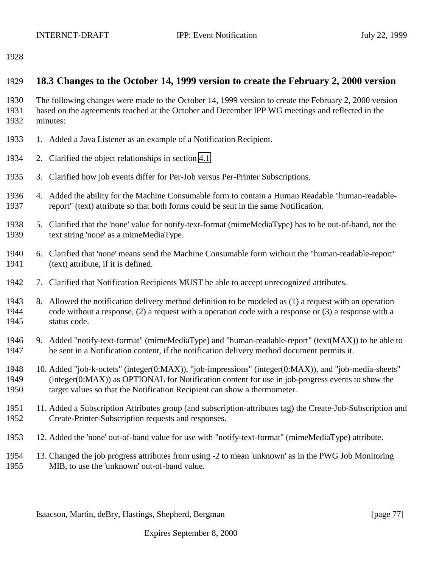#### **18.3 Changes to the October 14, 1999 version to create the February 2, 2000 version**

 The following changes were made to the October 14, 1999 version to create the February 2, 2000 version based on the agreements reached at the October and December IPP WG meetings and reflected in the minutes:

- 1. Added a Java Listener as an example of a Notification Recipient.
- 2. Clarified the object relationships in section [4.1.](#page-18-0)
- 3. Clarified how job events differ for Per-Job versus Per-Printer Subscriptions.
- 4. Added the ability for the Machine Consumable form to contain a Human Readable "human-readable-report" (text) attribute so that both forms could be sent in the same Notification.
- 5. Clarified that the 'none' value for notify-text-format (mimeMediaType) has to be out-of-band, not the text string 'none' as a mimeMediaType.
- 6. Clarified that 'none' means send the Machine Consumable form without the "human-readable-report" (text) attribute, if it is defined.
- 7. Clarified that Notification Recipients MUST be able to accept unrecognized attributes.
- 8. Allowed the notification delivery method definition to be modeled as (1) a request with an operation code without a response, (2) a request with a operation code with a response or (3) a response with a status code.
- 9. Added "notify-text-format" (mimeMediaType) and "human-readable-report" (text(MAX)) to be able to be sent in a Notification content, if the notification delivery method document permits it.
- 10. Added "job-k-octets" (integer(0:MAX)), "job-impressions" (integer(0:MAX)), and "job-media-sheets" (integer(0:MAX)) as OPTIONAL for Notification content for use in job-progress events to show the target values so that the Notification Recipient can show a thermometer.
- 11. Added a Subscription Attributes group (and subscription-attributes tag) the Create-Job-Subscription and Create-Printer-Subscription requests and responses.
- 12. Added the 'none' out-of-band value for use with "notify-text-format" (mimeMediaType) attribute.
- 13. Changed the job progress attributes from using -2 to mean 'unknown' as in the PWG Job Monitoring MIB, to use the 'unknown' out-of-band value.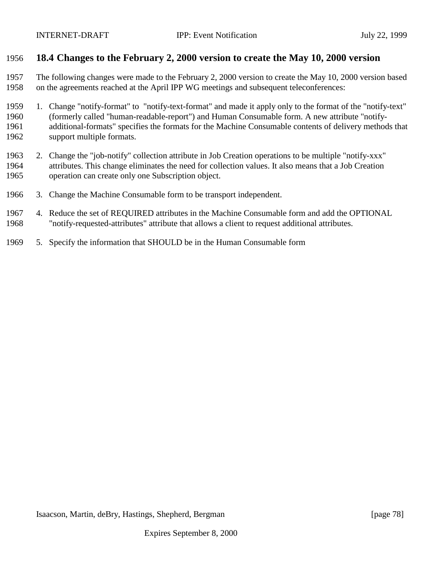### **18.4 Changes to the February 2, 2000 version to create the May 10, 2000 version**

 The following changes were made to the February 2, 2000 version to create the May 10, 2000 version based on the agreements reached at the April IPP WG meetings and subsequent teleconferences:

 1. Change "notify-format" to "notify-text-format" and made it apply only to the format of the "notify-text" (formerly called "human-readable-report") and Human Consumable form. A new attribute "notify- additional-formats" specifies the formats for the Machine Consumable contents of delivery methods that support multiple formats.

- 2. Change the "job-notify" collection attribute in Job Creation operations to be multiple "notify-xxx" attributes. This change eliminates the need for collection values. It also means that a Job Creation operation can create only one Subscription object.
- 3. Change the Machine Consumable form to be transport independent.
- 4. Reduce the set of REQUIRED attributes in the Machine Consumable form and add the OPTIONAL "notify-requested-attributes" attribute that allows a client to request additional attributes.
- 5. Specify the information that SHOULD be in the Human Consumable form